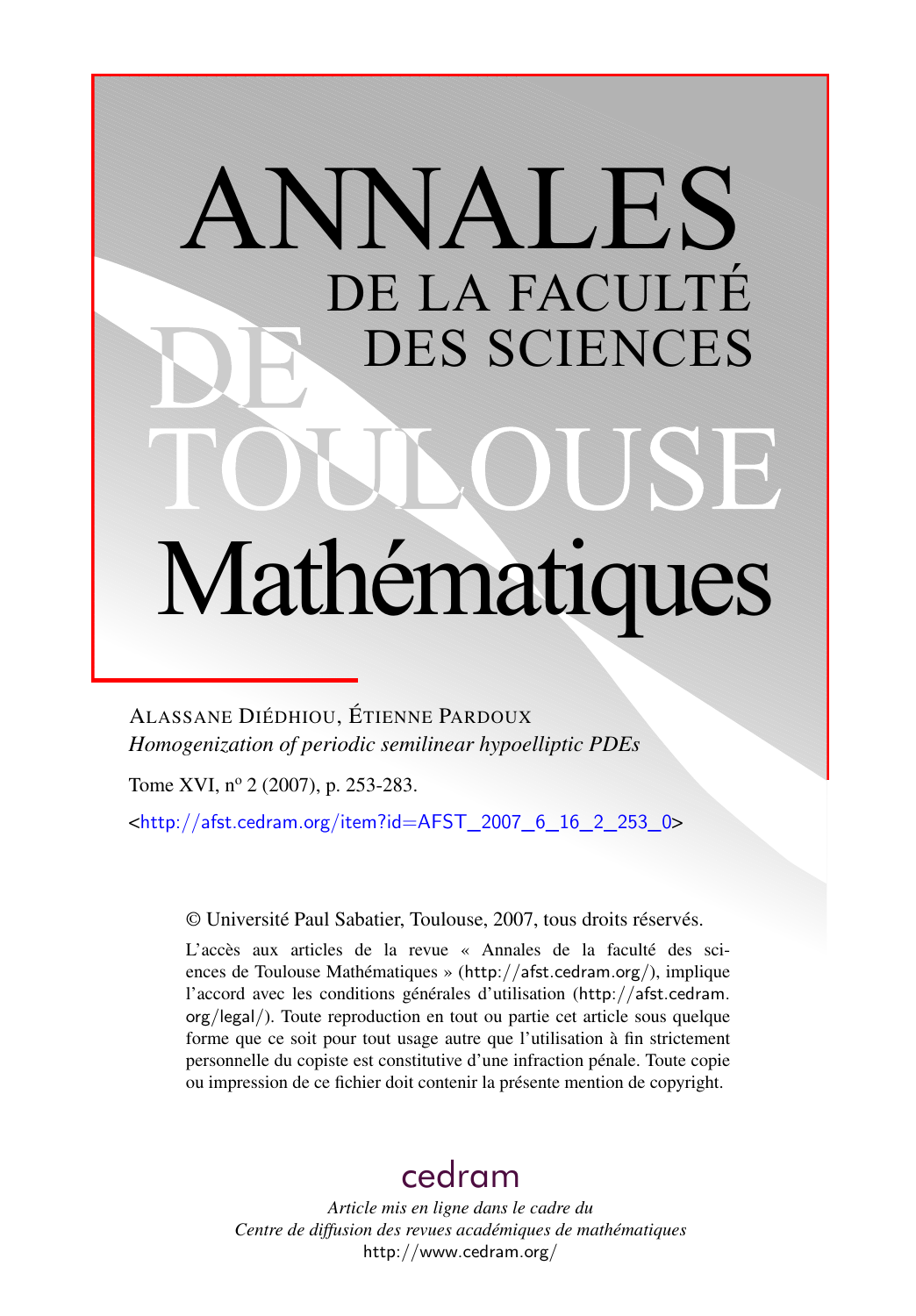# ANNALES DE LA FACULTÉ DES SCIENCES Mathématiques

ALASSANE DIÉDHIOU, ÉTIENNE PARDOUX *Homogenization of periodic semilinear hypoelliptic PDEs*

Tome XVI, nº 2 (2007), p. 253-283.

<[http://afst.cedram.org/item?id=AFST\\_2007\\_6\\_16\\_2\\_253\\_0](http://afst.cedram.org/item?id=AFST_2007_6_16_2_253_0)>

© Université Paul Sabatier, Toulouse, 2007, tous droits réservés.

L'accès aux articles de la revue « Annales de la faculté des sciences de Toulouse Mathématiques » (<http://afst.cedram.org/>), implique l'accord avec les conditions générales d'utilisation ([http://afst.cedram.](http://afst.cedram.org/legal/) [org/legal/](http://afst.cedram.org/legal/)). Toute reproduction en tout ou partie cet article sous quelque forme que ce soit pour tout usage autre que l'utilisation à fin strictement personnelle du copiste est constitutive d'une infraction pénale. Toute copie ou impression de ce fichier doit contenir la présente mention de copyright.

## [cedram](http://www.cedram.org/)

*Article mis en ligne dans le cadre du Centre de diffusion des revues académiques de mathématiques* <http://www.cedram.org/>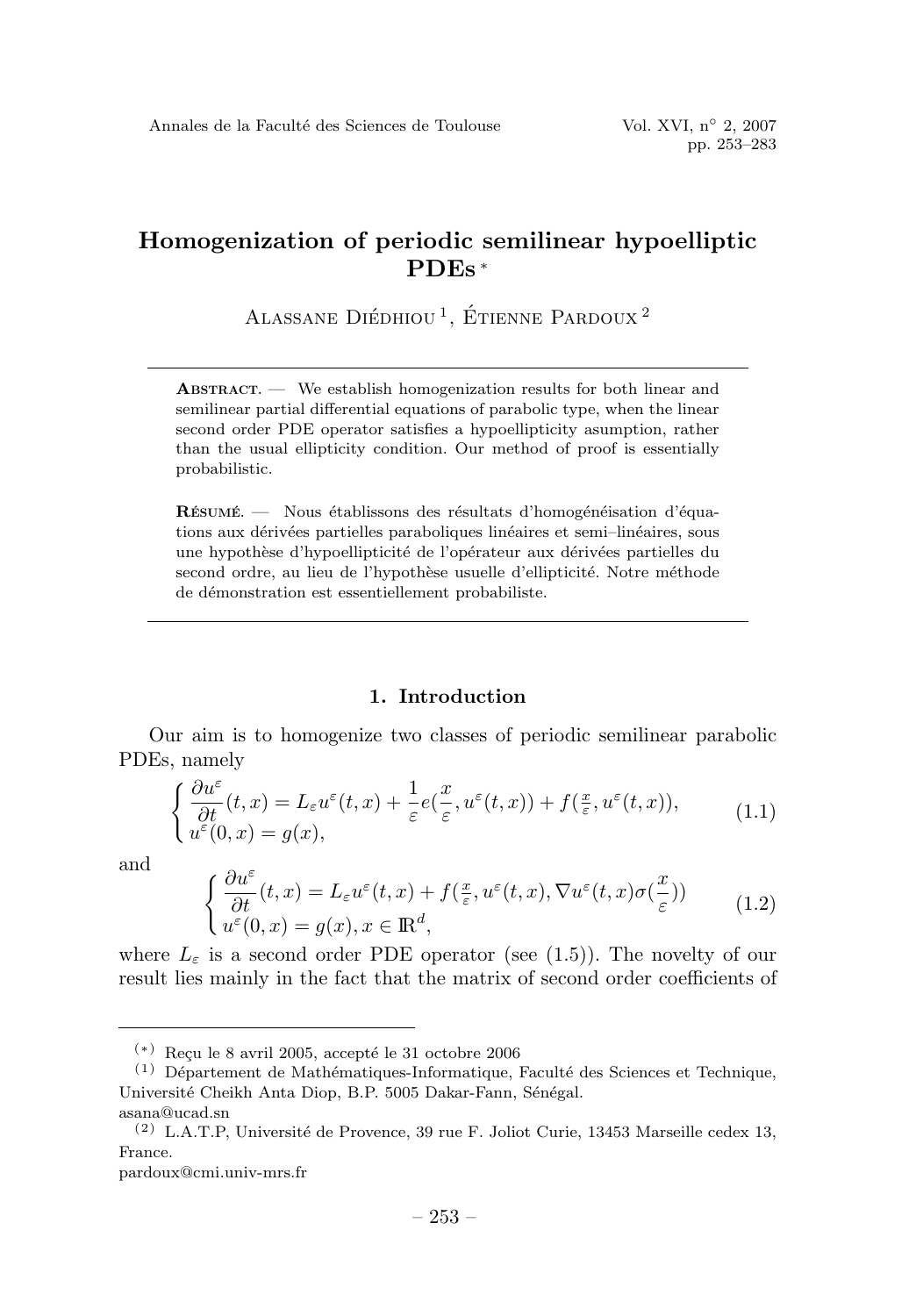### **Homogenization of periodic semilinear hypoelliptic PDEs** <sup>∗</sup>

ALASSANE DIÉDHIOU<sup>1</sup>, ÉTIENNE PARDOUX<sup>2</sup>

**ABSTRACT.** — We establish homogenization results for both linear and semilinear partial differential equations of parabolic type, when the linear second order PDE operator satisfies a hypoellipticity asumption, rather than the usual ellipticity condition. Our method of proof is essentially probabilistic.

**R**ÉSUMÉ  $\equiv$  Nous établissons des résultats d'homogénéisation d'équations aux dérivées partielles paraboliques linéaires et semi-linéaires, sous une hypothèse d'hypoellipticité de l'opérateur aux dérivées partielles du second ordre, au lieu de l'hypothèse usuelle d'ellipticité. Notre méthode de démonstration est essentiellement probabiliste.

#### **1. Introduction**

Our aim is to homogenize two classes of periodic semilinear parabolic PDEs, namely

$$
\begin{cases} \frac{\partial u^{\varepsilon}}{\partial t}(t,x) = L_{\varepsilon}u^{\varepsilon}(t,x) + \frac{1}{\varepsilon}e(\frac{x}{\varepsilon},u^{\varepsilon}(t,x)) + f(\frac{x}{\varepsilon},u^{\varepsilon}(t,x)),\\ u^{\varepsilon}(0,x) = g(x), \end{cases}
$$
(1.1)

and

$$
\begin{cases} \frac{\partial u^{\varepsilon}}{\partial t}(t,x) = L_{\varepsilon}u^{\varepsilon}(t,x) + f(\frac{x}{\varepsilon}, u^{\varepsilon}(t,x), \nabla u^{\varepsilon}(t,x)\sigma(\frac{x}{\varepsilon})) \\ u^{\varepsilon}(0,x) = g(x), x \in \mathbb{R}^{d}, \end{cases}
$$
(1.2)

where  $L_{\varepsilon}$  is a second order PDE operator (see (1.5)). The novelty of our result lies mainly in the fact that the matrix of second order coefficients of

pardoux@cmi.univ-mrs.fr

 $(*)$  Reçu le 8 avril 2005, accepté le 31 octobre 2006

 $^{(1)}$  Département de Mathématiques-Informatique, Faculté des Sciences et Technique, Université Cheikh Anta Diop, B.P. 5005 Dakar-Fann, Sénégal. asana@ucad.sn

 $(2)$  L.A.T.P, Université de Provence, 39 rue F. Joliot Curie, 13453 Marseille cedex 13, France.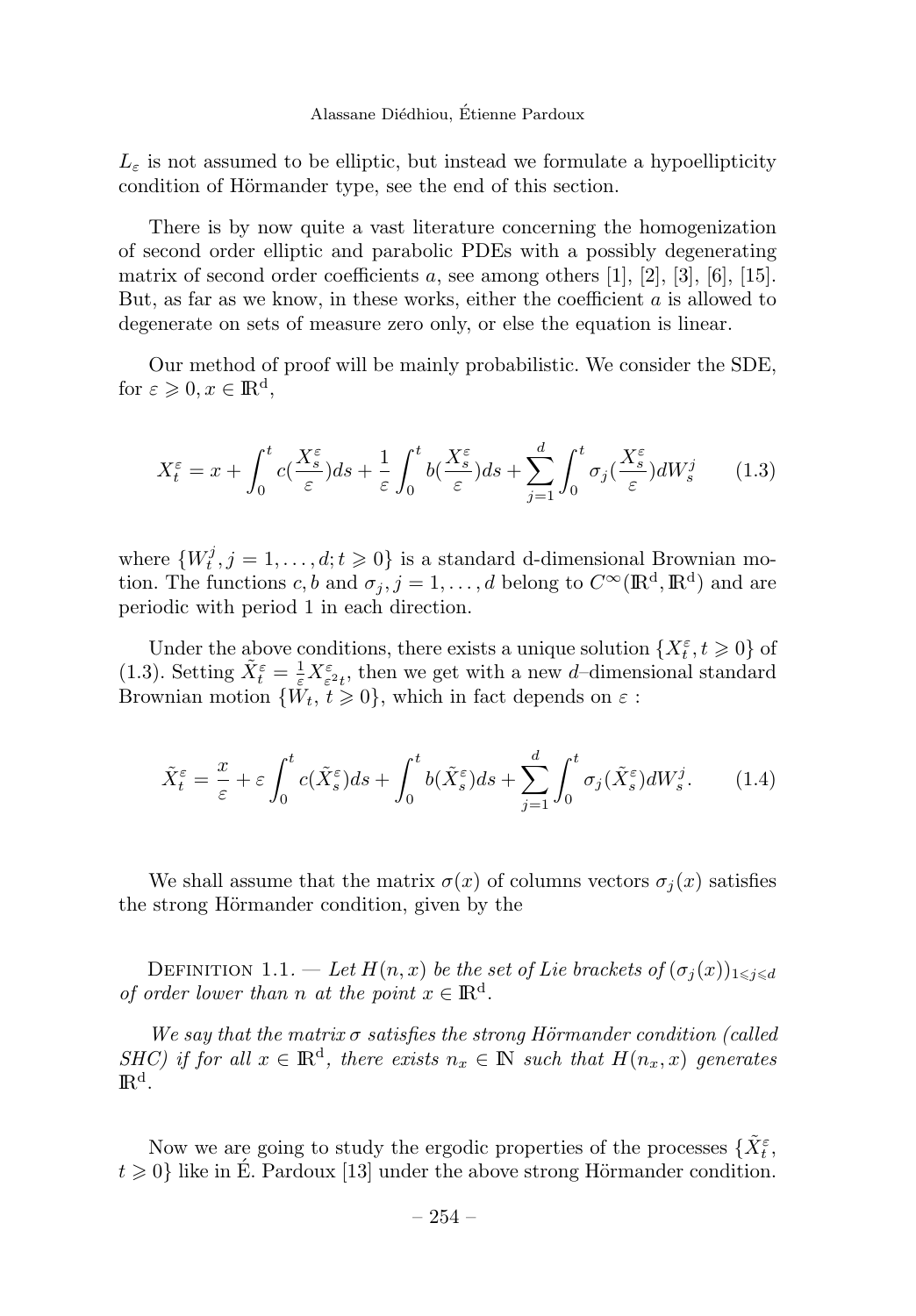$L_{\varepsilon}$  is not assumed to be elliptic, but instead we formulate a hypoellipticity condition of Hörmander type, see the end of this section.

There is by now quite a vast literature concerning the homogenization of second order elliptic and parabolic PDEs with a possibly degenerating matrix of second order coefficients *a*, see among others [1], [2], [3], [6], [15]. But, as far as we know, in these works, either the coefficient *a* is allowed to degenerate on sets of measure zero only, or else the equation is linear.

Our method of proof will be mainly probabilistic. We consider the SDE, for  $\varepsilon \geqslant 0, x \in \mathbb{R}^d$ ,

$$
X_t^{\varepsilon} = x + \int_0^t c(\frac{X_s^{\varepsilon}}{\varepsilon}) ds + \frac{1}{\varepsilon} \int_0^t b(\frac{X_s^{\varepsilon}}{\varepsilon}) ds + \sum_{j=1}^d \int_0^t \sigma_j(\frac{X_s^{\varepsilon}}{\varepsilon}) dW_s^j \qquad (1.3)
$$

where  $\{W_t^j, j = 1, \ldots, d; t \geq 0\}$  is a standard d-dimensional Brownian motion. The functions *c, b* and  $\sigma_j$ ,  $j = 1, \ldots, d$  belong to  $C^{\infty}(\mathbb{R}^d, \mathbb{R}^d)$  and are periodic with period 1in each direction.

Under the above conditions, there exists a unique solution  $\{X_t^{\varepsilon}, t \geq 0\}$  of (1.3). Setting  $\tilde{X}_t^{\varepsilon} = \frac{1}{\varepsilon} X_{\varepsilon^2 t}^{\varepsilon}$ , then we get with a new *d*-dimensional standard Brownian motion  $\{\tilde{W}_t, \tilde{t} \geq 0\}$ , which in fact depends on  $\varepsilon$ :

$$
\tilde{X}_t^{\varepsilon} = \frac{x}{\varepsilon} + \varepsilon \int_0^t c(\tilde{X}_s^{\varepsilon}) ds + \int_0^t b(\tilde{X}_s^{\varepsilon}) ds + \sum_{j=1}^d \int_0^t \sigma_j(\tilde{X}_s^{\varepsilon}) dW_s^j.
$$
 (1.4)

We shall assume that the matrix  $\sigma(x)$  of columns vectors  $\sigma_i(x)$  satisfies the strong Hörmander condition, given by the

DEFINITION 1.1. — Let  $H(n, x)$  be the set of Lie brackets of  $(\sigma_j(x))_{1 \leq j \leq d}$ of order lower than *n* at the point  $x \in \mathbb{R}^d$ .

We say that the matrix  $\sigma$  satisfies the strong Hörmander condition (called SHC) if for all  $x \in \mathbb{R}^d$ , there exists  $n_x \in \mathbb{N}$  such that  $H(n_x, x)$  generates IR<sup>d</sup>*.*

Now we are going to study the ergodic properties of the processes  $\{\tilde{X}_{t}^{\varepsilon},\}$  $t \geq 0$  like in E. Pardoux [13] under the above strong Hörmander condition.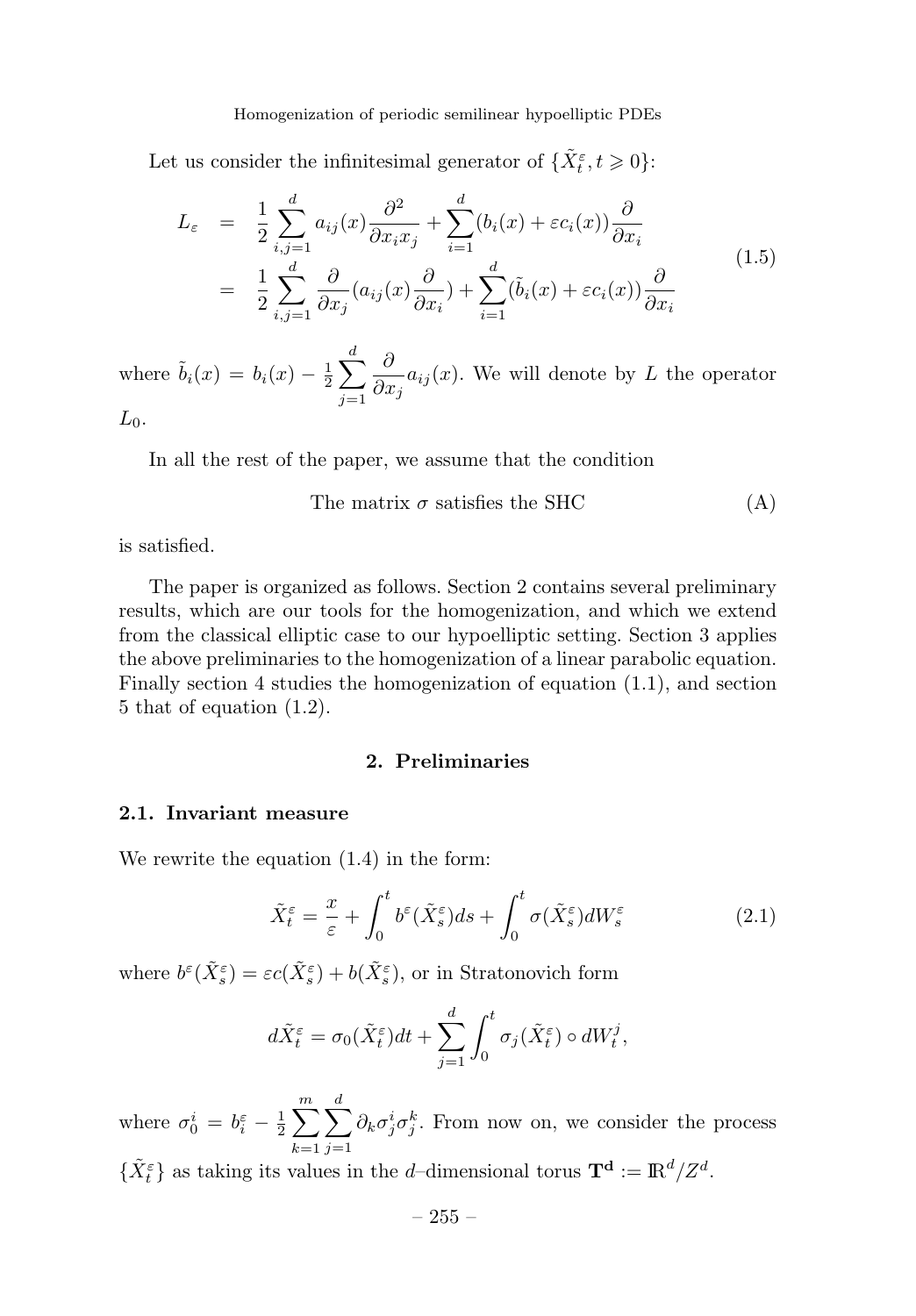#### Homogenization of periodic semilinear hypoelliptic PDEs

Let us consider the infinitesimal generator of  $\{\tilde{X}_t^{\varepsilon}, t \geq 0\}$ :

$$
L_{\varepsilon} = \frac{1}{2} \sum_{i,j=1}^{d} a_{ij}(x) \frac{\partial^2}{\partial x_i x_j} + \sum_{i=1}^{d} (b_i(x) + \varepsilon c_i(x)) \frac{\partial}{\partial x_i}
$$
  

$$
= \frac{1}{2} \sum_{i,j=1}^{d} \frac{\partial}{\partial x_j} (a_{ij}(x) \frac{\partial}{\partial x_i}) + \sum_{i=1}^{d} (\tilde{b}_i(x) + \varepsilon c_i(x)) \frac{\partial}{\partial x_i}
$$
(1.5)

where  $\tilde{b}_i(x) = b_i(x) - \frac{1}{2} \sum$ *d j*=1 *∂*  $\frac{\partial}{\partial x_j} a_{ij}(x)$ . We will denote by *L* the operator  $L_0$ .

In all the rest of the paper, we assume that the condition

The matrix 
$$
\sigma
$$
 satisfies the SHC (A)

is satisfied.

The paper is organized as follows. Section 2 contains several preliminary results, which are our tools for the homogenization, and which we extend from the classical elliptic case to our hypoelliptic setting. Section 3 applies the above preliminaries to the homogenization of a linear parabolic equation. Finally section 4 studies the homogenization of equation (1.1), and section 5 that of equation (1.2).

#### **2. Preliminaries**

#### **2.1. Invariant measure**

We rewrite the equation (1.4) in the form:

$$
\tilde{X}_t^{\varepsilon} = \frac{x}{\varepsilon} + \int_0^t b^{\varepsilon} (\tilde{X}_s^{\varepsilon}) ds + \int_0^t \sigma(\tilde{X}_s^{\varepsilon}) dW_s^{\varepsilon}
$$
\n(2.1)

where  $b^{\varepsilon}(\tilde{X}_{s}^{\varepsilon}) = \varepsilon c(\tilde{X}_{s}^{\varepsilon}) + b(\tilde{X}_{s}^{\varepsilon})$ , or in Stratonovich form

$$
d\tilde{X}_t^{\varepsilon} = \sigma_0(\tilde{X}_t^{\varepsilon})dt + \sum_{j=1}^d \int_0^t \sigma_j(\tilde{X}_t^{\varepsilon}) \circ dW_t^j,
$$

where  $\sigma_0^i = b_i^{\varepsilon} - \frac{1}{2} \sum^m$ *k*=1  $\sum$ *d j*=1  $\partial_k \sigma_j^i \sigma_j^k$ . From now on, we consider the process

 $\{\tilde{X}_t^{\varepsilon}\}\$ as taking its values in the *d*–dimensional torus  $\mathbf{T}^{\mathbf{d}} := \mathbb{R}^d / Z^d$ .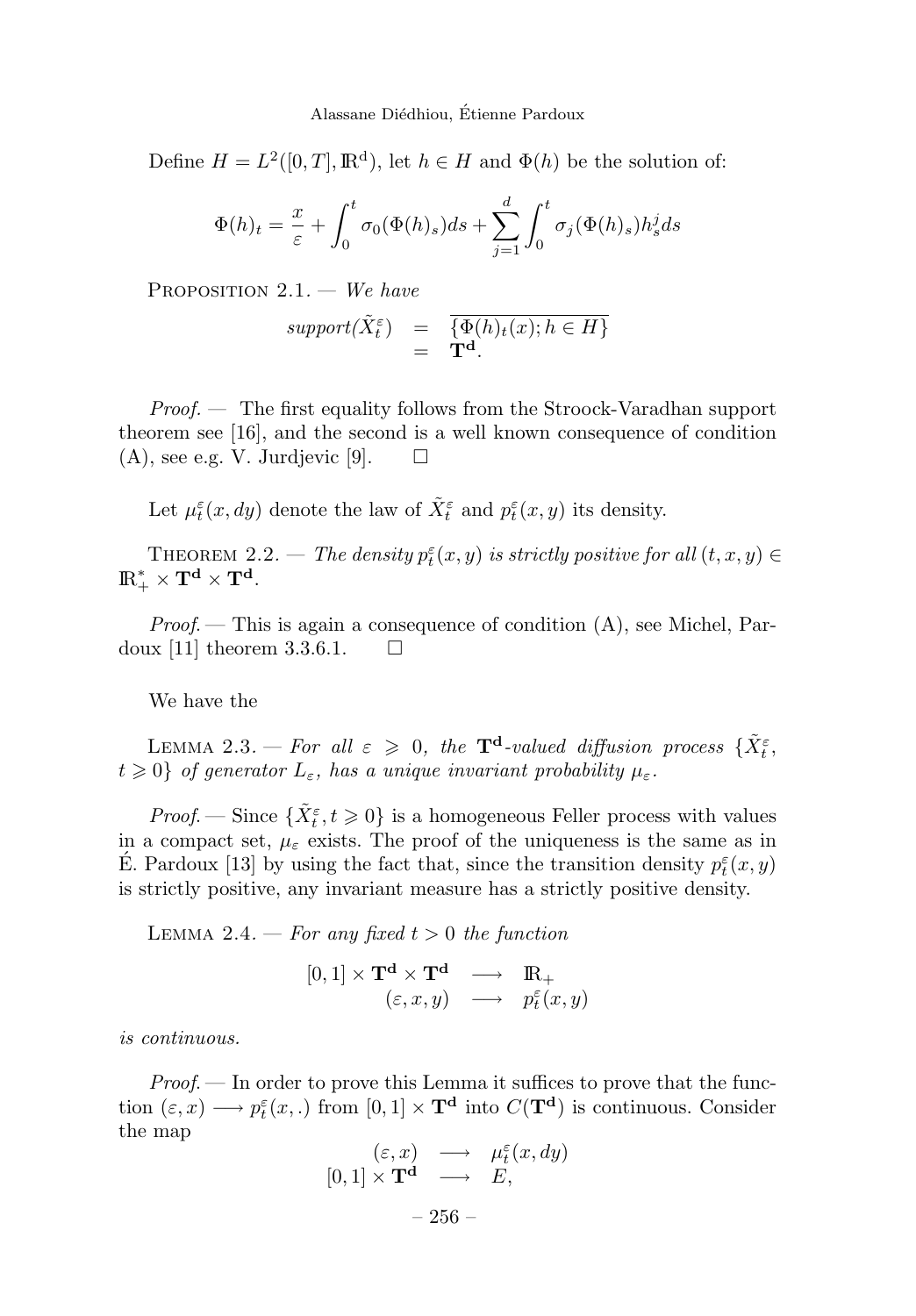Define  $H = L^2([0, T], \mathbb{R}^d)$ , let  $h \in H$  and  $\Phi(h)$  be the solution of:

$$
\Phi(h)_t = \frac{x}{\varepsilon} + \int_0^t \sigma_0(\Phi(h)_s)ds + \sum_{j=1}^d \int_0^t \sigma_j(\Phi(h)_s)h_s^j ds
$$

PROPOSITION  $2.1.$  – We have

$$
support(\tilde{X}_{t}^{\varepsilon}) = \overline{\{\Phi(h)_{t}(x); h \in H\}}= \mathbf{T}^{d}.
$$

 $Proof.$  — The first equality follows from the Stroock-Varadhan support theorem see [16], and the second is a well known consequence of condition  $(A)$ , see e.g. V. Jurdjevic [9].  $\Box$ 

Let  $\mu_t^{\varepsilon}(x, dy)$  denote the law of  $\tilde{X}_t^{\varepsilon}$  and  $p_t^{\varepsilon}(x, y)$  its density.

THEOREM 2.2. — The density  $p_t^{\varepsilon}(x, y)$  is strictly positive for all  $(t, x, y) \in$  $\mathrm{I\!R}^*_+ \times \mathbf{T}^\mathbf{d} \times \mathbf{T}^\mathbf{d}$ .

*Proof.* — This is again a consequence of condition  $(A)$ , see Michel, Pardoux [11] theorem 3.3.6.1.  $\Box$ 

We have the

LEMMA 2.3. — For all  $\varepsilon \geqslant 0$ , the  $\mathbf{T}^{\mathbf{d}}$ -valued diffusion process  $\{\tilde{X}_{t}^{\varepsilon},\}$  $t \geq 0$  *cf generator*  $L_{\varepsilon}$ , has a unique invariant probability  $\mu_{\varepsilon}$ .

*Proof.* — Since  $\{\tilde{X}_t^{\varepsilon}, t \geq 0\}$  is a homogeneous Feller process with values in a compact set,  $\mu_{\varepsilon}$  exists. The proof of the uniqueness is the same as in E. Pardoux [13] by using the fact that, since the transition density  $p_t^{\varepsilon}(x, y)$ is strictly positive, any invariant measure has a strictly positive density.

LEMMA 2.4. — For any fixed  $t > 0$  the function

$$
[0,1] \times \mathbf{T}^{\mathbf{d}} \times \mathbf{T}^{\mathbf{d}} \longrightarrow \mathbf{R}_{+}
$$
  

$$
(\varepsilon, x, y) \longrightarrow p_t^{\varepsilon}(x, y)
$$

is continuous.

 $Proof.$  — In order to prove this Lemma it suffices to prove that the function  $(\varepsilon, x) \longrightarrow p_t^{\varepsilon}(x,.)$  from  $[0,1] \times \mathbf{T}^{\mathbf{d}}$  into  $C(\mathbf{T}^{\mathbf{d}})$  is continuous. Consider the map

$$
\begin{array}{rcl}\n(\varepsilon, x) & \longrightarrow & \mu_t^{\varepsilon}(x, dy) \\
[0, 1] \times \mathbf{T}^{\mathbf{d}} & \longrightarrow & E, \\
& -256 - \n\end{array}
$$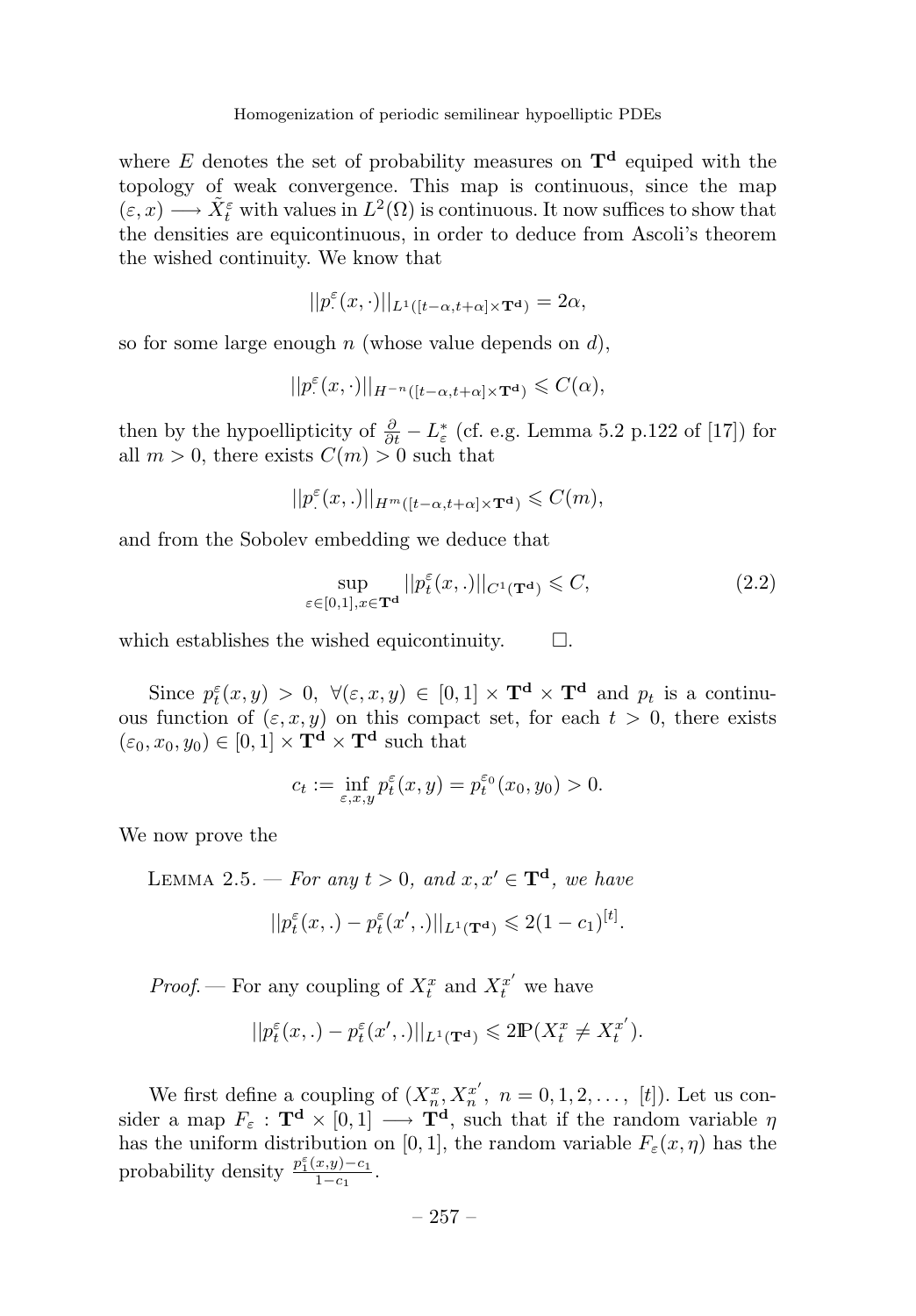where *E* denotes the set of probability measures on  $T<sup>d</sup>$  equiped with the topology of weak convergence. This map is continuous, since the map  $(\varepsilon, x) \longrightarrow \tilde{X}_t^{\varepsilon}$  with values in  $L^2(\Omega)$  is continuous. It now suffices to show that the densities are equicontinuous, in order to deduce from Ascoli's theorem the wished continuity. We know that

$$
||p^\varepsilon(x,\cdot)||_{L^1([t-\alpha,t+\alpha]\times\mathbf{T}^\mathbf{d})}=2\alpha,
$$

so for some large enough *n* (whose value depends on *d*),

$$
||p^{\varepsilon}(x,\cdot)||_{H^{-n}([t-\alpha,t+\alpha]\times\mathbf{T}^{\mathbf{d}})}\leqslant C(\alpha),
$$

then by the hypoellipticity of  $\frac{\partial}{\partial t} - L_{\varepsilon}^{*}$  (cf. e.g. Lemma 5.2 p.122 of [17]) for all  $m > 0$ , there exists  $C(m) > 0$  such that

$$
||p^{\varepsilon}(x,.)||_{H^{m}([t-\alpha,t+\alpha]\times\mathbf{T}^{\mathbf{d}})}\leqslant C(m),
$$

and from the Sobolev embedding we deduce that

$$
\sup_{\varepsilon \in [0,1], x \in \mathbf{T}^{\mathbf{d}}} ||p_t^{\varepsilon}(x,.)||_{C^1(\mathbf{T}^{\mathbf{d}})} \leqslant C,
$$
\n(2.2)

which establishes the wished equicontinuity.  $\Box$ .

Since  $p_t^{\varepsilon}(x, y) > 0$ ,  $\forall (\varepsilon, x, y) \in [0, 1] \times \mathbf{T}^d \times \mathbf{T}^d$  and  $p_t$  is a continuous function of  $(\varepsilon, x, y)$  on this compact set, for each  $t > 0$ , there exists  $(\varepsilon_0, x_0, y_0) \in [0, 1] \times \mathbf{T}^d \times \mathbf{T}^d$  such that

$$
c_t := \inf_{\varepsilon, x, y} p_t^{\varepsilon}(x, y) = p_t^{\varepsilon_0}(x_0, y_0) > 0.
$$

We now prove the

LEMMA 2.5. — For any  $t > 0$ , and  $x, x' \in \mathbf{T}^d$ , we have

$$
||p_t^{\varepsilon}(x,.) - p_t^{\varepsilon}(x',.)||_{L^1(\mathbf{T}^{\mathbf{d}})} \leq 2(1-c_1)^{[t]}.
$$

*Proof.* — For any coupling of  $X_t^x$  and  $X_t^{x'}$  we have

$$
||p_t^{\varepsilon}(x,.) - p_t^{\varepsilon}(x',.)||_{L^1(\mathbf{T}^{\mathbf{d}})} \leq 2\mathbb{P}(X_t^x \neq X_t^{x'}).
$$

We first define a coupling of  $(X_n^x, X_n^{x'}, n = 0, 1, 2, \ldots, [t])$ . Let us consider a map  $F_{\varepsilon}$  :  $\mathbf{T}^{\mathbf{d}} \times [0,1] \longrightarrow \mathbf{T}^{\mathbf{d}}$ , such that if the random variable  $\eta$ has the uniform distribution on [0, 1], the random variable  $F_{\varepsilon}(x, \eta)$  has the probability density  $\frac{p_1^{\varepsilon}(x,y)-c_1}{1-c_1}$ .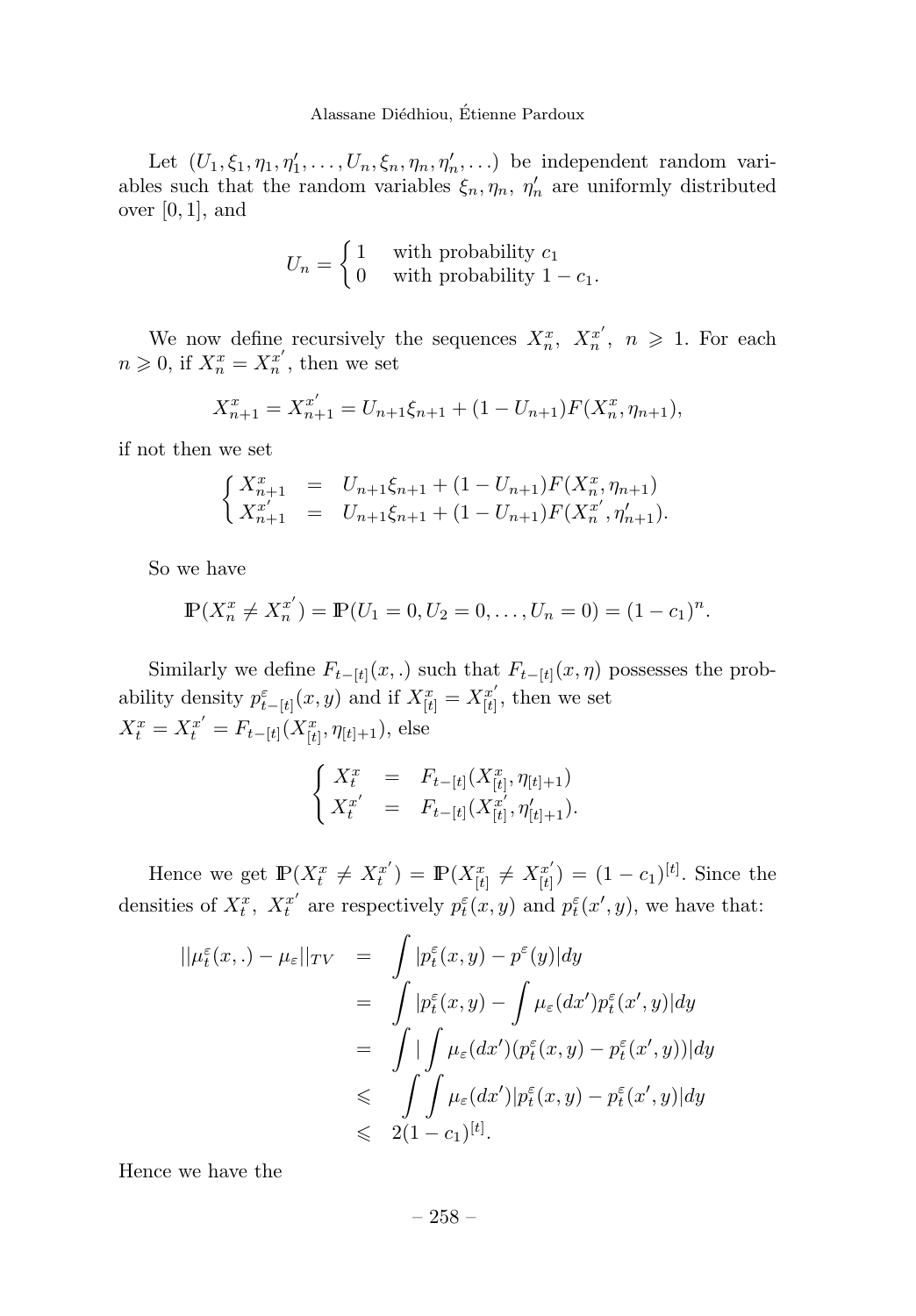Let  $(U_1, \xi_1, \eta_1, \eta'_1, \ldots, U_n, \xi_n, \eta_n, \eta'_n, \ldots)$  be independent random variables such that the random variables  $\xi_n, \eta_n, \eta'_n$  are uniformly distributed over [0*,* 1], and

$$
U_n = \begin{cases} 1 & \text{with probability } c_1 \\ 0 & \text{with probability } 1 - c_1. \end{cases}
$$

We now define recursively the sequences  $X_n^x$ ,  $X_n^{x'}$ ,  $n \geq 1$ . For each  $n \geq 0$ , if  $X_n^x = X_n^{x'}$ , then we set

$$
X_{n+1}^x = X_{n+1}^{x'} = U_{n+1}\xi_{n+1} + (1 - U_{n+1})F(X_n^x, \eta_{n+1}),
$$

if not then we set

$$
\begin{cases}\nX_{n+1}^x = U_{n+1}\xi_{n+1} + (1 - U_{n+1})F(X_n^x, \eta_{n+1}) \\
X_{n+1}^x = U_{n+1}\xi_{n+1} + (1 - U_{n+1})F(X_n^{x'}, \eta'_{n+1}).\n\end{cases}
$$

So we have

$$
\mathbb{P}(X_n^x \neq X_n^{x'}) = \mathbb{P}(U_1 = 0, U_2 = 0, \dots, U_n = 0) = (1 - c_1)^n.
$$

Similarly we define  $F_{t-[t]}(x,.)$  such that  $F_{t-[t]}(x, \eta)$  possesses the probability density  $p_{t-\lfloor t \rfloor}^{\varepsilon}(x, y)$  and if  $X_{\lfloor t \rfloor}^{x} = X_{\lfloor t \rfloor}^{x'}$ , then we set  $X_t^x = X_t^{x'} = F_{t-[t]}(X_{[t]}^x, \eta_{[t]+1}),$  else

$$
\begin{cases}\nX_t^x = F_{t-[t]}(X_{[t]}^x, \eta_{[t]+1}) \\
X_t^{x'} = F_{t-[t]}(X_{[t]}^{x'}, \eta'_{[t]+1}).\n\end{cases}
$$

Hence we get  $\mathbb{P}(X_t^x \neq X_t^{x'}) = \mathbb{P}(X_{[t]}^x \neq X_{[t]}^{x'}) = (1 - c_1)^{[t]}$ . Since the densities of  $X_t^x$ ,  $X_t^{x'}$  are respectively  $p_t^{\varepsilon}(x, y)$  and  $p_t^{\varepsilon}(x', y)$ , we have that:

$$
||\mu_t^{\varepsilon}(x,.) - \mu_{\varepsilon}||_{TV} = \int |p_t^{\varepsilon}(x,y) - p^{\varepsilon}(y)| dy
$$
  

$$
= \int |p_t^{\varepsilon}(x,y) - \int \mu_{\varepsilon}(dx')p_t^{\varepsilon}(x',y)| dy
$$
  

$$
= \int |\int \mu_{\varepsilon}(dx') (p_t^{\varepsilon}(x,y) - p_t^{\varepsilon}(x',y))| dy
$$
  

$$
\leq \int \int \mu_{\varepsilon}(dx')|p_t^{\varepsilon}(x,y) - p_t^{\varepsilon}(x',y)| dy
$$
  

$$
\leq 2(1 - c_1)^{[t]}.
$$

Hence we have the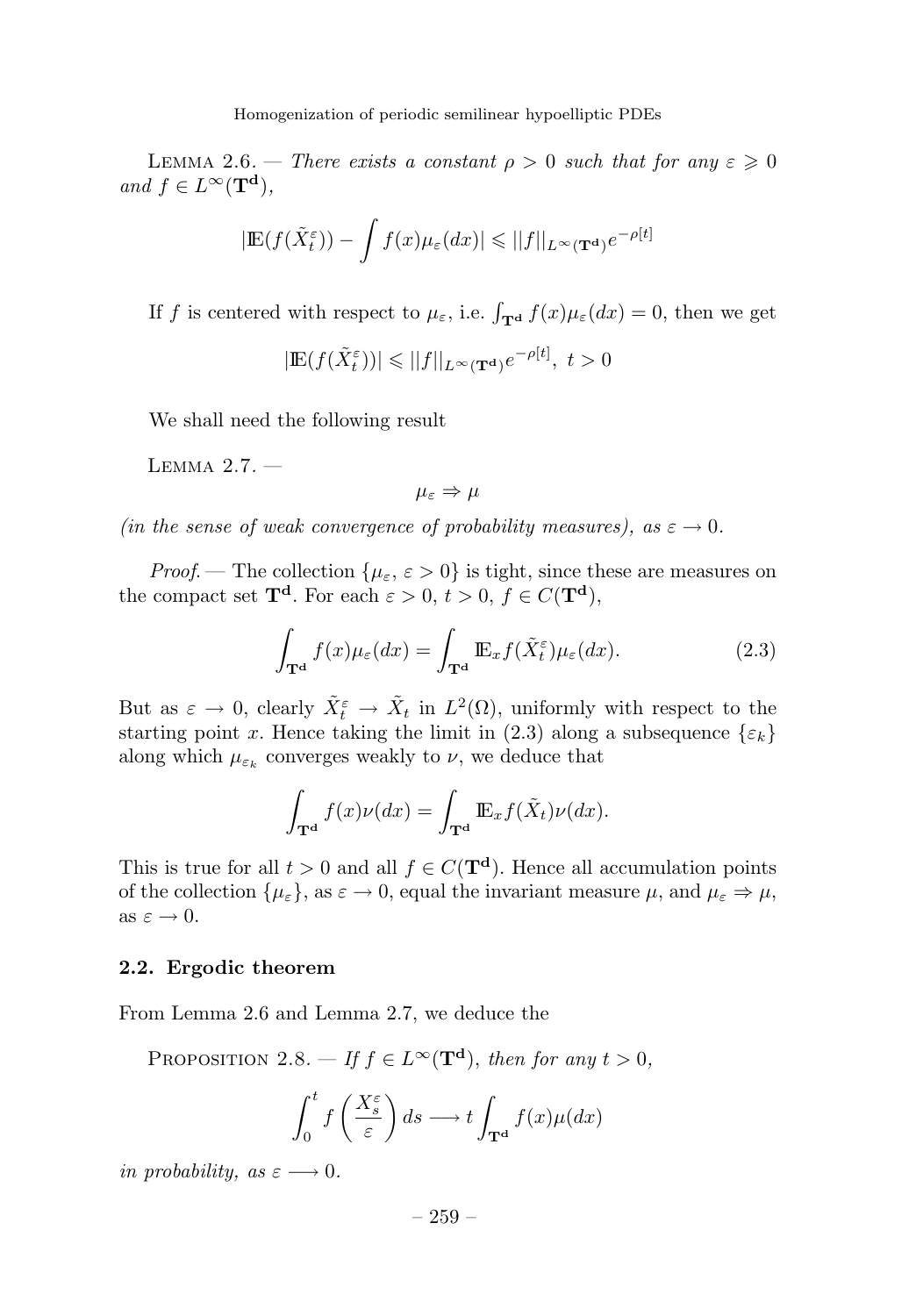LEMMA 2.6. — There exists a constant  $\rho > 0$  such that for any  $\varepsilon \geq 0$  $and f \in L^{\infty}(\mathbf{T}^{\mathbf{d}}),$ 

$$
|\mathbb{E}(f(\tilde{X}_{t}^{\varepsilon})) - \int f(x)\mu_{\varepsilon}(dx)| \leq ||f||_{L^{\infty}(\mathbf{T}^{\mathbf{d}})}e^{-\rho[t]}
$$

If *f* is centered with respect to  $\mu_{\varepsilon}$ , i.e.  $\int_{\mathbf{T}^{\mathbf{d}}} f(x) \mu_{\varepsilon}(dx) = 0$ , then we get

 $|\mathbb{E}(f(\tilde{X}_{t}^{\varepsilon}))| \leq ||f||_{L^{\infty}(\mathbf{T}^{\mathbf{d}})} e^{-\rho[t]}, t > 0$ 

We shall need the following result

LEMMA  $2.7.$   $-$ 

$$
\mu_\varepsilon \Rightarrow \mu
$$

(in the sense of weak convergence of probability measures), as  $\varepsilon \to 0$ .

*Proof.* — The collection  $\{\mu_{\varepsilon}, \varepsilon > 0\}$  is tight, since these are measures on the compact set  $\mathbf{T}^d$ . For each  $\varepsilon > 0$ ,  $t > 0$ ,  $f \in C(\mathbf{T}^d)$ ,

$$
\int_{\mathbf{T}^{\mathbf{d}}} f(x) \mu_{\varepsilon}(dx) = \int_{\mathbf{T}^{\mathbf{d}}} \mathbb{E}_x f(\tilde{X}_t^{\varepsilon}) \mu_{\varepsilon}(dx). \tag{2.3}
$$

But as  $\varepsilon \to 0$ , clearly  $\tilde{X}_t^{\varepsilon} \to \tilde{X}_t$  in  $L^2(\Omega)$ , uniformly with respect to the starting point *x*. Hence taking the limit in (2.3) along a subsequence  $\{\varepsilon_k\}$ along which  $\mu_{\varepsilon_k}$  converges weakly to  $\nu$ , we deduce that

$$
\int_{\mathbf{T}^{\mathbf{d}}} f(x)\nu(dx) = \int_{\mathbf{T}^{\mathbf{d}}} \mathbb{E}_x f(\tilde{X}_t)\nu(dx).
$$

This is true for all  $t > 0$  and all  $f \in C(\mathbf{T}^d)$ . Hence all accumulation points of the collection  $\{\mu_{\varepsilon}\}\text{, as } \varepsilon \to 0\text{, equal the invariant measure } \mu\text{, and } \mu_{\varepsilon} \Rightarrow \mu\text{,}$ as  $\varepsilon \to 0$ .

#### **2.2. Ergodic theorem**

From Lemma 2.6 and Lemma 2.7, we deduce the

PROPOSITION 2.8. — If  $f \in L^{\infty}(\mathbf{T}^d)$ , then for any  $t > 0$ ,

$$
\int_0^t f\left(\frac{X_s^{\varepsilon}}{\varepsilon}\right) ds \longrightarrow t \int_{\mathbf{T}^{\mathbf{d}}} f(x) \mu(dx)
$$

in probability, as  $\varepsilon \longrightarrow 0$ .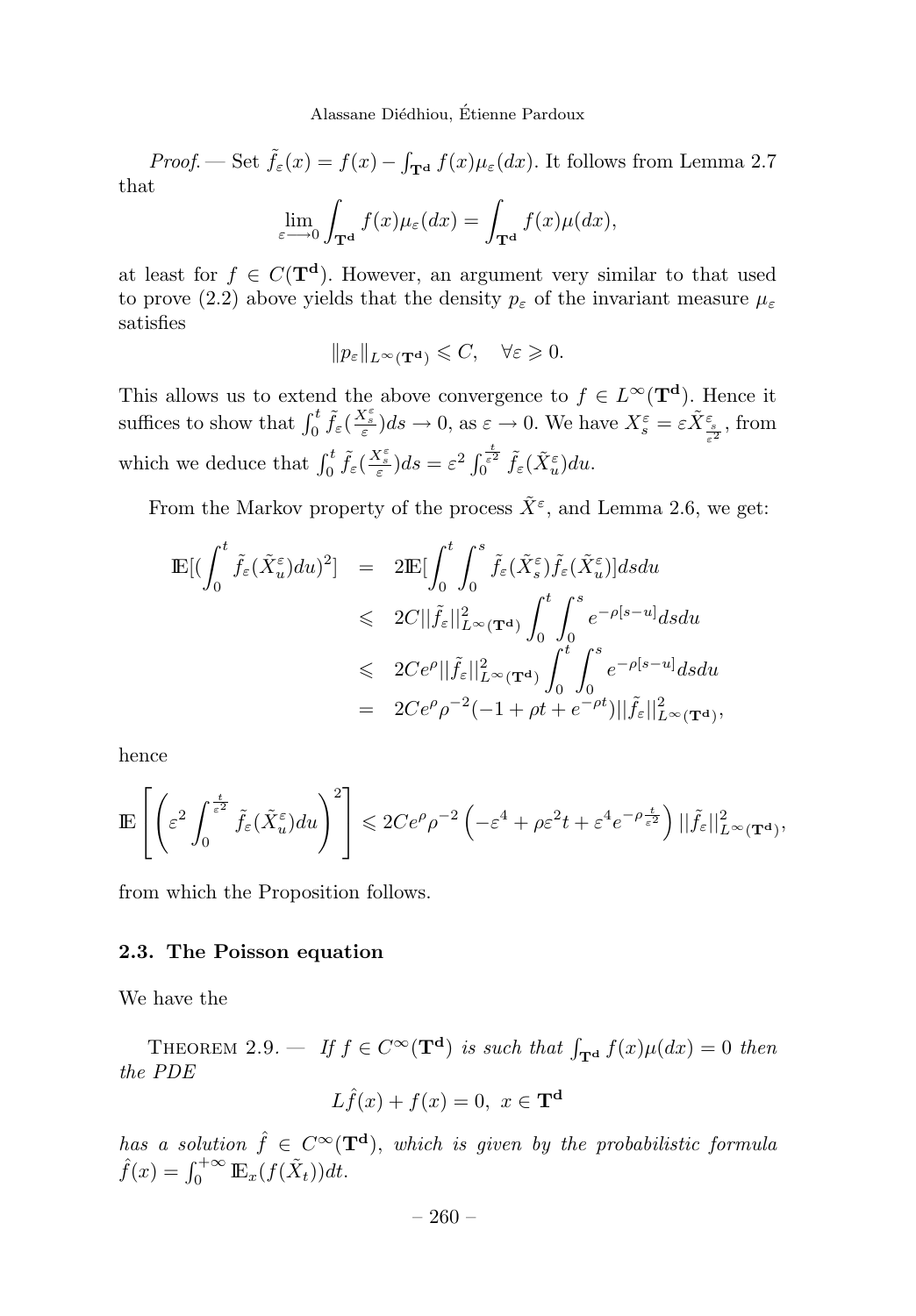Proof. — Set  $\tilde{f}_{\varepsilon}(x) = f(x) - \int_{\mathbf{T}^{\mathbf{d}}} f(x) \mu_{\varepsilon}(dx)$ . It follows from Lemma 2.7 that

$$
\lim_{\varepsilon \to 0} \int_{\mathbf{T}^{\mathbf{d}}} f(x) \mu_{\varepsilon}(dx) = \int_{\mathbf{T}^{\mathbf{d}}} f(x) \mu(dx),
$$

at least for  $f \in C(\mathbf{T}^d)$ . However, an argument very similar to that used to prove (2.2) above yields that the density  $p_{\varepsilon}$  of the invariant measure  $\mu_{\varepsilon}$ satisfies

$$
||p_{\varepsilon}||_{L^{\infty}(\mathbf{T}^{\mathbf{d}})} \leqslant C, \quad \forall \varepsilon \geqslant 0.
$$

This allows us to extend the above convergence to  $f \in L^{\infty}(\mathbf{T}^d)$ . Hence it suffices to show that  $\int_0^t \tilde{f}_{\varepsilon} \left( \frac{X_{\varepsilon}^{\varepsilon}}{\varepsilon} \right) ds \to 0$ , as  $\varepsilon \to 0$ . We have  $X_{s}^{\varepsilon} = \varepsilon \tilde{X}_{\frac{\varepsilon}{\varepsilon^2}}^{\varepsilon}$ , from which we deduce that  $\int_0^t \tilde{f}_{\varepsilon}(\frac{X_{\varepsilon}^{\varepsilon}}{\varepsilon}) ds = \varepsilon^2 \int_0^{\frac{t}{\varepsilon^2}} \tilde{f}_{\varepsilon}(\tilde{X}_{u}^{\varepsilon}) du$ .

From the Markov property of the process  $\tilde{X}^{\varepsilon}$ , and Lemma 2.6, we get:

$$
\begin{array}{rcl} \mathbb{E}[ (\int_0^t \tilde{f}_{\varepsilon}(\tilde{X}^{\varepsilon}_u) du )^2] & = & 2 \mathbb{E}[ \int_0^t \int_0^s \tilde{f}_{\varepsilon}(\tilde{X}^{\varepsilon}_s) \tilde{f}_{\varepsilon}(\tilde{X}^{\varepsilon}_u) ] ds du \\ & \leqslant & 2C ||\tilde{f}_{\varepsilon}||^2_{L^{\infty}(\mathbf{T}^{\mathbf{d}})} \int_0^t \int_0^s e^{-\rho[s-u]} ds du \\ & \leqslant & 2C e^{\rho} ||\tilde{f}_{\varepsilon}||^2_{L^{\infty}(\mathbf{T}^{\mathbf{d}})} \int_0^t \int_0^s e^{-\rho[s-u]} ds du \\ & = & 2C e^{\rho} \rho^{-2} (-1 + \rho t + e^{-\rho t}) ||\tilde{f}_{\varepsilon}||^2_{L^{\infty}(\mathbf{T}^{\mathbf{d}})}, \end{array}
$$

hence

$$
\mathbb{E}\left[\left(\varepsilon^2 \int_0^{\frac{t}{\varepsilon^2}} \tilde{f}_{\varepsilon}(\tilde{X}_u^{\varepsilon}) du\right)^2\right] \leqslant 2Ce^{\rho} \rho^{-2} \left(-\varepsilon^4 + \rho \varepsilon^2 t + \varepsilon^4 e^{-\rho \frac{t}{\varepsilon^2}}\right) ||\tilde{f}_{\varepsilon}||_{L^{\infty}(\mathbf{T}^{\mathbf{d}})}^2,
$$

from which the Proposition follows.

#### **2.3. The Poisson equation**

We have the

THEOREM 2.9. — If  $f \in C^{\infty}(\mathbf{T}^d)$  is such that  $\int_{\mathbf{T}^d} f(x) \mu(dx) = 0$  then the PDE

$$
L\hat{f}(x) + f(x) = 0, \ x \in \mathbf{T}^{\mathbf{d}}
$$

has a solution  $\hat{f} \in C^{\infty}(\mathbf{T}^d)$ , which is given by the probabilistic formula  $\hat{f}(x) = \int_0^{+\infty} \mathbb{E}_x(f(\tilde{X}_t))dt.$ 

 $-260-$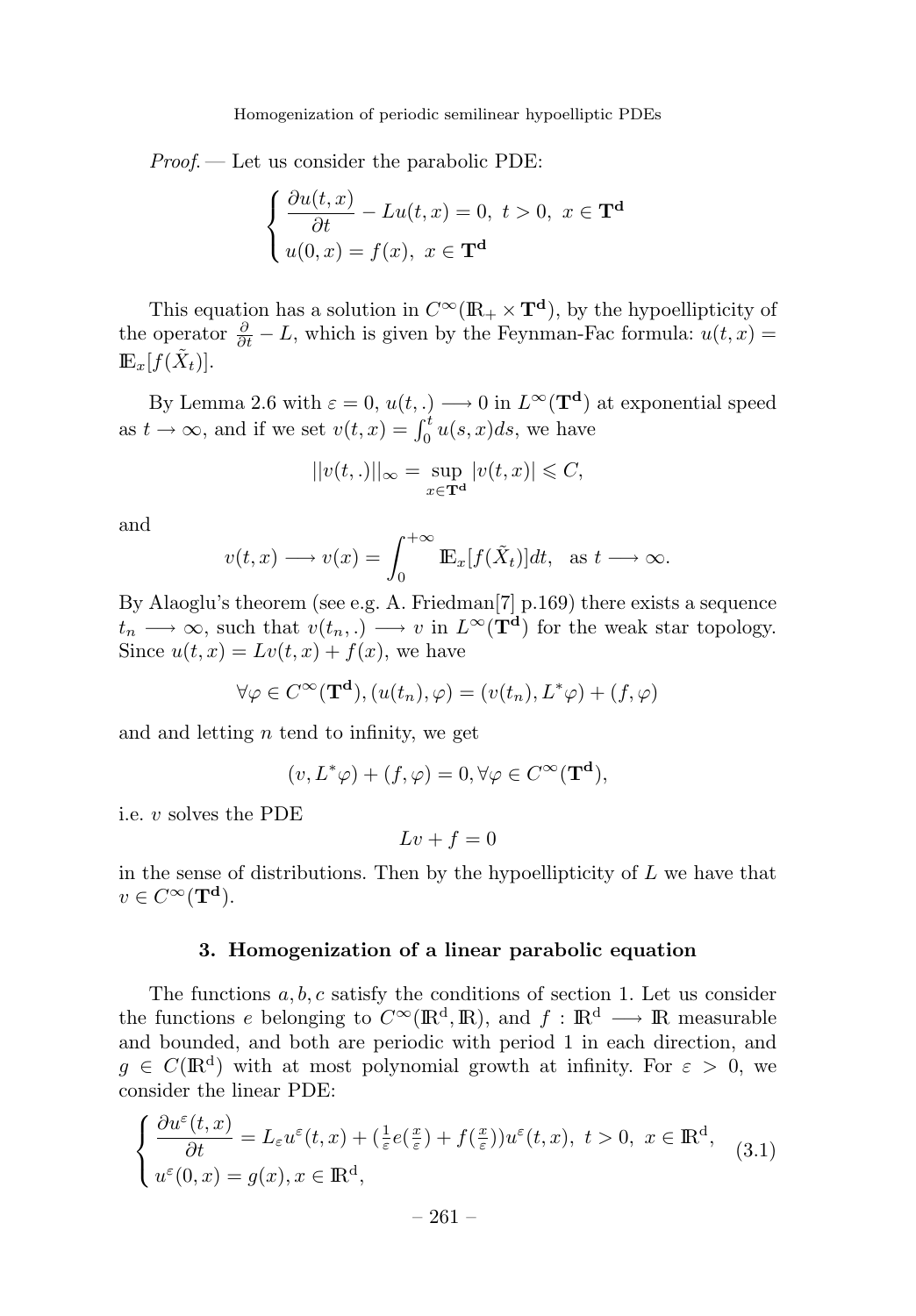Proof. — Let us consider the parabolic PDE:

$$
\begin{cases} \frac{\partial u(t,x)}{\partial t} - Lu(t,x) = 0, \ t > 0, \ x \in \mathbf{T}^d \\ u(0,x) = f(x), \ x \in \mathbf{T}^d \end{cases}
$$

This equation has a solution in  $C^{\infty}(\mathbb{R}_+ \times \mathbb{T}^d)$ , by the hypoellipticity of the operator  $\frac{\partial}{\partial t} - L$ , which is given by the Feynman-Fac formula:  $u(t, x) =$  $\mathbb{E}_x[f(X_t)].$ 

By Lemma 2.6 with  $\varepsilon = 0$ ,  $u(t,.) \longrightarrow 0$  in  $L^{\infty}(\mathbf{T}^d)$  at exponential speed as  $t \to \infty$ , and if we set  $v(t, x) = \int_0^t u(s, x) ds$ , we have

$$
||v(t,.)||_{\infty} = \sup_{x \in \mathbf{T}^{\mathbf{d}}} |v(t,x)| \leq C,
$$

and

$$
v(t,x) \longrightarrow v(x) = \int_0^{+\infty} \mathbb{E}_x[f(\tilde{X}_t)]dt, \text{ as } t \longrightarrow \infty.
$$

By Alaoglu's theorem (see e.g. A. Friedman[7] p.169) there exists a sequence  $t_n \longrightarrow \infty$ , such that  $v(t_n,.) \longrightarrow v$  in  $L^{\infty}(\mathbf{T}^d)$  for the weak star topology. Since  $u(t, x) = Lv(t, x) + f(x)$ , we have

$$
\forall \varphi \in C^{\infty}(\mathbf{T}^{\mathbf{d}}), (u(t_n), \varphi) = (v(t_n), L^*\varphi) + (f, \varphi)
$$

and and letting *n* tend to infinity, we get

$$
(v, L^*\varphi) + (f, \varphi) = 0, \forall \varphi \in C^\infty(\mathbf{T}^{\mathbf{d}}),
$$

i.e. *v* solves the PDE

$$
Lv + f = 0
$$

in the sense of distributions. Then by the hypoellipticity of *L* we have that  $v \in C^{\infty}(\mathbf{T}^{\mathbf{d}}).$ 

#### **3. Homogenization of a linear parabolic equation**

The functions *a, b, c* satisfy the conditions of section 1. Let us consider the functions *e* belonging to  $C^{\infty}(\mathbb{R}^d, \mathbb{R})$ , and  $f : \mathbb{R}^d \longrightarrow \mathbb{R}$  measurable and bounded, and both are periodic with period 1in each direction, and  $q \in C(\mathbb{R}^d)$  with at most polynomial growth at infinity. For  $\varepsilon > 0$ , we consider the linear PDE:

$$
\begin{cases} \frac{\partial u^{\varepsilon}(t,x)}{\partial t} = L_{\varepsilon}u^{\varepsilon}(t,x) + (\frac{1}{\varepsilon}e(\frac{x}{\varepsilon}) + f(\frac{x}{\varepsilon}))u^{\varepsilon}(t,x), \ t > 0, \ x \in \mathbb{R}^{d},\\ u^{\varepsilon}(0,x) = g(x), x \in \mathbb{R}^{d}, \end{cases}
$$
(3.1)

– 261–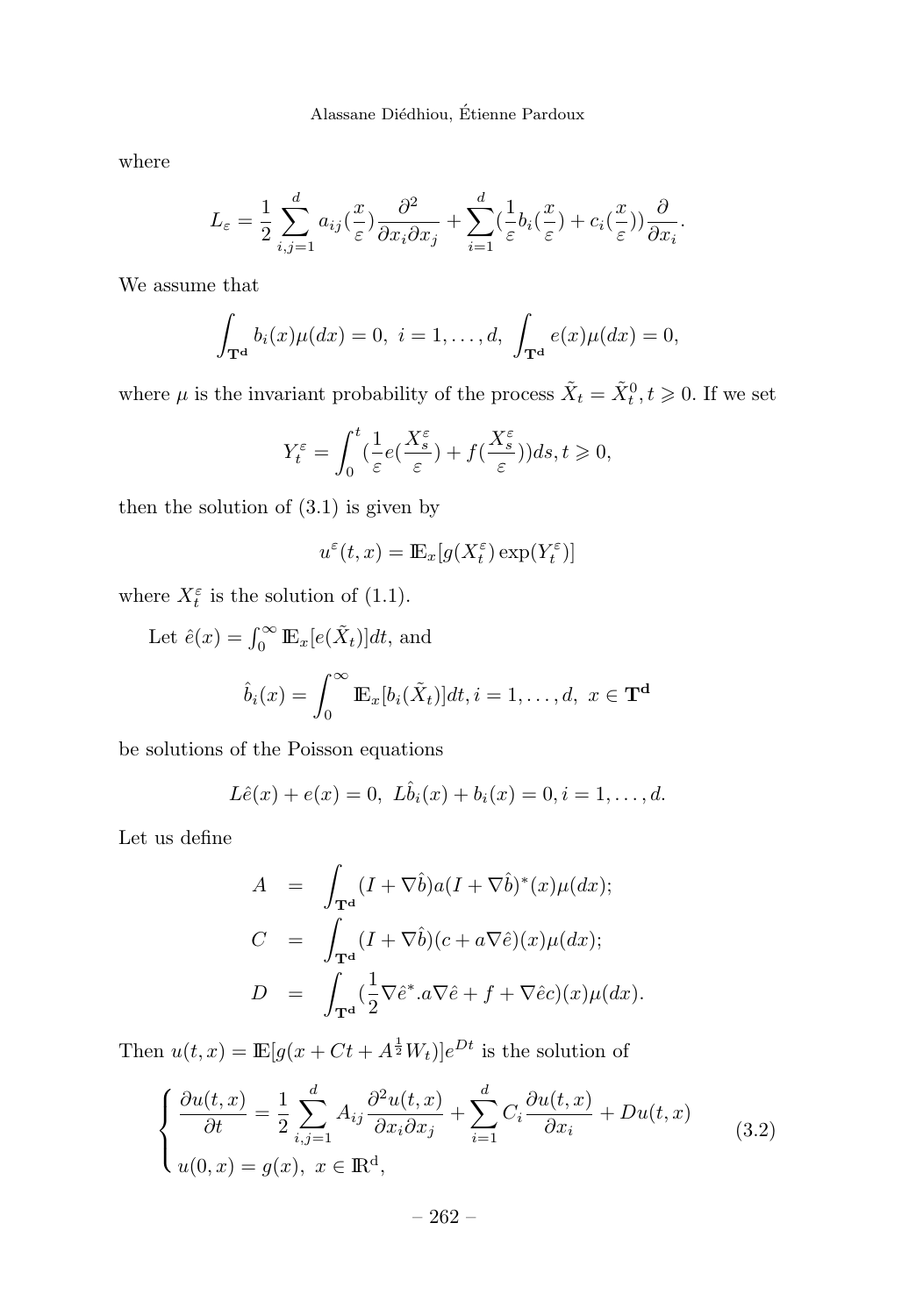where

$$
L_{\varepsilon} = \frac{1}{2} \sum_{i,j=1}^{d} a_{ij} (\frac{x}{\varepsilon}) \frac{\partial^2}{\partial x_i \partial x_j} + \sum_{i=1}^{d} (\frac{1}{\varepsilon} b_i (\frac{x}{\varepsilon}) + c_i (\frac{x}{\varepsilon})) \frac{\partial}{\partial x_i}.
$$

We assume that

$$
\int_{\mathbf{T}^{\mathbf{d}}} b_i(x) \mu(dx) = 0, \ i = 1, \dots, d, \ \int_{\mathbf{T}^{\mathbf{d}}} e(x) \mu(dx) = 0,
$$

where  $\mu$  is the invariant probability of the process  $\tilde{X}_t = \tilde{X}_t^0, t \geq 0$ . If we set

$$
Y_t^{\varepsilon} = \int_0^t \left(\frac{1}{\varepsilon} e(\frac{X_s^{\varepsilon}}{\varepsilon}) + f(\frac{X_s^{\varepsilon}}{\varepsilon})\right) ds, t \geq 0,
$$

then the solution of (3.1) is given by

$$
u^{\varepsilon}(t,x) = \mathbb{E}_x[g(X_t^{\varepsilon}) \exp(Y_t^{\varepsilon})]
$$

where  $X_t^{\varepsilon}$  is the solution of (1.1).

Let 
$$
\hat{e}(x) = \int_0^\infty \mathbb{E}_x[e(\tilde{X}_t)]dt
$$
, and  
\n
$$
\hat{b}_i(x) = \int_0^\infty \mathbb{E}_x[b_i(\tilde{X}_t)]dt, i = 1, ..., d, x \in \mathbf{T}^d
$$

be solutions of the Poisson equations

$$
L\hat{e}(x) + e(x) = 0, \ L\hat{b}_i(x) + b_i(x) = 0, i = 1, ..., d.
$$

Let us define

$$
A = \int_{\mathbf{T}^d} (I + \nabla \hat{b}) a (I + \nabla \hat{b})^* (x) \mu(dx);
$$
  
\n
$$
C = \int_{\mathbf{T}^d} (I + \nabla \hat{b}) (c + a \nabla \hat{e}) (x) \mu(dx);
$$
  
\n
$$
D = \int_{\mathbf{T}^d} (\frac{1}{2} \nabla \hat{e}^* . a \nabla \hat{e} + f + \nabla \hat{e} c) (x) \mu(dx).
$$

Then  $u(t, x) = \mathbb{E}[g(x + Ct + A^{\frac{1}{2}}W_t)]e^{Dt}$  is the solution of

$$
\begin{cases} \frac{\partial u(t,x)}{\partial t} = \frac{1}{2} \sum_{i,j=1}^{d} A_{ij} \frac{\partial^2 u(t,x)}{\partial x_i \partial x_j} + \sum_{i=1}^{d} C_i \frac{\partial u(t,x)}{\partial x_i} + Du(t,x) \\ u(0,x) = g(x), \ x \in \mathbb{R}^d, \end{cases}
$$
(3.2)

– 262 –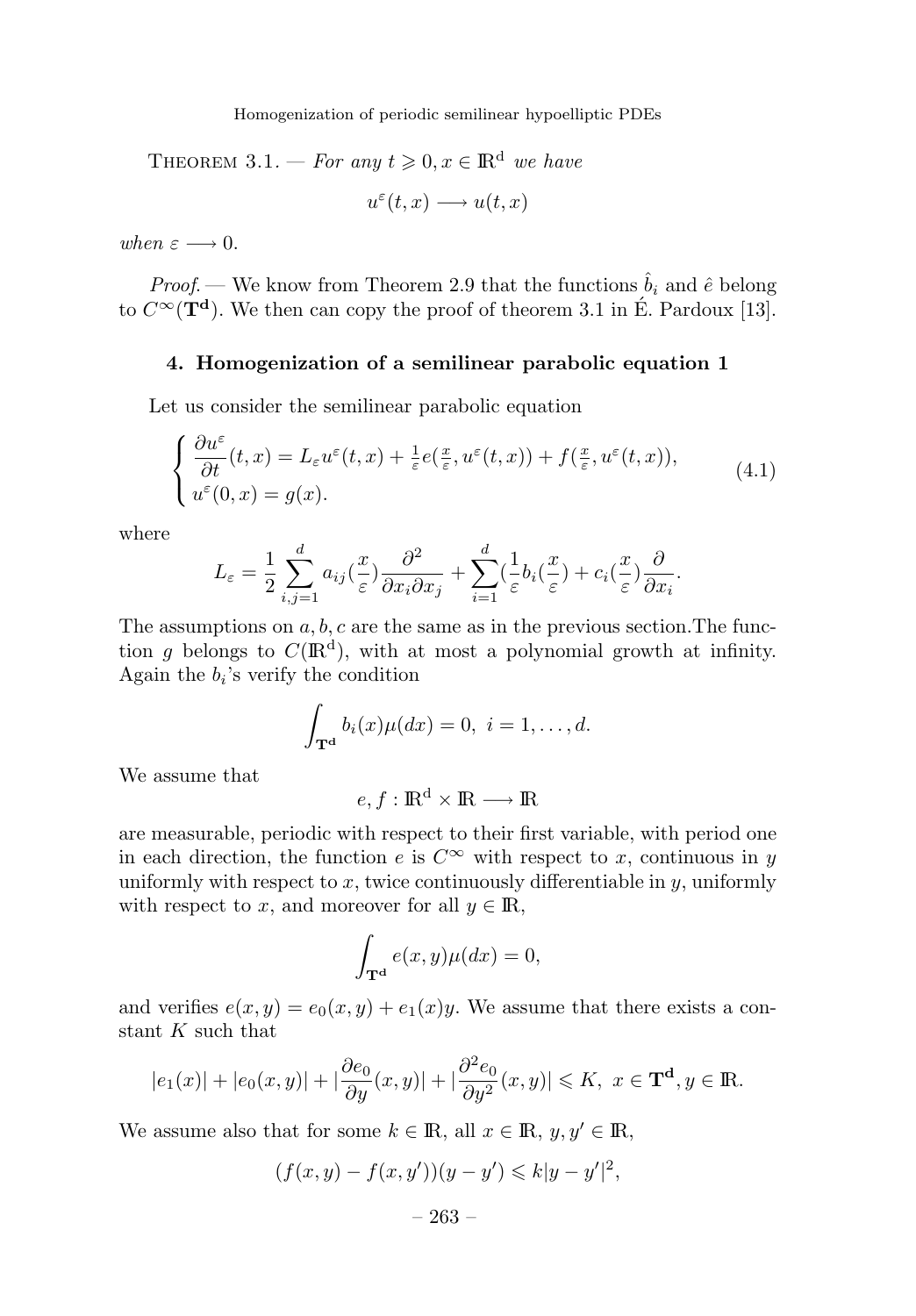Homogenization of periodic semilinear hypoelliptic PDEs

THEOREM 3.1. — For any  $t \geq 0, x \in \mathbb{R}^d$  we have

$$
u^{\varepsilon}(t,x) \longrightarrow u(t,x)
$$

when  $\varepsilon \longrightarrow 0$ .

*Proof.* — We know from Theorem 2.9 that the functions  $\hat{b}_i$  and  $\hat{e}$  belong to  $C^{\infty}(\mathbf{T}^d)$ . We then can copy the proof of theorem 3.1 in E. Pardoux [13].

#### **4. Homogenization of a semilinear parabolic equation 1**

Let us consider the semilinear parabolic equation

$$
\begin{cases} \frac{\partial u^{\varepsilon}}{\partial t}(t,x) = L_{\varepsilon}u^{\varepsilon}(t,x) + \frac{1}{\varepsilon}e(\frac{x}{\varepsilon},u^{\varepsilon}(t,x)) + f(\frac{x}{\varepsilon},u^{\varepsilon}(t,x)),\\ u^{\varepsilon}(0,x) = g(x). \end{cases}
$$
(4.1)

where

$$
L_{\varepsilon} = \frac{1}{2} \sum_{i,j=1}^{d} a_{ij} (\frac{x}{\varepsilon}) \frac{\partial^2}{\partial x_i \partial x_j} + \sum_{i=1}^{d} (\frac{1}{\varepsilon} b_i (\frac{x}{\varepsilon}) + c_i (\frac{x}{\varepsilon}) \frac{\partial}{\partial x_i}.
$$

The assumptions on *a, b, c* are the same as in the previous section.The function *g* belongs to  $C(\mathbb{R}^d)$ , with at most a polynomial growth at infinity. Again the  $b_i$ 's verify the condition

$$
\int_{\mathbf{T}^{\mathbf{d}}} b_i(x) \mu(dx) = 0, \ i = 1, \dots, d.
$$

We assume that

 $e, f : \mathbb{R}^d \times \mathbb{R} \longrightarrow \mathbb{R}$ 

are measurable, periodic with respect to their first variable, with period one in each direction, the function *e* is  $C^{\infty}$  with respect to *x*, continuous in *y* uniformly with respect to  $x$ , twice continuously differentiable in  $y$ , uniformly with respect to *x*, and moreover for all  $y \in \mathbb{R}$ ,

$$
\int_{\mathbf{T}^{\mathbf{d}}} e(x, y) \mu(dx) = 0,
$$

and verifies  $e(x, y) = e_0(x, y) + e_1(x)y$ . We assume that there exists a constant *K* such that

$$
|e_1(x)|+|e_0(x,y)|+|\frac{\partial e_0}{\partial y}(x,y)|+|\frac{\partial^2 e_0}{\partial y^2}(x,y)|\leqslant K,\ x\in \mathbf{T}^{\mathbf{d}}, y\in \mathbb{R}.
$$

We assume also that for some  $k \in \mathbb{R}$ , all  $x \in \mathbb{R}$ ,  $y, y' \in \mathbb{R}$ ,

$$
(f(x, y) - f(x, y'))(y - y') \leq k|y - y'|^2,
$$

– 263 –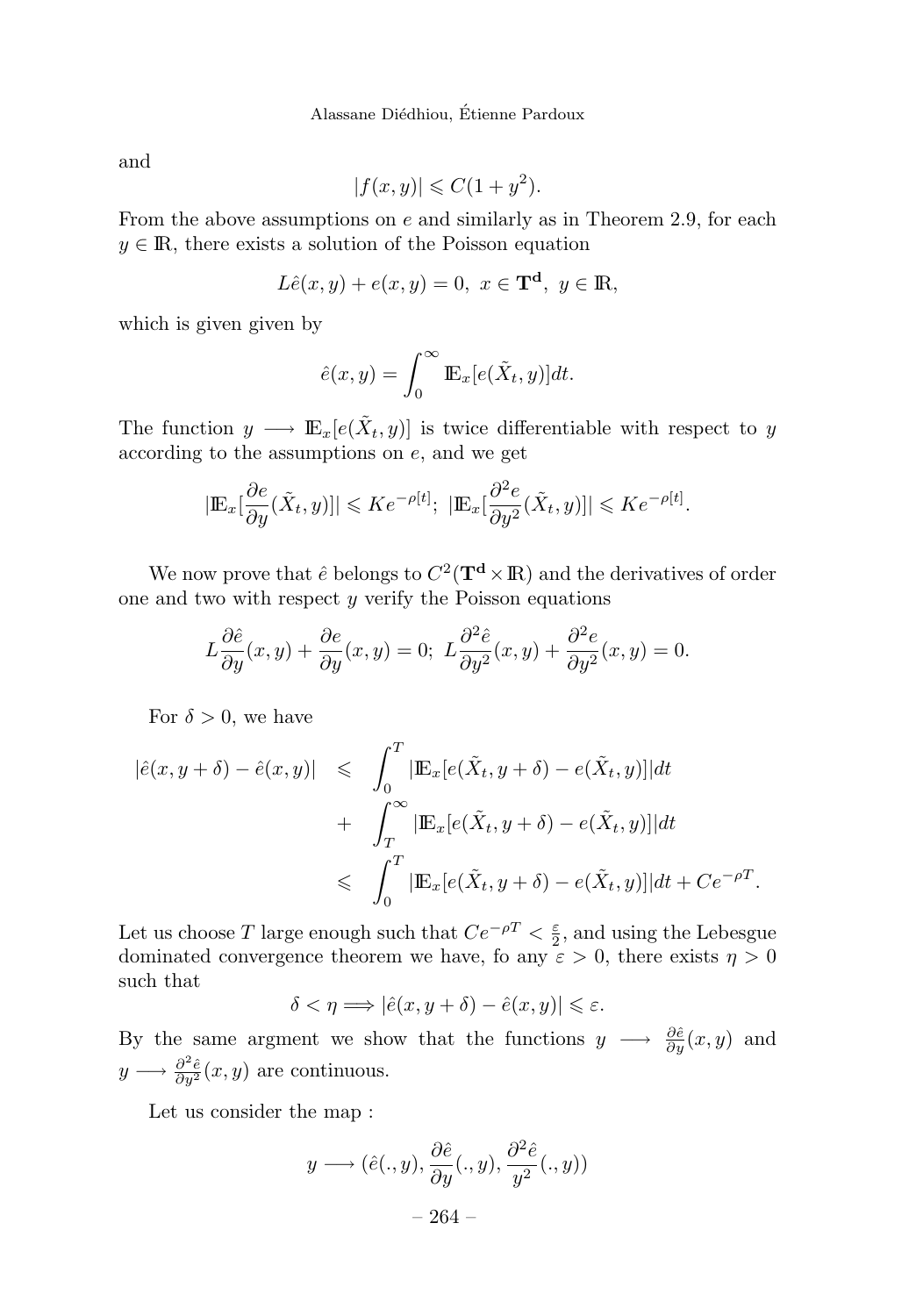and

$$
|f(x,y)| \leqslant C(1+y^2).
$$

From the above assumptions on *e* and similarly as in Theorem 2.9, for each  $y \in \mathbb{R}$ , there exists a solution of the Poisson equation

$$
L\hat{e}(x,y) + e(x,y) = 0, \ x \in \mathbf{T}^d, \ y \in \mathbb{R},
$$

which is given given by

$$
\hat{e}(x,y) = \int_0^\infty \mathbb{E}_x[e(\tilde{X}_t, y)]dt.
$$

The function  $y \longrightarrow \mathbb{E}_x[e(\tilde{X}_t, y)]$  is twice differentiable with respect to *y* according to the assumptions on *e,* and we get

$$
|\mathbb{E}_x[\frac{\partial e}{\partial y}(\tilde{X}_t, y)]| \leqslant Ke^{-\rho[t]}; \ |\mathbb{E}_x[\frac{\partial^2 e}{\partial y^2}(\tilde{X}_t, y)]| \leqslant Ke^{-\rho[t]}.
$$

We now prove that  $\hat{e}$  belongs to  $C^2(\mathbf{T}^d \times \mathbf{R})$  and the derivatives of order one and two with respect *y* verify the Poisson equations

$$
L\frac{\partial \hat{e}}{\partial y}(x,y) + \frac{\partial e}{\partial y}(x,y) = 0; L\frac{\partial^2 \hat{e}}{\partial y^2}(x,y) + \frac{\partial^2 e}{\partial y^2}(x,y) = 0.
$$

For  $\delta > 0$ , we have

$$
\begin{aligned}\n|\hat{e}(x, y + \delta) - \hat{e}(x, y)| &\leq \int_0^T |\mathbb{E}_x[e(\tilde{X}_t, y + \delta) - e(\tilde{X}_t, y)]| dt \\
&\quad + \int_T^\infty |\mathbb{E}_x[e(\tilde{X}_t, y + \delta) - e(\tilde{X}_t, y)]| dt \\
&\leq \int_0^T |\mathbb{E}_x[e(\tilde{X}_t, y + \delta) - e(\tilde{X}_t, y)]| dt + Ce^{-\rho T}.\n\end{aligned}
$$

Let us choose *T* large enough such that  $Ce^{-\rho T} < \frac{\varepsilon}{2}$ , and using the Lebesgue dominated convergence theorem we have, fo any  $\varepsilon > 0$ , there exists  $\eta > 0$ such that

$$
\delta < \eta \Longrightarrow |\hat{e}(x, y + \delta) - \hat{e}(x, y)| \leq \varepsilon.
$$

By the same argment we show that the functions  $y \longrightarrow \frac{\partial \hat{e}}{\partial y}(x, y)$  and  $y \longrightarrow \frac{\partial^2 \hat{e}}{\partial y^2}(x, y)$  are continuous.

Let us consider the map :

$$
y \longrightarrow (\hat{e}(., y), \frac{\partial \hat{e}}{\partial y}(., y), \frac{\partial^2 \hat{e}}{y^2}(., y))
$$

$$
-264 -
$$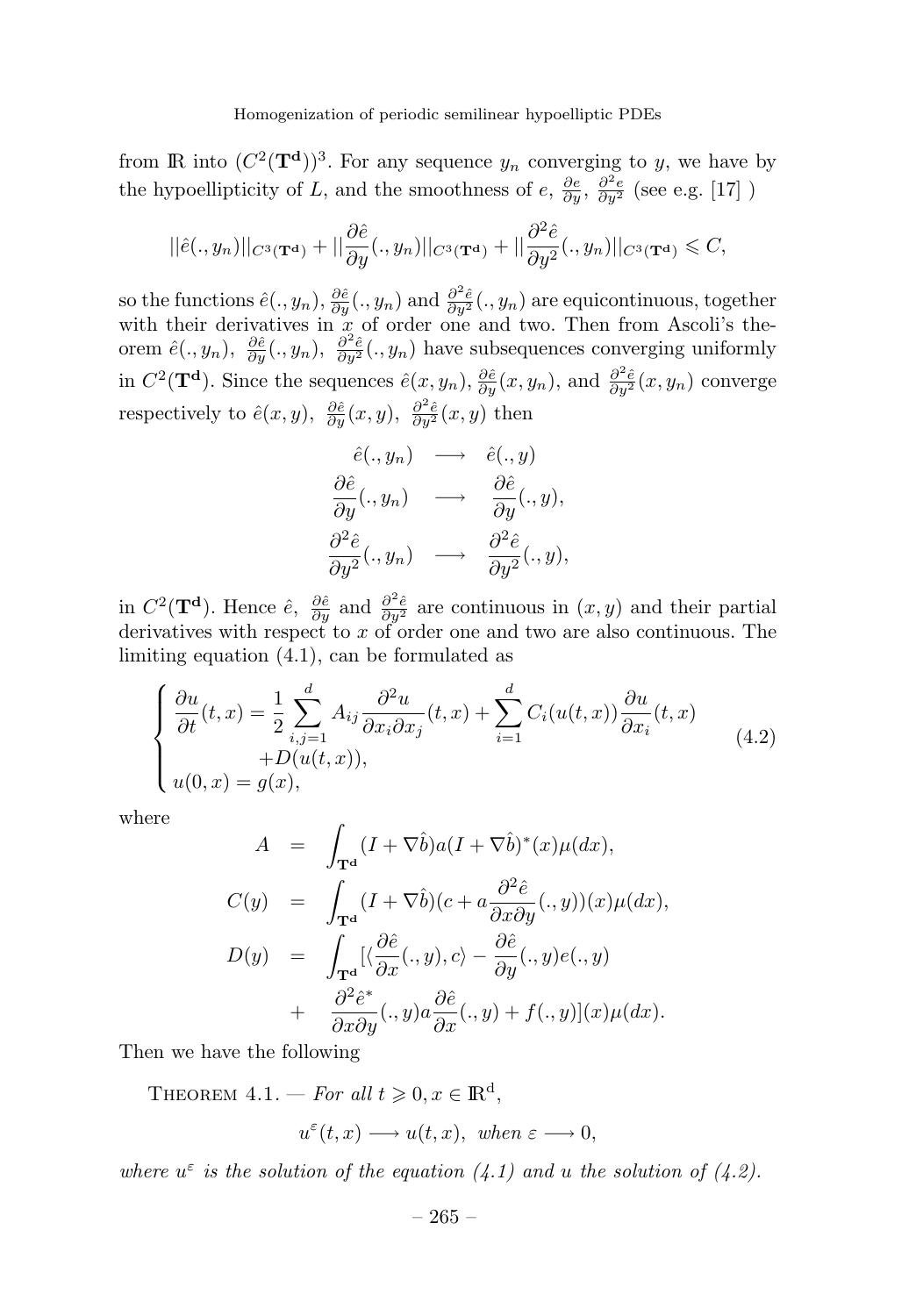from **IR** into  $(C^2(\mathbf{T}^d))^3$ . For any sequence  $y_n$  converging to *y*, we have by the hypoellipticity of *L*, and the smoothness of *e*,  $\frac{\partial e}{\partial y}$ ,  $\frac{\partial^2 e}{\partial y^2}$  (see e.g. [17] )

$$
||\hat{e}(.,y_n)||_{C^3(\mathbf{T}^{\mathbf{d}})} + ||\frac{\partial \hat{e}}{\partial y}(.,y_n)||_{C^3(\mathbf{T}^{\mathbf{d}})} + ||\frac{\partial^2 \hat{e}}{\partial y^2}(.,y_n)||_{C^3(\mathbf{T}^{\mathbf{d}})} \leqslant C,
$$

 $\hat{e}(\cdot, y_n), \frac{\partial \hat{e}}{\partial y}(\cdot, y_n)$  and  $\frac{\partial^2 \hat{e}}{\partial y^2}(\cdot, y_n)$  are equicontinuous, together with their derivatives in  $\tilde{x}$  of order one and two. Then from Ascoli's theorem  $\hat{e}(.,y_n), \frac{\partial \hat{e}}{\partial y}(.,y_n), \frac{\partial^2 \hat{e}}{\partial y^2}(.,y_n)$  have subsequences converging uniformly in  $C^2(\mathbf{T}^d)$ . Since the sequences  $\hat{e}(x, y_n)$ ,  $\frac{\partial \hat{e}}{\partial y}(x, y_n)$ , and  $\frac{\partial^2 \hat{e}}{\partial y^2}(x, y_n)$  converge respectively to  $\hat{e}(x, y)$ ,  $\frac{\partial \hat{e}}{\partial y}(x, y)$ ,  $\frac{\partial^2 \hat{e}}{\partial y^2}(x, y)$  then

$$
\begin{array}{rcl}\n\hat{e}(.,y_n) & \longrightarrow & \hat{e}(.,y) \\
\frac{\partial \hat{e}}{\partial y}(.,y_n) & \longrightarrow & \frac{\partial \hat{e}}{\partial y}(.,y), \\
\frac{\partial^2 \hat{e}}{\partial y^2}(.,y_n) & \longrightarrow & \frac{\partial^2 \hat{e}}{\partial y^2}(.,y),\n\end{array}
$$

in  $C^2(\mathbf{T}^d)$ . Hence  $\hat{e}$ ,  $\frac{\partial \hat{e}}{\partial y}$  and  $\frac{\partial^2 \hat{e}}{\partial y^2}$  are continuous in  $(x, y)$  and their partial derivatives with respect to *x* of order one and two are also continuous. The limiting equation (4.1), can be formulated as

$$
\begin{cases} \frac{\partial u}{\partial t}(t,x) = \frac{1}{2} \sum_{i,j=1}^{d} A_{ij} \frac{\partial^2 u}{\partial x_i \partial x_j}(t,x) + \sum_{i=1}^{d} C_i(u(t,x)) \frac{\partial u}{\partial x_i}(t,x) \\ + D(u(t,x)), \\ u(0,x) = g(x), \end{cases}
$$
(4.2)

where

$$
A = \int_{\mathbf{T}^{\mathbf{d}}}(I + \nabla \hat{b})a(I + \nabla \hat{b})^{*}(x)\mu(dx),
$$
  
\n
$$
C(y) = \int_{\mathbf{T}^{\mathbf{d}}}(I + \nabla \hat{b})(c + a \frac{\partial^{2} \hat{e}}{\partial x \partial y}(. , y))(x)\mu(dx),
$$
  
\n
$$
D(y) = \int_{\mathbf{T}^{\mathbf{d}}} [ \langle \frac{\partial \hat{e}}{\partial x}(. , y), c \rangle - \frac{\partial \hat{e}}{\partial y}(. , y)e(., y)
$$
  
\n
$$
+ \frac{\partial^{2} \hat{e}^{*}}{\partial x \partial y}(. , y)a \frac{\partial \hat{e}}{\partial x}(. , y) + f(., y)](x)\mu(dx).
$$

Then we have the following

THEOREM  $4.1.$  – For all  $t \geqslant 0, x \in \mathbb{R}^d$ ,

$$
u^{\varepsilon}(t,x) \longrightarrow u(t,x), \text{ when } \varepsilon \longrightarrow 0,
$$

where  $u^{\varepsilon}$  is the solution of the equation (4.1) and *u* the solution of (4.2).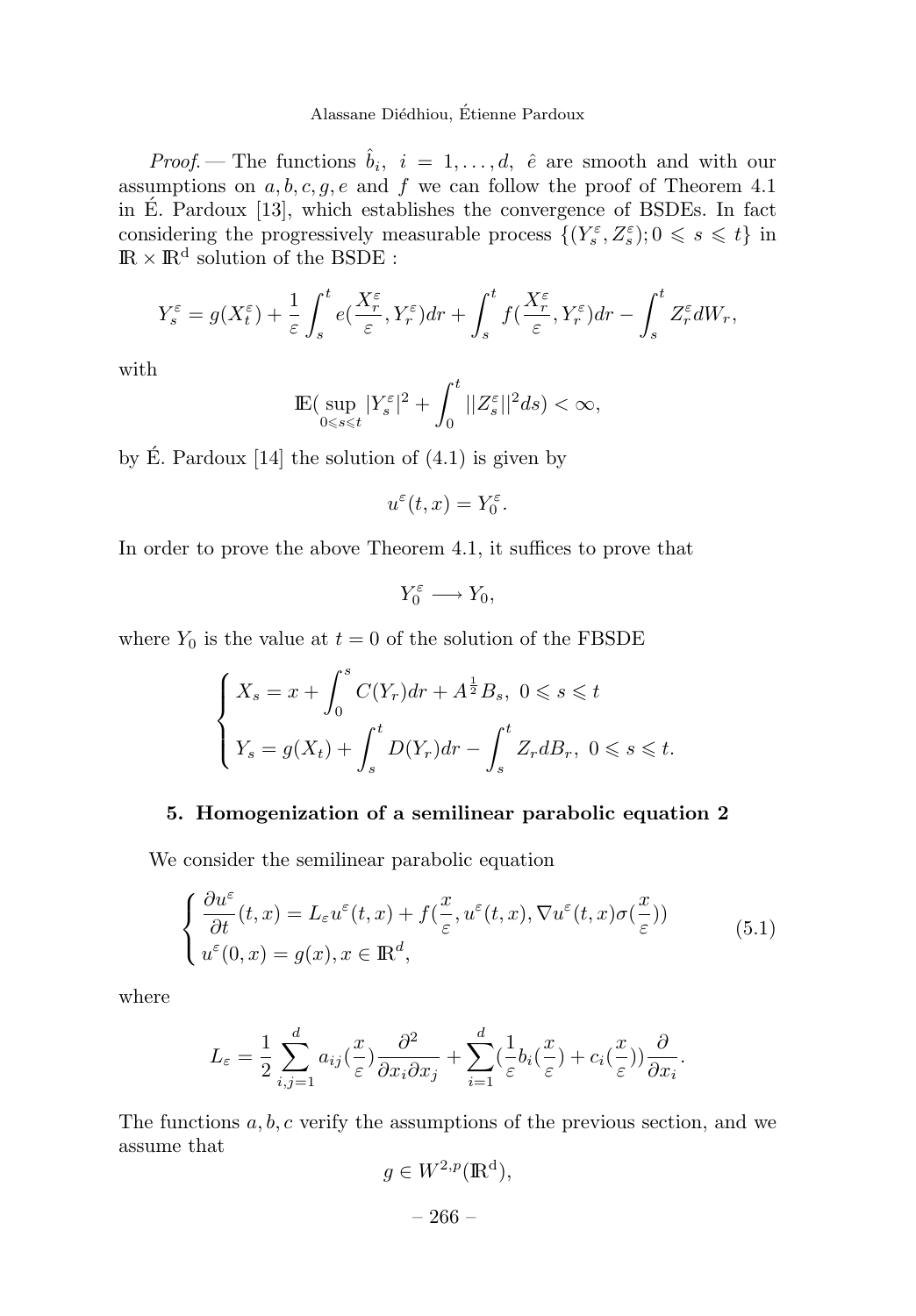*Proof.* — The functions  $\hat{b}_i$ ,  $i = 1, \ldots, d$ ,  $\hat{e}$  are smooth and with our assumptions on *a, b, c, g, e* and *f* we can follow the proof of Theorem 4.1 in E. Pardoux [13], which establishes the convergence of BSDEs. In fact ´ considering the progressively measurable process  $\{(Y_s^{\varepsilon}, Z_s^{\varepsilon}); 0 \leq s \leq t\}$  in  $\mathbb{R} \times \mathbb{R}^d$  solution of the BSDE :

$$
Y_s^{\varepsilon} = g(X_t^{\varepsilon}) + \frac{1}{\varepsilon} \int_s^t e(\frac{X_r^{\varepsilon}}{\varepsilon}, Y_r^{\varepsilon}) dr + \int_s^t f(\frac{X_r^{\varepsilon}}{\varepsilon}, Y_r^{\varepsilon}) dr - \int_s^t Z_r^{\varepsilon} dW_r,
$$

with

$$
\mathbb{E}\big(\sup_{0\leqslant s\leqslant t}|Y_{s}^{\varepsilon}|^{2}+\int^{t}_{0}||Z^{\varepsilon}_{s}||^{2}ds)<\infty,
$$

by  $\acute{E}$ . Pardoux [14] the solution of  $(4.1)$  is given by

$$
u^{\varepsilon}(t,x) = Y_0^{\varepsilon}.
$$

In order to prove the above Theorem 4.1, it suffices to prove that

$$
Y_0^\varepsilon\longrightarrow Y_0,
$$

where  $Y_0$  is the value at  $t = 0$  of the solution of the FBSDE

$$
\begin{cases} X_s = x + \int_0^s C(Y_r) dr + A^{\frac{1}{2}} B_s, \ 0 \le s \le t \\ Y_s = g(X_t) + \int_s^t D(Y_r) dr - \int_s^t Z_r dB_r, \ 0 \le s \le t. \end{cases}
$$

#### **5. Homogenization of a semilinear parabolic equation 2**

We consider the semilinear parabolic equation

$$
\begin{cases} \frac{\partial u^{\varepsilon}}{\partial t}(t,x) = L_{\varepsilon}u^{\varepsilon}(t,x) + f(\frac{x}{\varepsilon}, u^{\varepsilon}(t,x), \nabla u^{\varepsilon}(t,x)\sigma(\frac{x}{\varepsilon})) \\ u^{\varepsilon}(0,x) = g(x), x \in \mathbb{R}^{d}, \end{cases}
$$
(5.1)

where

$$
L_{\varepsilon} = \frac{1}{2} \sum_{i,j=1}^{d} a_{ij} (\frac{x}{\varepsilon}) \frac{\partial^2}{\partial x_i \partial x_j} + \sum_{i=1}^{d} (\frac{1}{\varepsilon} b_i (\frac{x}{\varepsilon}) + c_i (\frac{x}{\varepsilon})) \frac{\partial}{\partial x_i}.
$$

The functions *a, b, c* verify the assumptions of the previous section, and we assume that

$$
g \in W^{2,p}(\mathbb{R}^d),
$$

– 266 –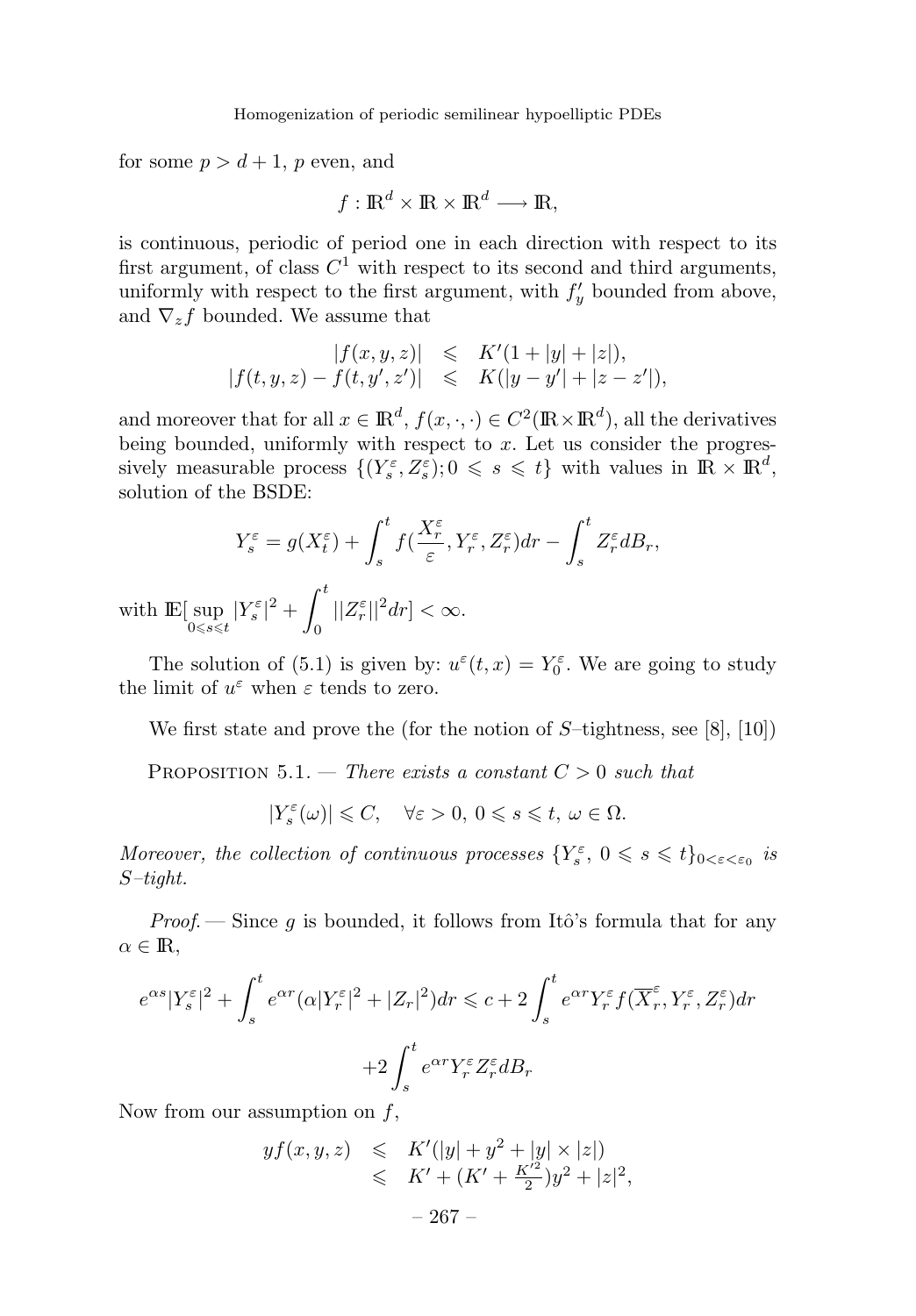for some  $p > d + 1$ , *p* even, and

$$
f: \mathbb{R}^d \times \mathbb{R} \times \mathbb{R}^d \longrightarrow \mathbb{R},
$$

is continuous, periodic of period one in each direction with respect to its first argument, of class  $C^1$  with respect to its second and third arguments, uniformly with respect to the first argument, with  $f'_y$  bounded from above, and  $\nabla_z f$  bounded. We assume that

$$
|f(x, y, z)| \leq K'(1 + |y| + |z|),
$$
  
\n
$$
|f(t, y, z) - f(t, y', z')| \leq K(|y - y'| + |z - z'|),
$$

and moreover that for all  $x \in \mathbb{R}^d$ ,  $f(x, \cdot, \cdot) \in C^2(\mathbb{R} \times \mathbb{R}^d)$ , all the derivatives being bounded, uniformly with respect to *x*. Let us consider the progressively measurable process  $\{(Y_s^{\varepsilon}, Z_s^{\varepsilon}); 0 \leqslant s \leqslant t\}$  with values in  $\mathbb{R} \times \mathbb{R}^d$ , solution of the BSDE:

$$
Y_s^{\varepsilon} = g(X_t^{\varepsilon}) + \int_s^t f(\frac{X_r^{\varepsilon}}{\varepsilon}, Y_r^{\varepsilon}, Z_r^{\varepsilon}) dr - \int_s^t Z_r^{\varepsilon} dB_r,
$$

with  $\mathbb{E}[\sup_{0 \leq s \leq t} |Y_s^{\varepsilon}|^2 + \int_0^t$  $\mathbf{0}$  $||Z_r^{\varepsilon}||^2 dr] < \infty$ .

The solution of (5.1) is given by:  $u^{\varepsilon}(t, x) = Y_0^{\varepsilon}$ . We are going to study the limit of  $u^{\varepsilon}$  when  $\varepsilon$  tends to zero.

We first state and prove the (for the notion of *S*–tightness, see [8], [10])

PROPOSITION 5.1. — There exists a constant  $C > 0$  such that

 $|Y_{s}^{\varepsilon}(\omega)| \leqslant C, \quad \forall \varepsilon >0, \ 0\leqslant s \leqslant t, \ \omega \in \Omega.$ 

Moreover, the collection of continuous processes  $\{Y_s^{\varepsilon}, 0 \leq s \leq t\}_{0 \leq \varepsilon \leq \varepsilon_0}$  is *S*–tight.

*Proof.* — Since q is bounded, it follows from Itô's formula that for any  $\alpha \in \mathbb{R}$ ,

$$
e^{\alpha s}|Y_s^{\varepsilon}|^2 + \int_s^t e^{\alpha r} (\alpha |Y_r^{\varepsilon}|^2 + |Z_r|^2) dr \leqslant c + 2 \int_s^t e^{\alpha r} Y_r^{\varepsilon} f(\overline{X}_r^{\varepsilon}, Y_r^{\varepsilon}, Z_r^{\varepsilon}) dr
$$

$$
+ 2 \int_s^t e^{\alpha r} Y_r^{\varepsilon} Z_r^{\varepsilon} dB_r
$$

Now from our assumption on *f*,

$$
yf(x, y, z) \leq K'(|y| + y^2 + |y| \times |z|)
$$
  

$$
\leq K' + (K' + \frac{K'^2}{2})y^2 + |z|^2,
$$
  

$$
-267 -
$$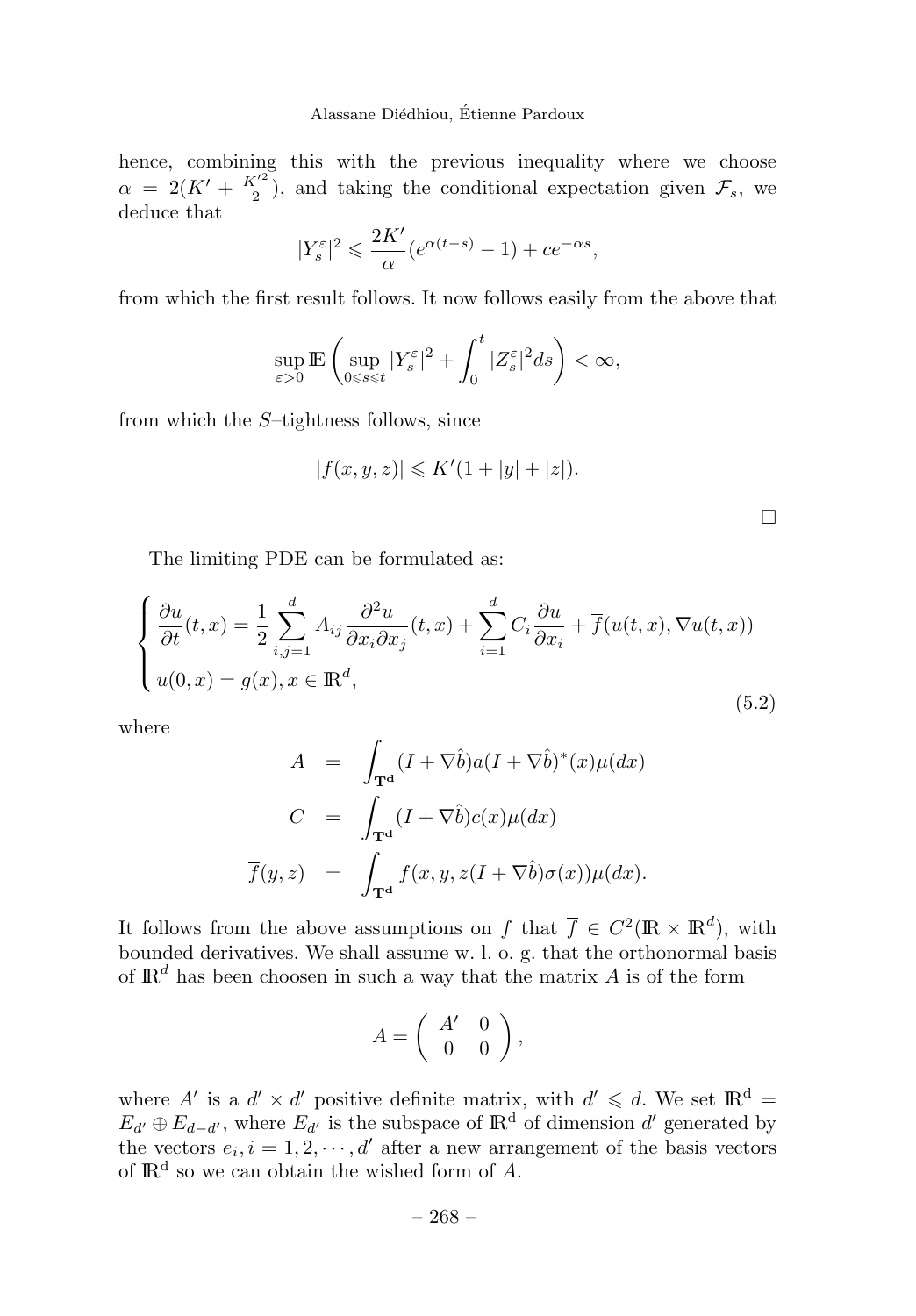hence, combining this with the previous inequality where we choose  $\alpha = 2(K' + \frac{K'^2}{2})$ , and taking the conditional expectation given  $\mathcal{F}_s$ , we deduce that

$$
|Y_s^{\varepsilon}|^2 \leqslant \frac{2K'}{\alpha} (e^{\alpha(t-s)} - 1) + ce^{-\alpha s},
$$

from which the first result follows. It now follows easily from the above that

$$
\sup_{\varepsilon>0}\mathbb{E}\left(\sup_{0\leqslant s\leqslant t}|Y_{s}^{\varepsilon}|^{2}+\int_{0}^{t}|Z_{s}^{\varepsilon}|^{2}ds\right)<\infty,
$$

from which the *S*–tightness follows, since

$$
|f(x, y, z)| \le K'(1 + |y| + |z|).
$$

The limiting PDE can be formulated as:

$$
\begin{cases} \frac{\partial u}{\partial t}(t,x) = \frac{1}{2} \sum_{i,j=1}^{d} A_{ij} \frac{\partial^2 u}{\partial x_i \partial x_j}(t,x) + \sum_{i=1}^{d} C_i \frac{\partial u}{\partial x_i} + \overline{f}(u(t,x), \nabla u(t,x)) \\ u(0,x) = g(x), x \in \mathbb{R}^d, \end{cases}
$$
(5.2)

where

$$
A = \int_{\mathbf{T}^{\mathbf{d}}}(I + \nabla \hat{b})a(I + \nabla \hat{b})^{*}(x)\mu(dx)
$$
  
\n
$$
C = \int_{\mathbf{T}^{\mathbf{d}}}(I + \nabla \hat{b})c(x)\mu(dx)
$$
  
\n
$$
\overline{f}(y, z) = \int_{\mathbf{T}^{\mathbf{d}}}f(x, y, z(I + \nabla \hat{b})\sigma(x))\mu(dx).
$$

It follows from the above assumptions on *f* that  $\overline{f} \in C^2(\mathbb{R} \times \mathbb{R}^d)$ , with bounded derivatives. We shall assume w. l. o. g. that the orthonormal basis of  $\mathbb{R}^d$  has been choosen in such a way that the matrix  $A$  is of the form

$$
A = \left( \begin{array}{cc} A' & 0 \\ 0 & 0 \end{array} \right),
$$

where  $A'$  is a  $d' \times d'$  positive definite matrix, with  $d' \leq d$ . We set  $\mathbb{R}^d$  =  $E_{d'} \oplus E_{d-d'}$ , where  $E_{d'}$  is the subspace of  $\mathbb{R}^d$  of dimension  $d'$  generated by the vectors  $e_i$ ,  $i = 1, 2, \dots, d'$  after a new arrangement of the basis vectors of  $\mathbb{R}^d$  so we can obtain the wished form of  $A$ .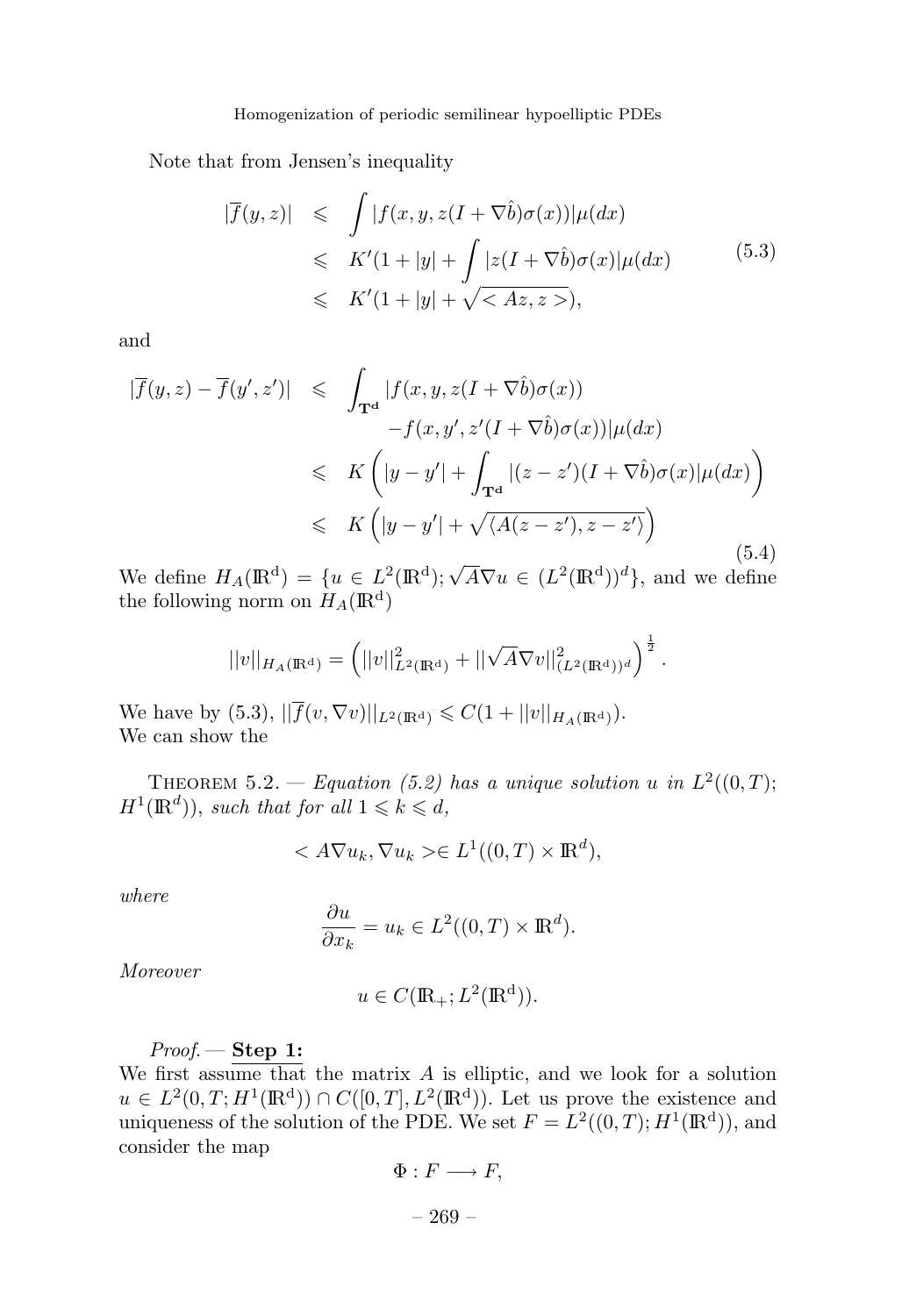Note that from Jensen's inequality

$$
|\overline{f}(y,z)| \leq \int |f(x,y,z(I+\nabla \hat{b})\sigma(x))|\mu(dx)
$$
  
\n
$$
\leq K'(1+|y| + \int |z(I+\nabla \hat{b})\sigma(x)|\mu(dx)
$$
  
\n
$$
\leq K'(1+|y| + \sqrt{}),
$$
\n(5.3)

and

$$
\begin{aligned}\n|\overline{f}(y,z) - \overline{f}(y',z')| &\leq \int_{\mathbf{T}^d} |f(x,y,z(I+\nabla \hat{b})\sigma(x))| \\
&\quad - f(x,y',z'(I+\nabla \hat{b})\sigma(x))|\mu(dx) \\
&\leqslant K \left( |y-y'| + \int_{\mathbf{T}^d} |(z-z')(I+\nabla \hat{b})\sigma(x)|\mu(dx) \right) \\
&\leqslant K \left( |y-y'| + \sqrt{\langle A(z-z'), z-z' \rangle} \right)\n\end{aligned}
$$
\n(5.4)

We define  $H_A(\mathbb{R}^d) = \{u \in L^2(\mathbb{R}^d); \sqrt{A}\nabla u \in (L^2(\mathbb{R}^d))^d\}$ , and we define the following norm on  $H_A(\mathbb{R}^d)$ 

$$
||v||_{H_A(\mathbb{R}^d)} = \left(||v||^2_{L^2(\mathbb{R}^d)} + ||\sqrt{A}\nabla v||^2_{(L^2(\mathbb{R}^d))^d}\right)^{\frac{1}{2}}.
$$

We have by (5.3),  $|| f(v, \nabla v) ||_{L^2(\mathbb{R}^d)} \leq C(1+ ||v||_{H_A(\mathbb{R}^d)}).$ We can show the

THEOREM 5.2. — Equation (5.2) has a unique solution *u* in  $L^2((0,T);$  $H^1(\mathbb{R}^d)$ , such that for all  $1 \leq k \leq d$ ,

$$
\langle A\nabla u_k, \nabla u_k \rangle \in L^1((0,T) \times \mathbb{R}^d),
$$

where

$$
\frac{\partial u}{\partial x_k} = u_k \in L^2((0, T) \times \mathbb{R}^d).
$$

Moreover

$$
u \in C(\mathbb{R}_+; L^2(\mathbb{R}^d)).
$$

Proof. — **Step 1:**

We first assume that the matrix *A* is elliptic, and we look for a solution  $u \in L^2(0,T;H^1(\mathbb{R}^d)) \cap C([0,T],L^2(\mathbb{R}^d))$ . Let us prove the existence and uniqueness of the solution of the PDE. We set  $F = L^2((0,T); H^1(\mathbb{R}^d))$ , and consider the map

$$
\Phi: F \longrightarrow F,
$$

– 269 –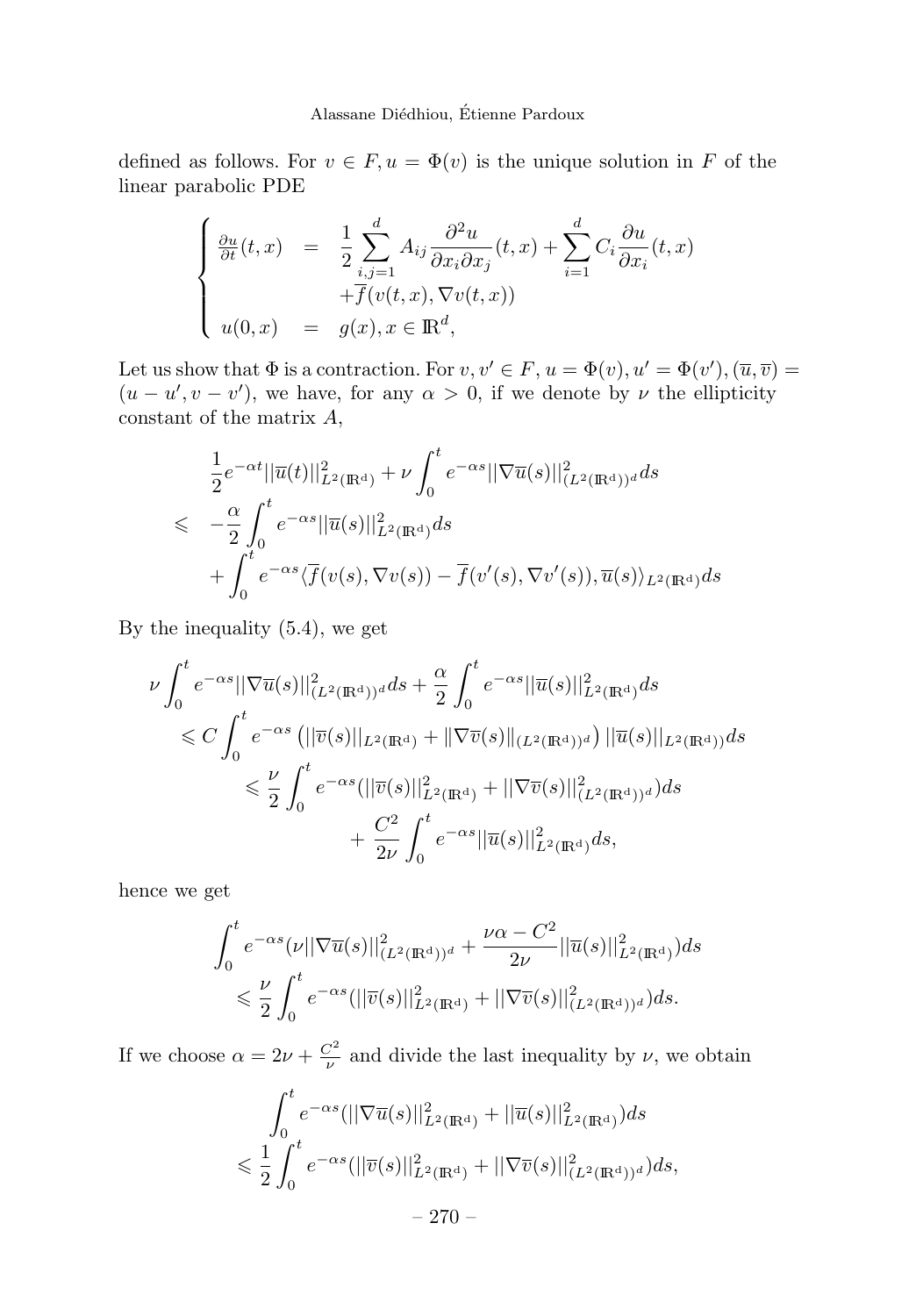defined as follows. For  $v \in F$ ,  $u = \Phi(v)$  is the unique solution in *F* of the linear parabolic PDE

$$
\begin{cases}\n\frac{\partial u}{\partial t}(t,x) = \frac{1}{2} \sum_{i,j=1}^{d} A_{ij} \frac{\partial^2 u}{\partial x_i \partial x_j}(t,x) + \sum_{i=1}^{d} C_i \frac{\partial u}{\partial x_i}(t,x) \\
+ \overline{f}(v(t,x), \nabla v(t,x)) \\
u(0,x) = g(x), x \in \mathbb{R}^d,\n\end{cases}
$$

Let us show that  $\Phi$  is a contraction. For  $v, v' \in F$ ,  $u = \Phi(v)$ ,  $u' = \Phi(v')$ ,  $(\overline{u}, \overline{v}) =$  $(u - u', v - v')$ , we have, for any  $\alpha > 0$ , if we denote by  $\nu$  the ellipticity constant of the matrix *A*,

$$
\frac{1}{2}e^{-\alpha t}||\overline{u}(t)||_{L^2(\mathbb{R}^d)}^2 + \nu \int_0^t e^{-\alpha s}||\nabla \overline{u}(s)||_{(L^2(\mathbb{R}^d))^d}^2 ds
$$
\n
$$
\leq -\frac{\alpha}{2} \int_0^t e^{-\alpha s}||\overline{u}(s)||_{L^2(\mathbb{R}^d)}^2 ds
$$
\n
$$
+ \int_0^t e^{-\alpha s} \langle \overline{f}(v(s), \nabla v(s)) - \overline{f}(v'(s), \nabla v'(s)), \overline{u}(s) \rangle_{L^2(\mathbb{R}^d)} ds
$$

By the inequality (5.4), we get

$$
\nu \int_0^t e^{-\alpha s} ||\nabla \overline{u}(s)||^2_{(L^2(\mathbb{R}^d))^d} ds + \frac{\alpha}{2} \int_0^t e^{-\alpha s} ||\overline{u}(s)||^2_{L^2(\mathbb{R}^d)} ds \n\leq C \int_0^t e^{-\alpha s} (||\overline{v}(s)||_{L^2(\mathbb{R}^d)} + ||\nabla \overline{v}(s)||_{(L^2(\mathbb{R}^d))^d}) ||\overline{u}(s)||_{L^2(\mathbb{R}^d)} ds \n\leq \frac{\nu}{2} \int_0^t e^{-\alpha s} (||\overline{v}(s)||^2_{L^2(\mathbb{R}^d)} + ||\nabla \overline{v}(s)||^2_{(L^2(\mathbb{R}^d))^d}) ds \n+ \frac{C^2}{2\nu} \int_0^t e^{-\alpha s} ||\overline{u}(s)||^2_{L^2(\mathbb{R}^d)} ds,
$$

hence we get

$$
\int_0^t e^{-\alpha s} (\nu ||\nabla \overline{u}(s)||^2_{(L^2(\mathbb{R}^d))^d} + \frac{\nu \alpha - C^2}{2\nu} ||\overline{u}(s)||^2_{L^2(\mathbb{R}^d)}) ds
$$
  
\$\leqslant \frac{\nu}{2} \int\_0^t e^{-\alpha s} (||\overline{v}(s)||^2\_{L^2(\mathbb{R}^d)} + ||\nabla \overline{v}(s)||^2\_{(L^2(\mathbb{R}^d))^d}) ds.\$

If we choose  $\alpha = 2\nu + \frac{C^2}{\nu}$  and divide the last inequality by  $\nu$ , we obtain

$$
\int_0^t e^{-\alpha s} (||\nabla \overline{u}(s)||^2_{L^2(\mathbb{R}^d)} + ||\overline{u}(s)||^2_{L^2(\mathbb{R}^d)}) ds
$$
  

$$
\leq \frac{1}{2} \int_0^t e^{-\alpha s} (||\overline{v}(s)||^2_{L^2(\mathbb{R}^d)} + ||\nabla \overline{v}(s)||^2_{(L^2(\mathbb{R}^d))^d}) ds,
$$
  

$$
- 270 -
$$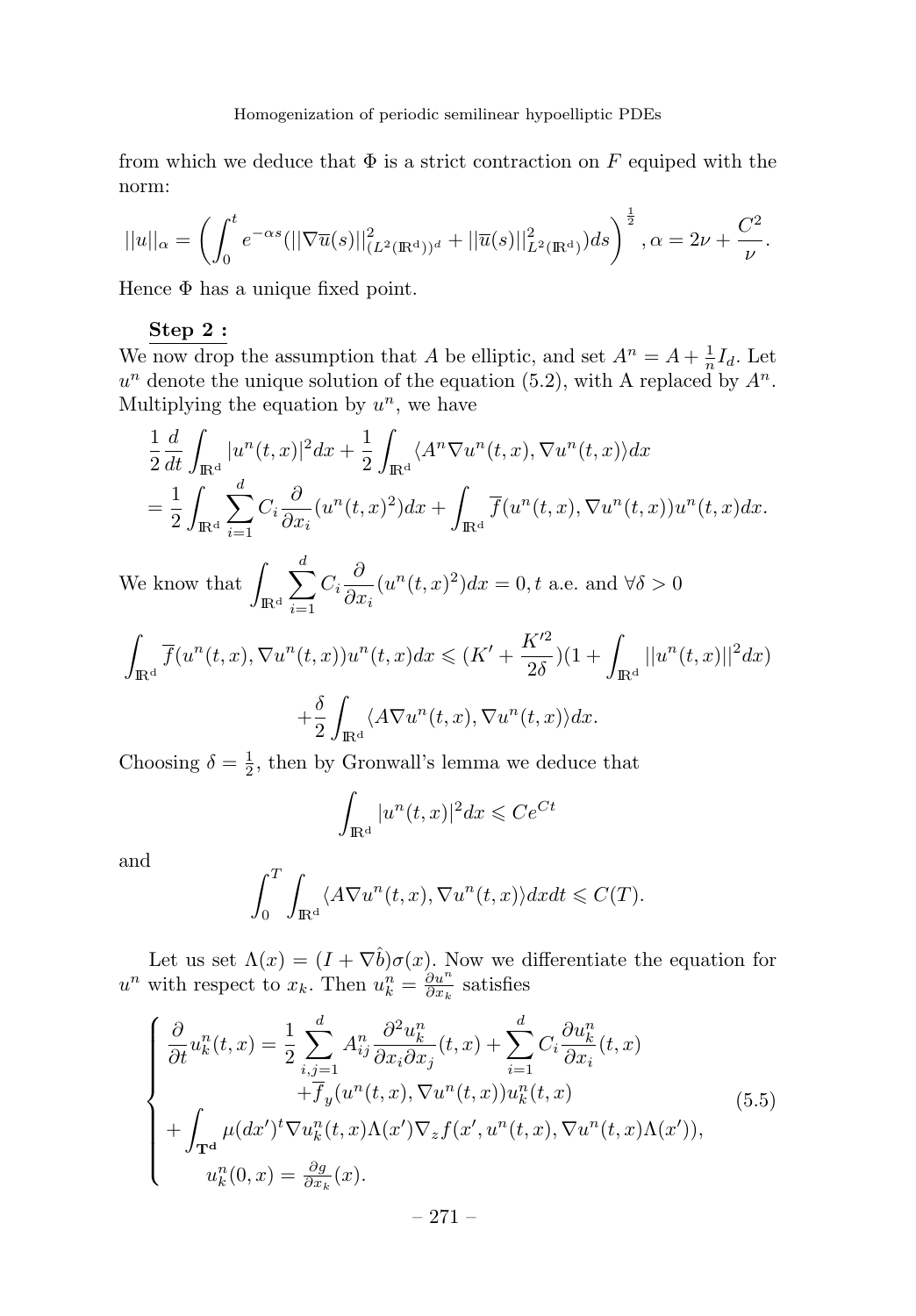from which we deduce that  $\Phi$  is a strict contraction on  $F$  equiped with the norm:

$$
||u||_{\alpha} = \left(\int_0^t e^{-\alpha s} (||\nabla \overline{u}(s)||_{(L^2(\mathbb{R}^d))^d}^2 + ||\overline{u}(s)||_{L^2(\mathbb{R}^d)}^2) ds\right)^{\frac{1}{2}}, \alpha = 2\nu + \frac{C^2}{\nu}.
$$

Hence  $\Phi$  has a unique fixed point.

#### **Step 2 :**

We now drop the assumption that *A* be elliptic, and set  $A^n = A + \frac{1}{n}I_d$ . Let  $u^n$  denote the unique solution of the equation (5.2), with A replaced by  $A^n$ . Multiplying the equation by  $u^n$ , we have

$$
\frac{1}{2}\frac{d}{dt}\int_{\mathbb{R}^d}|u^n(t,x)|^2dx + \frac{1}{2}\int_{\mathbb{R}^d}\langle A^n \nabla u^n(t,x), \nabla u^n(t,x)\rangle dx
$$
  
= 
$$
\frac{1}{2}\int_{\mathbb{R}^d}\sum_{i=1}^d C_i \frac{\partial}{\partial x_i}(u^n(t,x)^2)dx + \int_{\mathbb{R}^d}\overline{f}(u^n(t,x), \nabla u^n(t,x))u^n(t,x)dx.
$$

We know that  $\int$  $\mathbb{R}^d$  $\sum$ *d i*=1  $C_i \frac{\partial}{\partial z}$  $\frac{\partial}{\partial x_i}(u^n(t,x)^2)dx = 0, t$  a.e. and  $\forall \delta > 0$ 

$$
\int_{\mathbb{R}^d} \overline{f}(u^n(t, x), \nabla u^n(t, x))u^n(t, x)dx \le (K' + \frac{K'^2}{2\delta})(1 + \int_{\mathbb{R}^d} ||u^n(t, x)||^2 dx)
$$

$$
+ \frac{\delta}{2} \int_{\mathbb{R}^d} \langle A \nabla u^n(t, x), \nabla u^n(t, x) \rangle dx.
$$

Choosing  $\delta = \frac{1}{2}$ , then by Gronwall's lemma we deduce that

$$
\int_{\mathbb{R}^d} |u^n(t,x)|^2 dx \leqslant Ce^{Ct}
$$

and

$$
\int_0^T \int_{\mathbb{R}^d} \langle A \nabla u^n(t, x), \nabla u^n(t, x) \rangle dx dt \leqslant C(T).
$$

Let us set  $\Lambda(x)=(I+\nabla\hat{b})\sigma(x)$ . Now we differentiate the equation for *u<sup>n</sup>* with respect to *x<sub>k</sub>*. Then  $u_k^n = \frac{\partial u^n}{\partial x_k}$  satisfies

$$
\begin{cases}\n\frac{\partial}{\partial t}u_k^n(t,x) = \frac{1}{2} \sum_{i,j=1}^d A_{ij}^n \frac{\partial^2 u_k^n}{\partial x_i \partial x_j}(t,x) + \sum_{i=1}^d C_i \frac{\partial u_k^n}{\partial x_i}(t,x) \\
+ \overline{f}_y(u^n(t,x), \nabla u^n(t,x)) u_k^n(t,x) \\
+ \int_{\mathbf{T}^d} \mu(dx')^t \nabla u_k^n(t,x) \Lambda(x') \nabla_z f(x', u^n(t,x), \nabla u^n(t,x) \Lambda(x')), \\
u_k^n(0,x) = \frac{\partial g}{\partial x_k}(x).\n\end{cases} \tag{5.5}
$$

– 271–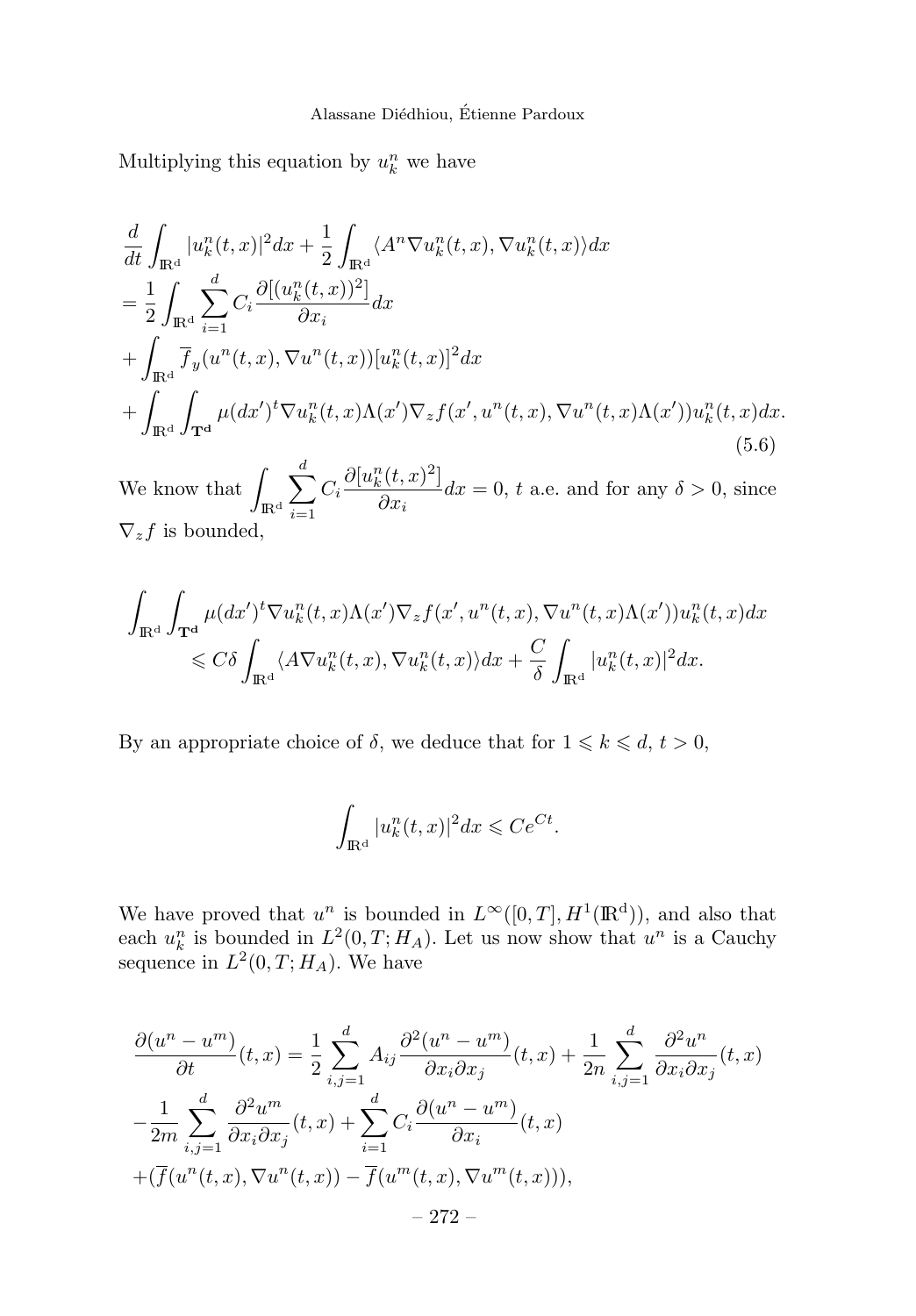Multiplying this equation by  $u_k^n$  we have

$$
\frac{d}{dt} \int_{\mathbb{R}^d} |u_k^n(t,x)|^2 dx + \frac{1}{2} \int_{\mathbb{R}^d} \langle A^n \nabla u_k^n(t,x), \nabla u_k^n(t,x) \rangle dx \n= \frac{1}{2} \int_{\mathbb{R}^d} \sum_{i=1}^d C_i \frac{\partial [(u_k^n(t,x))^2]}{\partial x_i} dx \n+ \int_{\mathbb{R}^d} \overline{f}_y(u^n(t,x), \nabla u^n(t,x)) [u_k^n(t,x)]^2 dx \n+ \int_{\mathbb{R}^d} \int_{\mathbf{T}^d} \mu(dx')^t \nabla u_k^n(t,x) \Lambda(x') \nabla_z f(x', u^n(t,x), \nabla u^n(t,x) \Lambda(x')) u_k^n(t,x) dx.
$$
\n(5.6)

We know that  $\int$  $\mathbb{R}^d$  $\sum$ *d i*=1  $C_i \frac{\partial [u_k^n(t,x)^2]}{2\pi}$  $\frac{\partial}{\partial x_i}dx = 0$ , *t* a.e. and for any  $\delta > 0$ , since  $\nabla_z f$  is bounded,

$$
\int_{\mathbb{R}^d} \int_{\mathbf{T}^d} \mu(dx')^t \nabla u_k^n(t, x) \Lambda(x') \nabla_z f(x', u^n(t, x), \nabla u^n(t, x) \Lambda(x')) u_k^n(t, x) dx
$$
  
\n
$$
\leq C \delta \int_{\mathbb{R}^d} \langle A \nabla u_k^n(t, x), \nabla u_k^n(t, x) \rangle dx + \frac{C}{\delta} \int_{\mathbb{R}^d} |u_k^n(t, x)|^2 dx.
$$

By an appropriate choice of  $\delta$ , we deduce that for  $1 \leq k \leq d, t > 0$ ,

$$
\int_{\mathrm{I\!R}^{\mathrm{d}}} |u^n_k(t,x)|^2 dx \leqslant Ce^{Ct}.
$$

We have proved that  $u^n$  is bounded in  $L^{\infty}([0,T], H^1(\mathbb{R}^d))$ , and also that each  $u_k^n$  is bounded in  $L^2(0,T;H_A)$ . Let us now show that  $u^n$  is a Cauchy sequence in  $L^2(0,T;H_A)$ . We have

$$
\frac{\partial(u^n - u^m)}{\partial t}(t, x) = \frac{1}{2} \sum_{i,j=1}^d A_{ij} \frac{\partial^2(u^n - u^m)}{\partial x_i \partial x_j}(t, x) + \frac{1}{2n} \sum_{i,j=1}^d \frac{\partial^2 u^n}{\partial x_i \partial x_j}(t, x)
$$

$$
-\frac{1}{2m} \sum_{i,j=1}^d \frac{\partial^2 u^m}{\partial x_i \partial x_j}(t, x) + \sum_{i=1}^d C_i \frac{\partial(u^n - u^m)}{\partial x_i}(t, x)
$$

$$
+ (\overline{f}(u^n(t, x), \nabla u^n(t, x)) - \overline{f}(u^m(t, x), \nabla u^m(t, x))),
$$

$$
-272 -
$$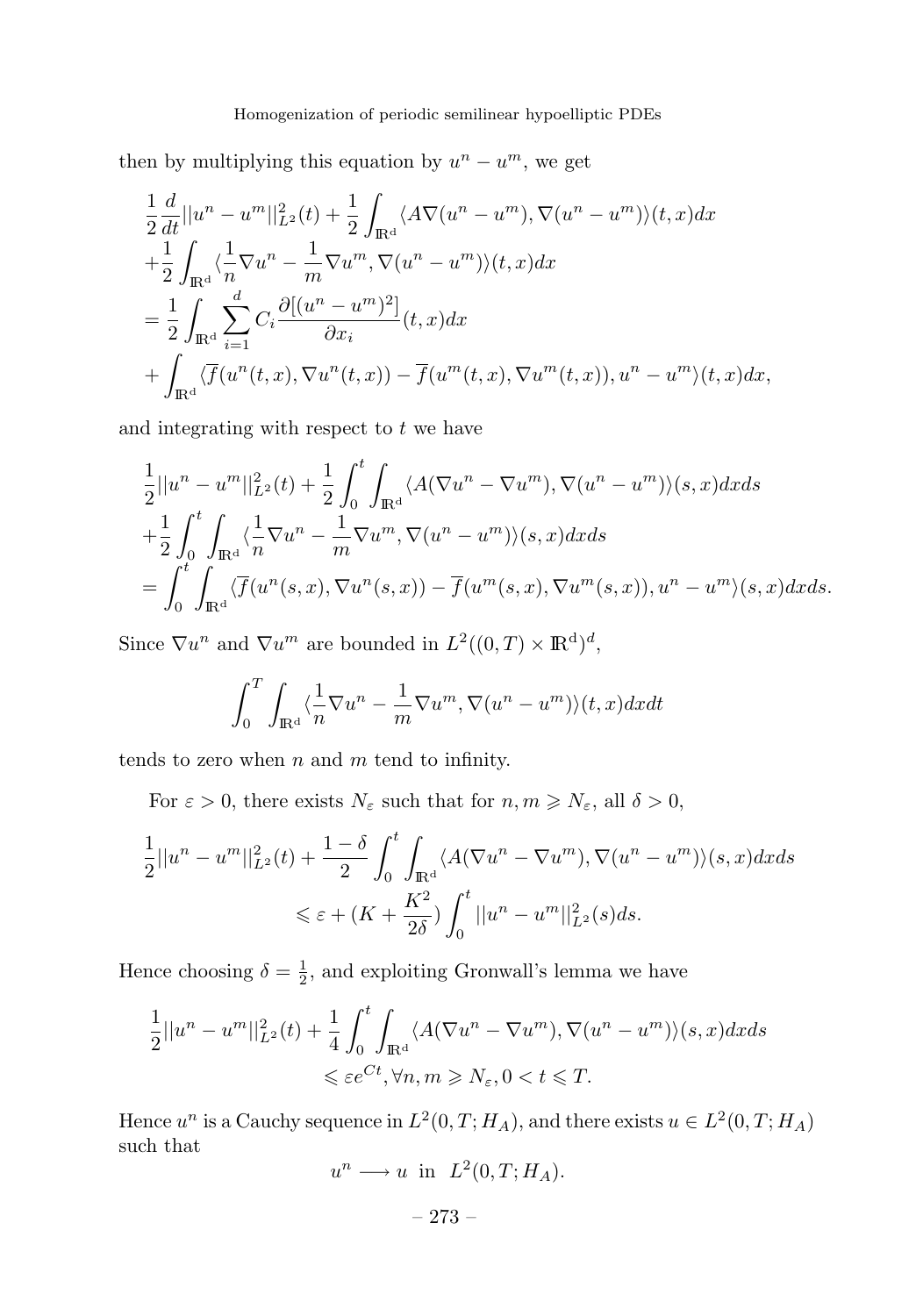then by multiplying this equation by  $u^n - u^m$ , we get

$$
\frac{1}{2}\frac{d}{dt}||u^n - u^m||_{L^2}^2(t) + \frac{1}{2}\int_{\mathbb{R}^d} \langle A\nabla(u^n - u^m), \nabla(u^n - u^m) \rangle(t, x)dx
$$
  
\n
$$
+\frac{1}{2}\int_{\mathbb{R}^d} \langle \frac{1}{n} \nabla u^n - \frac{1}{m} \nabla u^m, \nabla(u^n - u^m) \rangle(t, x)dx
$$
  
\n
$$
=\frac{1}{2}\int_{\mathbb{R}^d} \sum_{i=1}^d C_i \frac{\partial[(u^n - u^m)^2]}{\partial x_i}(t, x)dx
$$
  
\n
$$
+\int_{\mathbb{R}^d} \langle \overline{f}(u^n(t, x), \nabla u^n(t, x)) - \overline{f}(u^m(t, x), \nabla u^m(t, x)), u^n - u^m \rangle(t, x)dx,
$$

and integrating with respect to *t* we have

$$
\frac{1}{2}||u^n - u^m||_{L^2}^2(t) + \frac{1}{2} \int_0^t \int_{\mathbb{R}^d} \langle A(\nabla u^n - \nabla u^m), \nabla (u^n - u^m) \rangle (s, x) dx ds \n+ \frac{1}{2} \int_0^t \int_{\mathbb{R}^d} \langle \frac{1}{n} \nabla u^n - \frac{1}{m} \nabla u^m, \nabla (u^n - u^m) \rangle (s, x) dx ds \n= \int_0^t \int_{\mathbb{R}^d} \langle \overline{f}(u^n(s, x), \nabla u^n(s, x)) - \overline{f}(u^m(s, x), \nabla u^m(s, x)), u^n - u^m \rangle (s, x) dx ds.
$$

Since  $\nabla u^n$  and  $\nabla u^m$  are bounded in  $L^2((0,T)\times \mathbb{R}^d)^d$ ,

$$
\int_0^T \int_{\mathbb{R}^d} \langle \frac{1}{n} \nabla u^n - \frac{1}{m} \nabla u^m, \nabla (u^n - u^m) \rangle (t, x) dx dt
$$

tends to zero when *n* and *m* tend to infinity.

For  $\varepsilon > 0$ , there exists  $N_{\varepsilon}$  such that for  $n, m \geqslant N_{\varepsilon}$ , all  $\delta > 0$ ,

$$
\frac{1}{2}||u^n - u^m||_{L^2}^2(t) + \frac{1-\delta}{2} \int_0^t \int_{\mathbb{R}^d} \langle A(\nabla u^n - \nabla u^m), \nabla (u^n - u^m) \rangle(s, x) dx ds
$$
  

$$
\leq \varepsilon + (K + \frac{K^2}{2\delta}) \int_0^t ||u^n - u^m||_{L^2}^2(s) ds.
$$

Hence choosing  $\delta = \frac{1}{2}$ , and exploiting Gronwall's lemma we have

$$
\frac{1}{2}||u^n - u^m||_{L^2}^2(t) + \frac{1}{4} \int_0^t \int_{\mathbb{R}^d} \langle A(\nabla u^n - \nabla u^m), \nabla (u^n - u^m) \rangle (s, x) dx ds
$$
  

$$
\leq \varepsilon e^{Ct}, \forall n, m \geq N_{\varepsilon}, 0 < t \leq T.
$$

Hence  $u^n$  is a Cauchy sequence in  $L^2(0, T; H_A)$ , and there exists  $u \in L^2(0, T; H_A)$ such that

$$
u^n \longrightarrow u \text{ in } L^2(0,T;H_A).
$$

$$
-273- \\
$$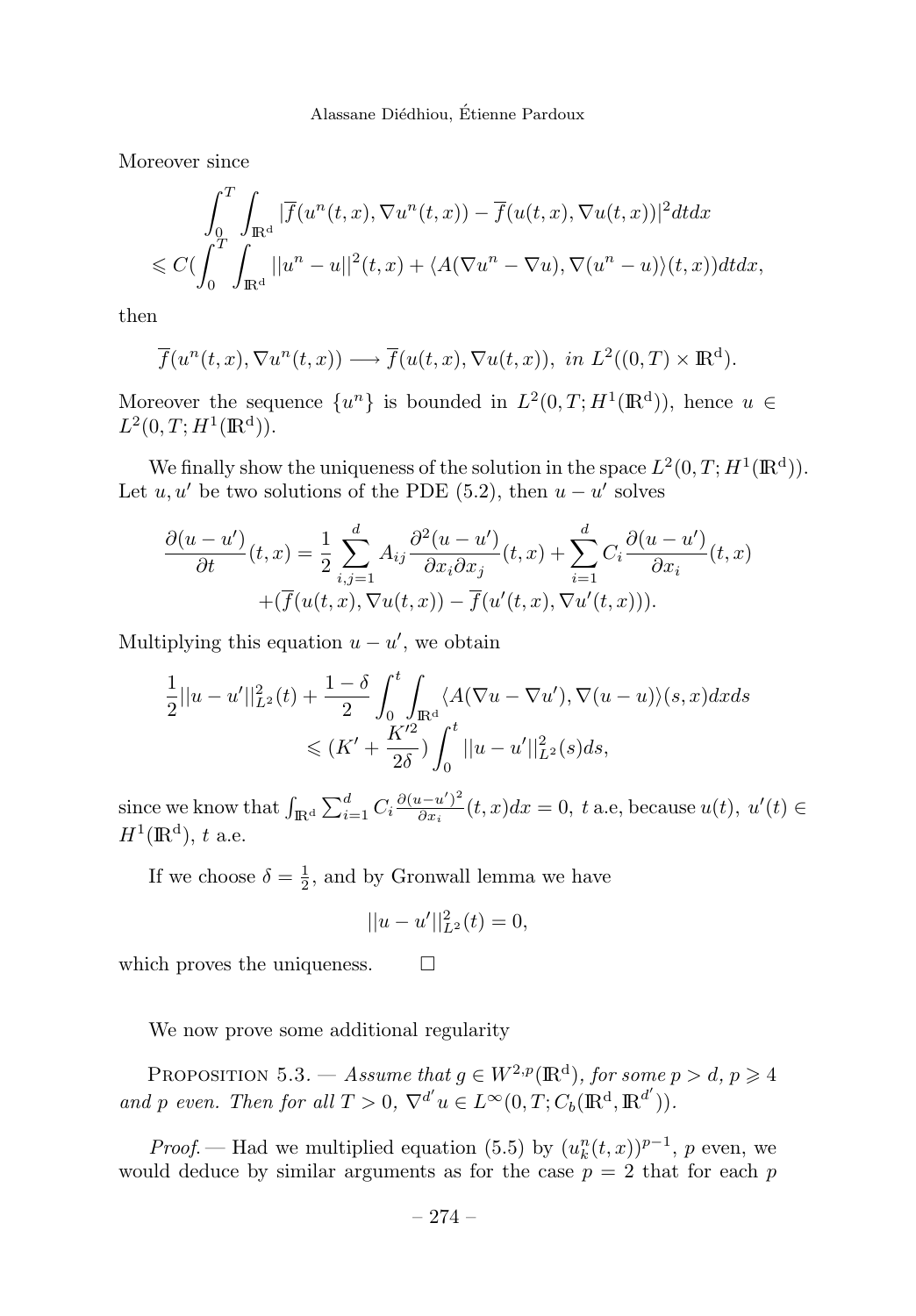Moreover since

$$
\int_0^T \int_{\mathbb{R}^d} |\overline{f}(u^n(t,x), \nabla u^n(t,x)) - \overline{f}(u(t,x), \nabla u(t,x))|^2 dt dx
$$
  

$$
\leq C \big( \int_0^T \int_{\mathbb{R}^d} ||u^n - u||^2(t,x) + \langle A(\nabla u^n - \nabla u), \nabla (u^n - u) \rangle(t,x) \big) dt dx,
$$

then

$$
\overline{f}(u^{n}(t,x),\nabla u^{n}(t,x)) \longrightarrow \overline{f}(u(t,x),\nabla u(t,x)), \text{ in } L^{2}((0,T) \times \mathbb{R}^{d}).
$$

Moreover the sequence  $\{u^n\}$  is bounded in  $L^2(0,T;H^1(\mathbb{R}^d))$ , hence  $u \in$  $L^2(0,T;H^1(\mathbb{R}^d)).$ 

We finally show the uniqueness of the solution in the space  $L^2(0,T;H^1(\mathbb{R}^d))$ . Let  $u, u'$  be two solutions of the PDE (5.2), then  $u - u'$  solves

$$
\frac{\partial(u-u')}{\partial t}(t,x) = \frac{1}{2} \sum_{i,j=1}^{d} A_{ij} \frac{\partial^2(u-u')}{\partial x_i \partial x_j}(t,x) + \sum_{i=1}^{d} C_i \frac{\partial(u-u')}{\partial x_i}(t,x) + (\overline{f}(u(t,x), \nabla u(t,x)) - \overline{f}(u'(t,x), \nabla u'(t,x))).
$$

Multiplying this equation  $u - u'$ , we obtain

$$
\frac{1}{2}||u - u'||_{L^2}^2(t) + \frac{1 - \delta}{2} \int_0^t \int_{\mathbb{R}^d} \langle A(\nabla u - \nabla u'), \nabla (u - u) \rangle(s, x) dx ds
$$
  

$$
\leq (K' + \frac{K'^2}{2\delta}) \int_0^t ||u - u'||_{L^2}^2(s) ds,
$$

since we know that  $\int_{\mathbb{R}^d} \sum_{i=1}^d C_i \frac{\partial (u - u')^2}{\partial x_i}(t, x) dx = 0$ , t a.e, because  $u(t)$ ,  $u'(t) \in$  $H^1(\mathbb{R}^d)$ , *t* a.e.

If we choose  $\delta = \frac{1}{2}$ , and by Gronwall lemma we have

$$
||u - u'||_{L^2}^2(t) = 0,
$$

which proves the uniqueness.  $\Box$ 

We now prove some additional regularity

PROPOSITION 5.3. — Assume that  $g \in W^{2,p}(\mathbb{R}^d)$ , for some  $p > d$ ,  $p \geq 4$ and *p* even. Then for all  $T > 0$ ,  $\nabla^{d'} u \in L^{\infty}(0, T; C_b(\mathbb{R}^d, \mathbb{R}^{d'})).$ 

*Proof.* — Had we multiplied equation (5.5) by  $(u_k^n(t,x))^{p-1}$ , *p* even, we would deduce by similar arguments as for the case  $p = 2$  that for each  $p$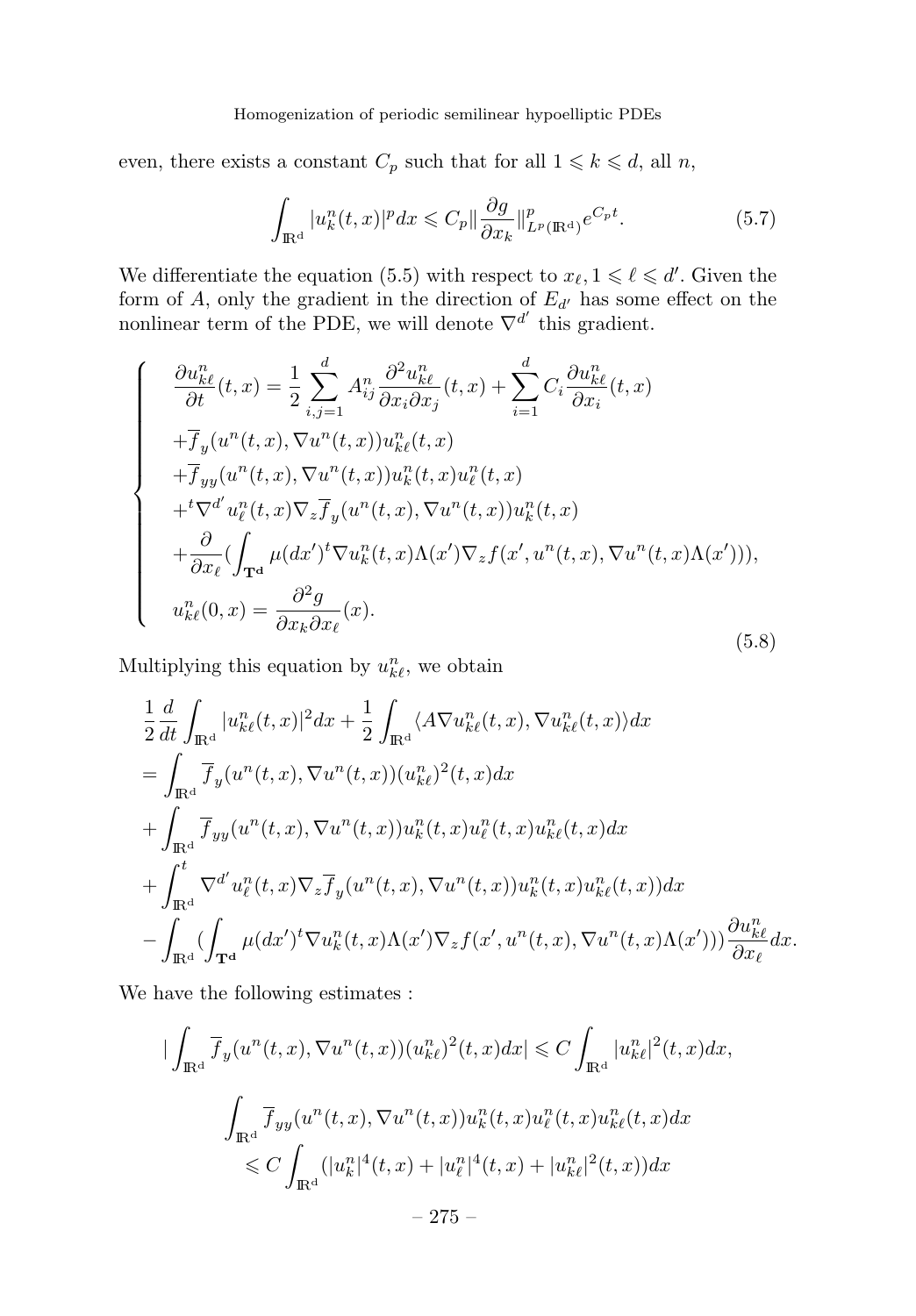#### Homogenization of periodic semilinear hypoelliptic PDEs

even, there exists a constant  $C_p$  such that for all  $1 \leq k \leq d$ , all *n*,

$$
\int_{\mathbb{R}^d} |u_k^n(t,x)|^p dx \leqslant C_p \|\frac{\partial g}{\partial x_k}\|_{L^p(\mathbb{R}^d)}^p e^{C_p t}.
$$
\n
$$
(5.7)
$$

We differentiate the equation (5.5) with respect to  $x_{\ell}, 1 \leq \ell \leq d'$ . Given the form of *A*, only the gradient in the direction of *Ed*- has some effect on the nonlinear term of the PDE, we will denote  $\nabla^{d'}$  this gradient.

$$
\begin{cases}\n\frac{\partial u_{k\ell}^{n}}{\partial t}(t,x) = \frac{1}{2} \sum_{i,j=1}^{d} A_{ij}^{n} \frac{\partial^{2} u_{k\ell}^{n}}{\partial x_{i} \partial x_{j}}(t,x) + \sum_{i=1}^{d} C_{i} \frac{\partial u_{k\ell}^{n}}{\partial x_{i}}(t,x) \\
+ \overline{f}_{y}(u^{n}(t,x), \nabla u^{n}(t,x)) u_{k\ell}^{n}(t,x) \\
+ \overline{f}_{yy}(u^{n}(t,x), \nabla u^{n}(t,x)) u_{k}^{n}(t,x) u_{\ell}^{n}(t,x) \\
+ \nabla^{d'} u_{\ell}^{n}(t,x) \nabla_{z} \overline{f}_{y}(u^{n}(t,x), \nabla u^{n}(t,x)) u_{k}^{n}(t,x) \\
+ \frac{\partial}{\partial x_{\ell}} (\int_{\mathbf{T}^{d}} \mu(dx')^{t} \nabla u_{k}^{n}(t,x) \Lambda(x') \nabla_{z} f(x', u^{n}(t,x), \nabla u^{n}(t,x) \Lambda(x'))), \\
u_{k\ell}^{n}(0,x) = \frac{\partial^{2} g}{\partial x_{k} \partial x_{\ell}}(x).\n\end{cases}
$$
\n(5.8)

Multiplying this equation by  $u_{k\ell}^n$ , we obtain

$$
\frac{1}{2} \frac{d}{dt} \int_{\mathbb{R}^d} |u_{k\ell}^n(t,x)|^2 dx + \frac{1}{2} \int_{\mathbb{R}^d} \langle A \nabla u_{k\ell}^n(t,x), \nabla u_{k\ell}^n(t,x) \rangle dx \n= \int_{\mathbb{R}^d} \overline{f}_y(u^n(t,x), \nabla u^n(t,x))(u_{k\ell}^n)^2(t,x) dx \n+ \int_{\mathbb{R}^d} \overline{f}_{yy}(u^n(t,x), \nabla u^n(t,x))u_k^n(t,x)u_\ell^n(t,x)u_{k\ell}^n(t,x) dx \n+ \int_{\mathbb{R}^d}^t \nabla^{d'} u_\ell^n(t,x) \nabla_z \overline{f}_y(u^n(t,x), \nabla u^n(t,x))u_k^n(t,x)u_{k\ell}^n(t,x)) dx \n- \int_{\mathbb{R}^d} (\int_{\mathbf{T}^d} \mu(dx')^t \nabla u_k^n(t,x) \Lambda(x') \nabla_z f(x',u^n(t,x), \nabla u^n(t,x) \Lambda(x'))) \frac{\partial u_{k\ell}^n}{\partial x_\ell} dx.
$$

We have the following estimates :

$$
\begin{aligned}\n|\int_{\mathbb{R}^d} \overline{f}_y(u^n(t,x), \nabla u^n(t,x))(u_{k\ell}^n)^2(t,x)dx| &\leq C \int_{\mathbb{R}^d} |u_{k\ell}^n|^2(t,x)dx, \\
\int_{\mathbb{R}^d} \overline{f}_{yy}(u^n(t,x), \nabla u^n(t,x))u_k^n(t,x)u_\ell^n(t,x)u_{k\ell}^n(t,x)dx \\
&\leq C \int_{\mathbb{R}^d} (|u_k^n|^4(t,x) + |u_\ell^n|^4(t,x) + |u_{k\ell}^n|^2(t,x))dx \\
&\quad - 275 - \n\end{aligned}
$$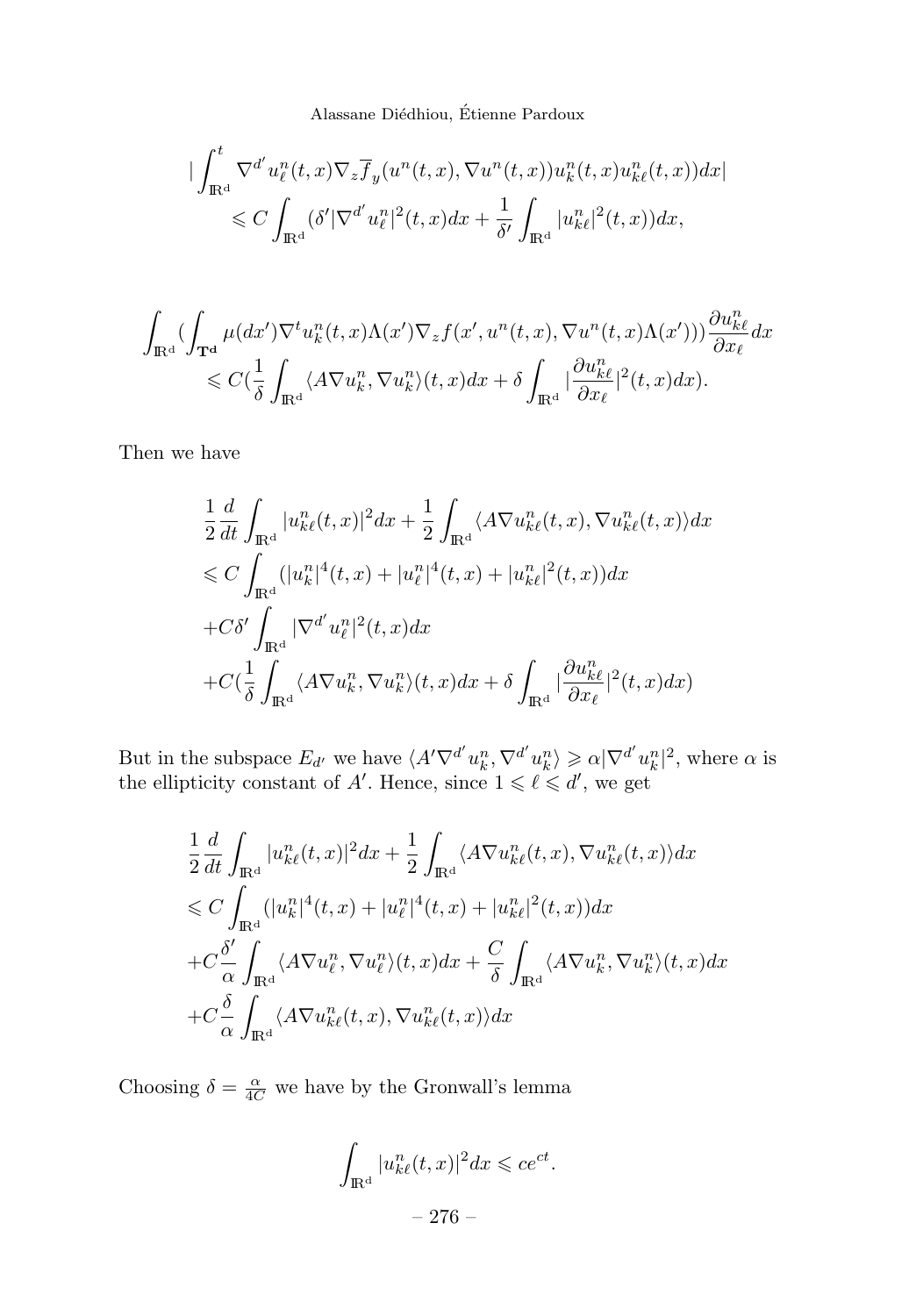$$
\begin{split} \vert \int_{\mathbb{R}^d}^t \nabla^{d'} u^n_\ell(t,x) \nabla_z \overline{f}_y(u^n(t,x), \nabla u^n(t,x)) u^n_k(t,x) u^n_{k\ell}(t,x)) dx \vert \\ \leqslant C \int_{\mathbb{R}^d} (\delta' \vert \nabla^{d'} u^n_\ell \vert^2(t,x) dx + \frac{1}{\delta'} \int_{\mathbb{R}^d} \vert u^n_{k\ell} \vert^2(t,x)) dx, \end{split}
$$

$$
\begin{aligned} \int_{\mathbb{R}^d} (\int_{\mathbf{T}^{\mathbf{d}}} \mu(dx') \nabla^t u^n_k(t,x) \Lambda(x') \nabla_z f(x',u^n(t,x),\nabla u^n(t,x) \Lambda(x'))) \frac{\partial u^n_{k\ell}}{\partial x_\ell} dx \\ \leqslant C (\frac{1}{\delta} \int_{\mathbb{R}^d} \langle A \nabla u^n_k, \nabla u^n_k \rangle (t,x) dx + \delta \int_{\mathbb{R}^d} |\frac{\partial u^n_{k\ell}}{\partial x_\ell}|^2 (t,x) dx ). \end{aligned}
$$

Then we have

$$
\frac{1}{2} \frac{d}{dt} \int_{\mathbb{R}^d} |u_{k\ell}^n(t,x)|^2 dx + \frac{1}{2} \int_{\mathbb{R}^d} \langle A \nabla u_{k\ell}^n(t,x), \nabla u_{k\ell}^n(t,x) \rangle dx
$$
\n
$$
\leq C \int_{\mathbb{R}^d} (|u_k^n|^4(t,x) + |u_\ell^n|^4(t,x) + |u_{k\ell}^n|^2(t,x)) dx
$$
\n
$$
+ C \delta' \int_{\mathbb{R}^d} |\nabla^{d'} u_\ell^n|^2(t,x) dx
$$
\n
$$
+ C \left( \frac{1}{\delta} \int_{\mathbb{R}^d} \langle A \nabla u_k^n, \nabla u_k^n \rangle(t,x) dx + \delta \int_{\mathbb{R}^d} |\frac{\partial u_{k\ell}^n}{\partial x_\ell}|^2(t,x) dx \right)
$$

But in the subspace  $E_{d'}$  we have  $\langle A' \nabla^{d'} u_k^n, \nabla^{d'} u_k^n \rangle \geq \alpha |\nabla^{d'} u_k^n|^2$ , where  $\alpha$  is the ellipticity constant of  $A'$ . Hence, since  $1 \leq \ell \leq d'$ , we get

$$
\frac{1}{2} \frac{d}{dt} \int_{\mathbb{R}^d} |u_{k\ell}^n(t,x)|^2 dx + \frac{1}{2} \int_{\mathbb{R}^d} \langle A \nabla u_{k\ell}^n(t,x), \nabla u_{k\ell}^n(t,x) \rangle dx
$$
\n
$$
\leqslant C \int_{\mathbb{R}^d} (|u_k^n|^4(t,x) + |u_\ell^n|^4(t,x) + |u_{k\ell}^n|^2(t,x)) dx
$$
\n
$$
+ C \frac{\delta'}{\alpha} \int_{\mathbb{R}^d} \langle A \nabla u_\ell^n, \nabla u_\ell^n \rangle(t,x) dx + \frac{C}{\delta} \int_{\mathbb{R}^d} \langle A \nabla u_k^n, \nabla u_k^n \rangle(t,x) dx
$$
\n
$$
+ C \frac{\delta}{\alpha} \int_{\mathbb{R}^d} \langle A \nabla u_{k\ell}^n(t,x), \nabla u_{k\ell}^n(t,x) \rangle dx
$$

Choosing  $\delta = \frac{\alpha}{4C}$  we have by the Gronwall's lemma

$$
\int_{\mathbb{R}^d} |u_{k\ell}^n(t,x)|^2 dx \leqslant ce^{ct}.
$$
  

$$
- 276 -
$$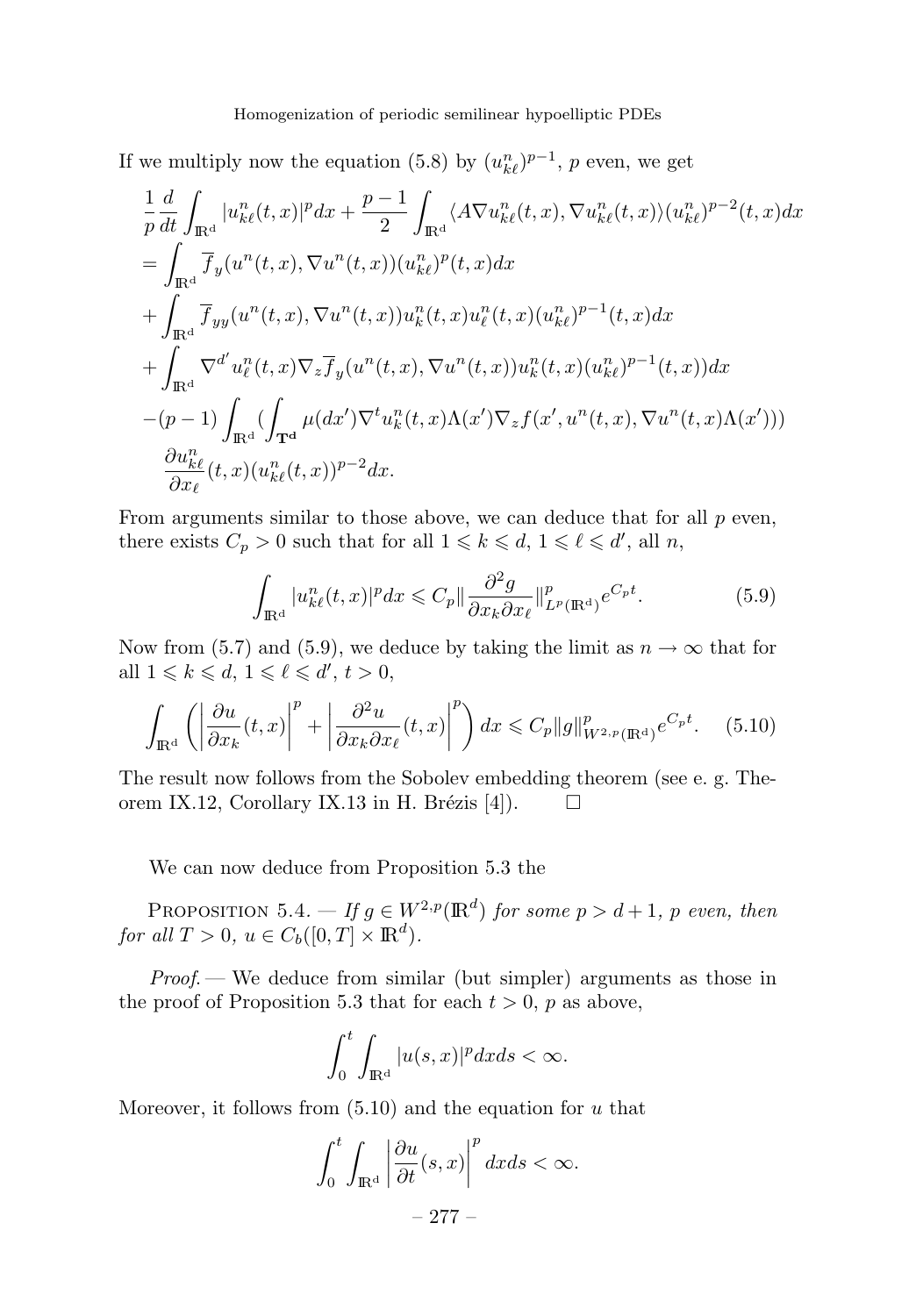If we multiply now the equation (5.8) by  $(u_{k\ell}^n)^{p-1}$ , *p* even, we get

$$
\frac{1}{p} \frac{d}{dt} \int_{\mathbb{R}^d} |u_{k\ell}^n(t,x)|^p dx + \frac{p-1}{2} \int_{\mathbb{R}^d} \langle A \nabla u_{k\ell}^n(t,x), \nabla u_{k\ell}^n(t,x) \rangle (u_{k\ell}^n)^{p-2}(t,x) dx \n= \int_{\mathbb{R}^d} \overline{f}_y(u^n(t,x), \nabla u^n(t,x))(u_{k\ell}^n)^p(t,x) dx \n+ \int_{\mathbb{R}^d} \overline{f}_{yy}(u^n(t,x), \nabla u^n(t,x))u_k^n(t,x)u_\ell^n(t,x)(u_{k\ell}^n)^{p-1}(t,x) dx \n+ \int_{\mathbb{R}^d} \nabla^{d'} u_\ell^n(t,x) \nabla_z \overline{f}_y(u^n(t,x), \nabla u^n(t,x))u_k^n(t,x)(u_{k\ell}^n)^{p-1}(t,x)) dx \n- (p-1) \int_{\mathbb{R}^d} (\int_{\mathbf{T}^d} \mu(dx') \nabla^t u_k^n(t,x) \Lambda(x') \nabla_z f(x', u^n(t,x), \nabla u^n(t,x) \Lambda(x')) ) \n\frac{\partial u_{k\ell}^n}{\partial x_\ell}(t,x)(u_{k\ell}^n(t,x))^{p-2} dx.
$$

From arguments similar to those above, we can deduce that for all *p* even, there exists  $C_p > 0$  such that for all  $1 \leq k \leq d$ ,  $1 \leq \ell \leq d'$ , all *n*,

$$
\int_{\mathbb{R}^d} |u_{k\ell}^n(t,x)|^p dx \leqslant C_p \|\frac{\partial^2 g}{\partial x_k \partial x_\ell}\|_{L^p(\mathbb{R}^d)}^p e^{C_p t}.
$$
\n
$$
(5.9)
$$

Now from (5.7) and (5.9), we deduce by taking the limit as  $n \to \infty$  that for all  $1 \leq k \leq d, 1 \leq \ell \leq d', t > 0$ ,

$$
\int_{\mathbb{R}^d} \left( \left| \frac{\partial u}{\partial x_k}(t, x) \right|^p + \left| \frac{\partial^2 u}{\partial x_k \partial x_\ell}(t, x) \right|^p \right) dx \leqslant C_p \|g\|_{W^{2, p}(\mathbb{R}^d)}^p e^{C_p t}.
$$
 (5.10)

The result now follows from the Sobolev embedding theorem (see e. g. Theorem IX.12, Corollary IX.13 in H. Brézis [4]).  $\Box$ 

We can now deduce from Proposition 5.3 the

PROPOSITION 5.4. — If  $g \in W^{2,p}(\mathbb{R}^d)$  for some  $p > d+1$ ,  $p$  even, then for all  $T > 0$ ,  $u \in C_b([0, T] \times \mathbb{R}^d)$ .

*Proof.* — We deduce from similar (but simpler) arguments as those in the proof of Proposition 5.3 that for each  $t > 0$ ,  $p$  as above,

$$
\int_0^t \int_{\mathbb{R}^d} |u(s,x)|^p dx ds < \infty.
$$

Moreover, it follows from (5.10) and the equation for *u* that

$$
\int_0^t \int_{\mathbb{R}^d} \left| \frac{\partial u}{\partial t}(s, x) \right|^p dx ds < \infty.
$$
  
- 277 -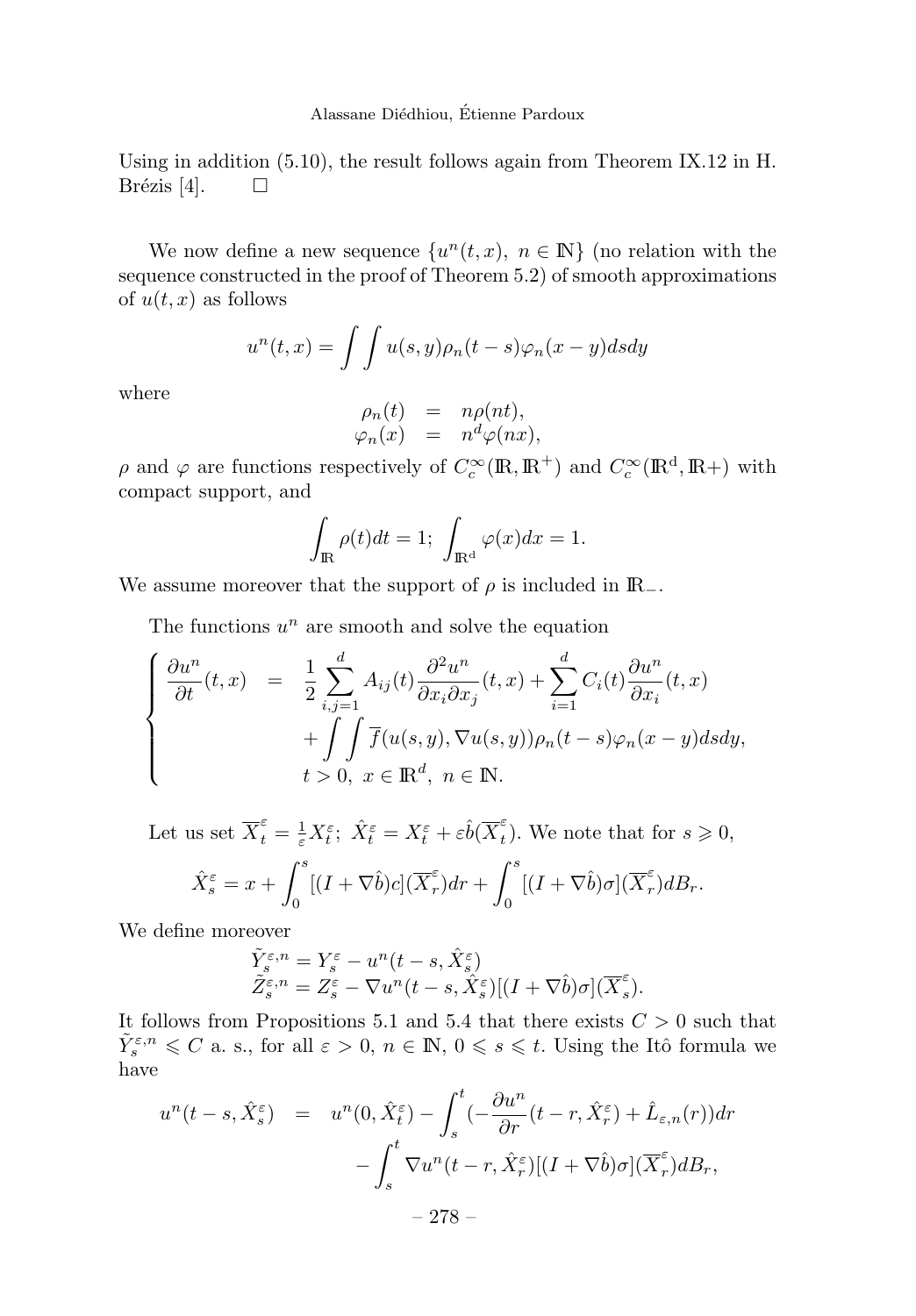Using in addition (5.10), the result follows again from Theorem IX.12 in H. Brézis [4].  $\Box$ 

We now define a new sequence  $\{u^n(t, x), n \in \mathbb{N}\}\$  (no relation with the sequence constructed in the proof of Theorem 5.2) of smooth approximations of  $u(t, x)$  as follows

$$
u^{n}(t,x) = \int \int u(s,y)\rho_{n}(t-s)\varphi_{n}(x-y)dsdy
$$

where

$$
\rho_n(t) = n\rho(nt), \n\varphi_n(x) = n^d\varphi(nx),
$$

*ρ* and  $\varphi$  are functions respectively of  $C_c^{\infty}(\mathbb{R}, \mathbb{R}^+)$  and  $C_c^{\infty}(\mathbb{R}^d, \mathbb{R}^+)$  with compact support, and

$$
\int_{\mathbb{R}} \rho(t)dt = 1; \ \int_{\mathbb{R}^d} \varphi(x)dx = 1.
$$

We assume moreover that the support of  $\rho$  is included in  $\mathbb{R}_-$ .

The functions  $u^n$  are smooth and solve the equation

$$
\begin{cases}\n\frac{\partial u^n}{\partial t}(t,x) &= \frac{1}{2} \sum_{i,j=1}^d A_{ij}(t) \frac{\partial^2 u^n}{\partial x_i \partial x_j}(t,x) + \sum_{i=1}^d C_i(t) \frac{\partial u^n}{\partial x_i}(t,x) \\
&\quad + \int \int \overline{f}(u(s,y), \nabla u(s,y)) \rho_n(t-s) \varphi_n(x-y) ds dy, \\
&\quad t > 0, \ x \in \mathbb{R}^d, \ n \in \mathbb{N}.\n\end{cases}
$$

Let us set 
$$
\overline{X}_t^{\varepsilon} = \frac{1}{\varepsilon} X_t^{\varepsilon}
$$
;  $\hat{X}_t^{\varepsilon} = X_t^{\varepsilon} + \varepsilon \hat{b}(\overline{X}_t^{\varepsilon})$ . We note that for  $s \ge 0$ ,  
\n
$$
\hat{X}_s^{\varepsilon} = x + \int_0^s [(I + \nabla \hat{b})c](\overline{X}_r^{\varepsilon}) dr + \int_0^s [(I + \nabla \hat{b})\sigma](\overline{X}_r^{\varepsilon}) dB_r.
$$

We define moreover

$$
\begin{array}{l} \tilde Y^{\varepsilon,n}_s = Y^{\varepsilon}_s - u^n(t-s,\hat X^{\varepsilon}_s) \\ \tilde Z^{\varepsilon,n}_s = Z^{\varepsilon}_s - \nabla u^n(t-s,\hat X^{\varepsilon}_s)[(I+\nabla \hat b)\sigma](\overline X^{\varepsilon}_s). \end{array}
$$

It follows from Propositions 5.1 and 5.4 that there exists  $C > 0$  such that  $\tilde{Y}_{s}^{\varepsilon,n} \leq C$  a. s., for all  $\varepsilon > 0$ ,  $n \in \mathbb{N}$ ,  $0 \leqslant s \leqslant t$ . Using the Itô formula we have

$$
u^{n}(t-s, \hat{X}_{s}^{\varepsilon}) = u^{n}(0, \hat{X}_{t}^{\varepsilon}) - \int_{s}^{t} \left(-\frac{\partial u^{n}}{\partial r}(t-r, \hat{X}_{r}^{\varepsilon}) + \hat{L}_{\varepsilon,n}(r)\right) dr - \int_{s}^{t} \nabla u^{n}(t-r, \hat{X}_{r}^{\varepsilon}) \left[(I + \nabla \hat{b})\sigma\right](\overline{X}_{r}^{\varepsilon}) d_s
$$

$$
- 278 -
$$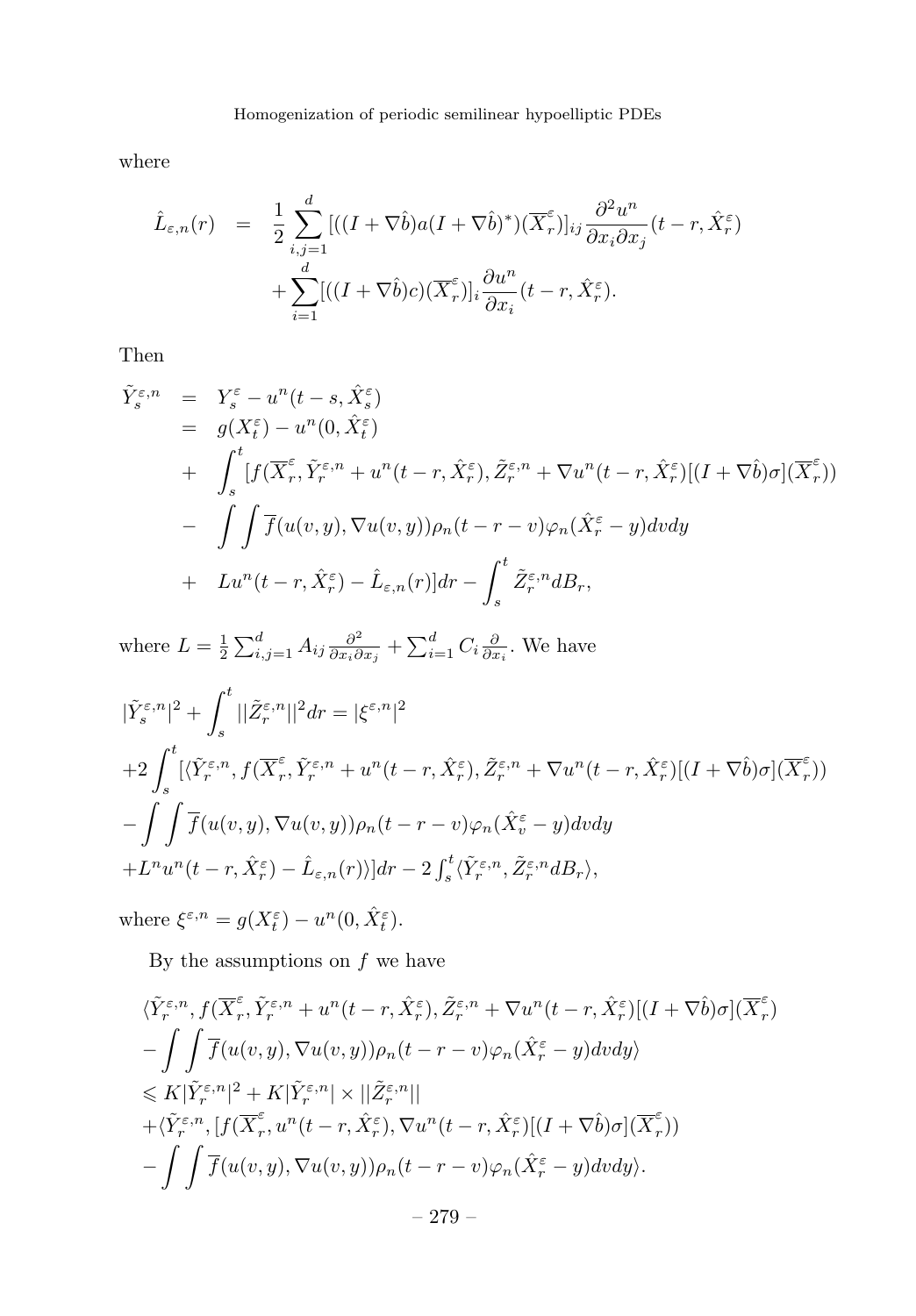where

$$
\hat{L}_{\varepsilon,n}(r) = \frac{1}{2} \sum_{i,j=1}^d [( (I + \nabla \hat{b}) a (I + \nabla \hat{b})^*) (\overline{X}_r^{\varepsilon})]_{ij} \frac{\partial^2 u^n}{\partial x_i \partial x_j} (t - r, \hat{X}_r^{\varepsilon}) + \sum_{i=1}^d [( (I + \nabla \hat{b}) c) (\overline{X}_r^{\varepsilon})]_i \frac{\partial u^n}{\partial x_i} (t - r, \hat{X}_r^{\varepsilon}).
$$

Then

$$
\tilde{Y}_{s}^{\varepsilon,n} = Y_{s}^{\varepsilon} - u^{n}(t-s, \hat{X}_{s}^{\varepsilon}) \n= g(X_{t}^{\varepsilon}) - u^{n}(0, \hat{X}_{t}^{\varepsilon}) \n+ \int_{s}^{t} [f(\overline{X}_{r}^{\varepsilon}, \tilde{Y}_{r}^{\varepsilon,n} + u^{n}(t-r, \hat{X}_{r}^{\varepsilon}), \tilde{Z}_{r}^{\varepsilon,n} + \nabla u^{n}(t-r, \hat{X}_{r}^{\varepsilon})](I + \nabla \hat{b})\sigma](\overline{X}_{r}^{\varepsilon})) \n- \int \int \overline{f}(u(v, y), \nabla u(v, y))\rho_{n}(t-r-v)\varphi_{n}(\hat{X}_{r}^{\varepsilon} - y)dvdy \n+ Lu^{n}(t-r, \hat{X}_{r}^{\varepsilon}) - \hat{L}_{\varepsilon,n}(r)]dr - \int_{s}^{t} \tilde{Z}_{r}^{\varepsilon,n}dB_{r},
$$

where  $L = \frac{1}{2} \sum_{i,j=1}^d A_{ij} \frac{\partial^2}{\partial x_i \partial x_j} + \sum_{i=1}^d C_i \frac{\partial}{\partial x_i}$ . We have

$$
\begin{aligned} &|\tilde{Y}_{s}^{\varepsilon,n}|^{2}+\int_{s}^{t}||\tilde{Z}_{r}^{\varepsilon,n}||^{2}dr=|\xi^{\varepsilon,n}|^{2}\\ &+2\int_{s}^{t}[\langle\tilde{Y}_{r}^{\varepsilon,n},f(\overline{X}_{r}^{\varepsilon},\tilde{Y}_{r}^{\varepsilon,n}+u^{n}(t-r,\hat{X}_{r}^{\varepsilon}),\tilde{Z}_{r}^{\varepsilon,n}+\nabla u^{n}(t-r,\hat{X}_{r}^{\varepsilon})](I+\nabla\hat{b})\sigma](\overline{X}_{r}^{\varepsilon}))\\ &-\int\int\overline{f}(u(v,y),\nabla u(v,y))\rho_{n}(t-r-v)\varphi_{n}(\hat{X}_{v}^{\varepsilon}-y)dvdy\\ &+L^{n}u^{n}(t-r,\hat{X}_{r}^{\varepsilon})-\hat{L}_{\varepsilon,n}(r))|dr-2\int_{s}^{t}\langle\tilde{Y}_{r}^{\varepsilon,n},\tilde{Z}_{r}^{\varepsilon,n}dB_{r}\rangle, \end{aligned}
$$

where  $\xi^{\varepsilon,n} = g(X_t^{\varepsilon}) - u^n(0, \hat{X}_t^{\varepsilon}).$ 

By the assumptions on  $f$  we have

$$
\langle \tilde{Y}_{r}^{\varepsilon,n}, f(\overline{X}_{r}^{\varepsilon}, \tilde{Y}_{r}^{\varepsilon,n} + u^{n}(t-r, \hat{X}_{r}^{\varepsilon}), \tilde{Z}_{r}^{\varepsilon,n} + \nabla u^{n}(t-r, \hat{X}_{r}^{\varepsilon})[(I + \nabla \hat{b})\sigma](\overline{X}_{r}^{\varepsilon})
$$
  
\n
$$
-\int\int \overline{f}(u(v, y), \nabla u(v, y))\rho_{n}(t-r-v)\varphi_{n}(\hat{X}_{r}^{\varepsilon} - y)dvdy\rangle
$$
  
\n
$$
\leq K|\tilde{Y}_{r}^{\varepsilon,n}|^{2} + K|\tilde{Y}_{r}^{\varepsilon,n}| \times ||\tilde{Z}_{r}^{\varepsilon,n}||
$$
  
\n
$$
+ \langle \tilde{Y}_{r}^{\varepsilon,n}, [f(\overline{X}_{r}^{\varepsilon}, u^{n}(t-r, \hat{X}_{r}^{\varepsilon}), \nabla u^{n}(t-r, \hat{X}_{r}^{\varepsilon})](I + \nabla \hat{b})\sigma](\overline{X}_{r}^{\varepsilon}))
$$
  
\n
$$
- \int\int \overline{f}(u(v, y), \nabla u(v, y))\rho_{n}(t-r-v)\varphi_{n}(\hat{X}_{r}^{\varepsilon} - y)dvdy\rangle.
$$
  
\n
$$
- 279 -
$$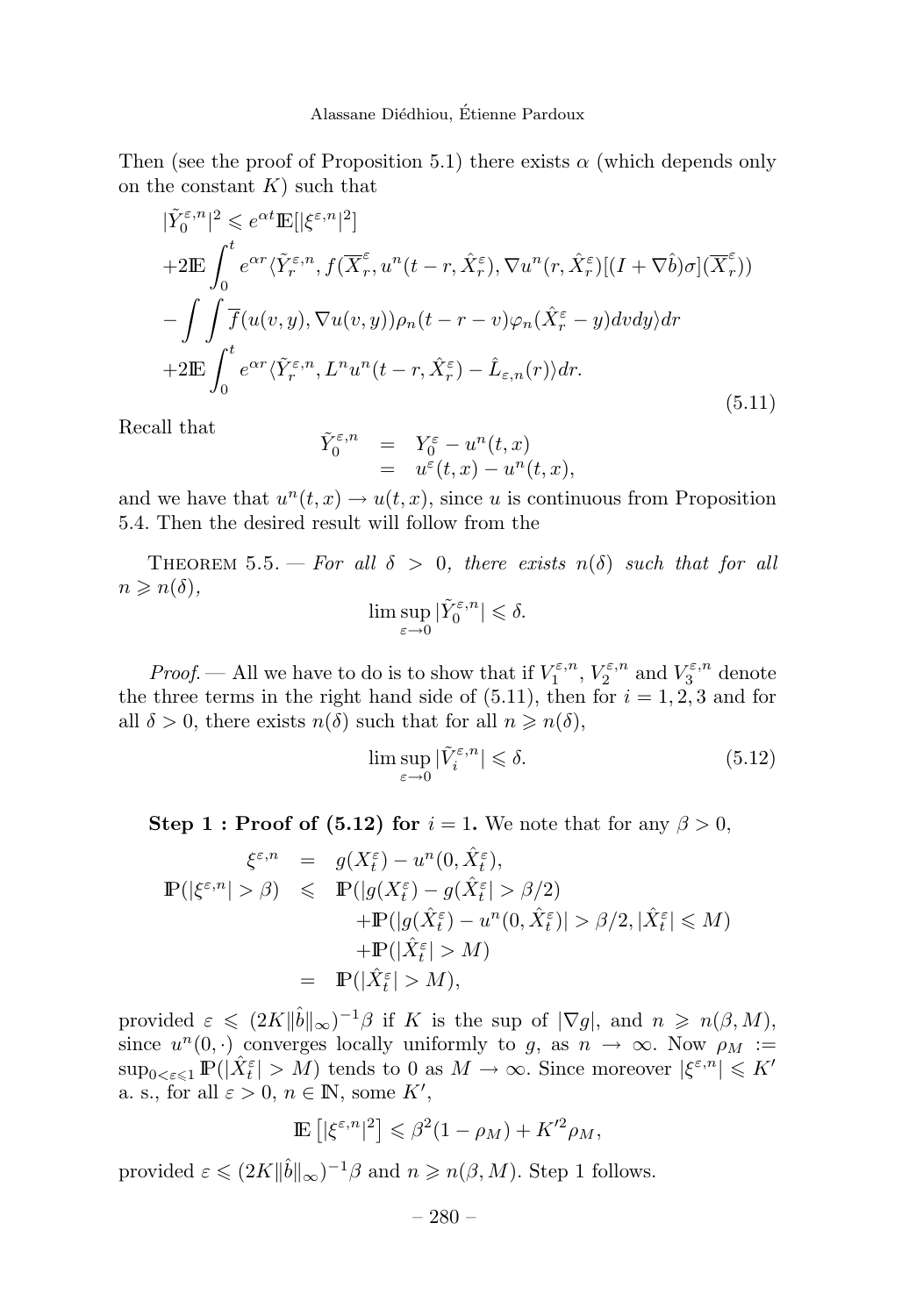Then (see the proof of Proposition 5.1) there exists  $\alpha$  (which depends only on the constant *K*) such that

$$
|\tilde{Y}_{0}^{\varepsilon,n}|^{2} \leq e^{\alpha t} \mathbb{E}[|\xi^{\varepsilon,n}|^{2}]
$$
  
+2 $\mathbb{E} \int_{0}^{t} e^{\alpha r} \langle \tilde{Y}_{r}^{\varepsilon,n}, f(\overline{X}_{r}^{\varepsilon}, u^{n}(t-r, \hat{X}_{r}^{\varepsilon}), \nabla u^{n}(r, \hat{X}_{r}^{\varepsilon})](I + \nabla \hat{b})\sigma](\overline{X}_{r}^{\varepsilon}))$   
-
$$
\int \int \overline{f}(u(v, y), \nabla u(v, y)) \rho_{n}(t-r-v) \varphi_{n}(\hat{X}_{r}^{\varepsilon} - y) dv dy dr
$$
+2 $\mathbb{E} \int_{0}^{t} e^{\alpha r} \langle \tilde{Y}_{r}^{\varepsilon,n}, L^{n} u^{n}(t-r, \hat{X}_{r}^{\varepsilon}) - \hat{L}_{\varepsilon,n}(r) \rangle dr.$  (5.11)

Recall that

$$
\begin{array}{rcl}\n\tilde{Y}_0^{\varepsilon,n} & = & Y_0^{\varepsilon} - u^n(t,x) \\
& = & u^{\varepsilon}(t,x) - u^n(t,x),\n\end{array}
$$

and we have that  $u^n(t, x) \to u(t, x)$ , since *u* is continuous from Proposition 5.4. Then the desired result will follow from the

THEOREM 5.5. — For all  $\delta > 0$ , there exists  $n(\delta)$  such that for all  $n \geqslant n(\delta),$ 

$$
\limsup_{\varepsilon \to 0} |\tilde{Y}_0^{\varepsilon,n}| \leq \delta.
$$

*Proof.* — All we have to do is to show that if  $V_1^{\varepsilon,n}$ ,  $V_2^{\varepsilon,n}$  and  $V_3^{\varepsilon,n}$  denote the three terms in the right hand side of  $(5.11)$ , then for  $i = 1, 2, 3$  and for all  $\delta > 0$ , there exists  $n(\delta)$  such that for all  $n \geq n(\delta)$ ,

$$
\limsup_{\varepsilon \to 0} |\tilde{V}_i^{\varepsilon, n}| \leq \delta. \tag{5.12}
$$

**Step 1 : Proof of (5.12) for**  $i = 1$ . We note that for any  $\beta > 0$ ,

$$
\xi^{\varepsilon,n} = g(X_t^{\varepsilon}) - u^n(0, \hat{X}_t^{\varepsilon}),
$$
  
\n
$$
\mathbb{P}(|\xi^{\varepsilon,n}| > \beta) \leq \mathbb{P}(|g(X_t^{\varepsilon}) - g(\hat{X}_t^{\varepsilon}| > \beta/2)
$$
  
\n
$$
+ \mathbb{P}(|g(\hat{X}_t^{\varepsilon}) - u^n(0, \hat{X}_t^{\varepsilon})| > \beta/2, |\hat{X}_t^{\varepsilon}| \leq M)
$$
  
\n
$$
+ \mathbb{P}(|\hat{X}_t^{\varepsilon}| > M)
$$
  
\n
$$
= \mathbb{P}(|\hat{X}_t^{\varepsilon}| > M),
$$

provided  $\varepsilon \leq (2K||\hat{b}||_{\infty})^{-1}\beta$  if *K* is the sup of  $|\nabla g|$ , and  $n \geq n(\beta, M)$ , since  $u^n(0, \cdot)$  converges locally uniformly to *g*, as  $n \to \infty$ . Now  $\rho_M :=$  $\sup_{0<\varepsilon\leqslant 1} \mathbb{P}(|\hat{X}_{t}^{\varepsilon}|>M)$  tends to 0 as  $M\to\infty$ . Since moreover  $|\xi^{\varepsilon,n}| \leqslant K'$ a. s., for all  $\varepsilon > 0$ ,  $n \in \mathbb{N}$ , some  $K'$ ,

$$
\mathbb{E}\left[|\xi^{\varepsilon,n}|^2\right] \leq \beta^2 (1-\rho_M) + K'^2 \rho_M,
$$

provided  $\varepsilon \leq (2K||\hat{b}||_{\infty})^{-1}\beta$  and  $n \geq n(\beta, M)$ . Step 1 follows.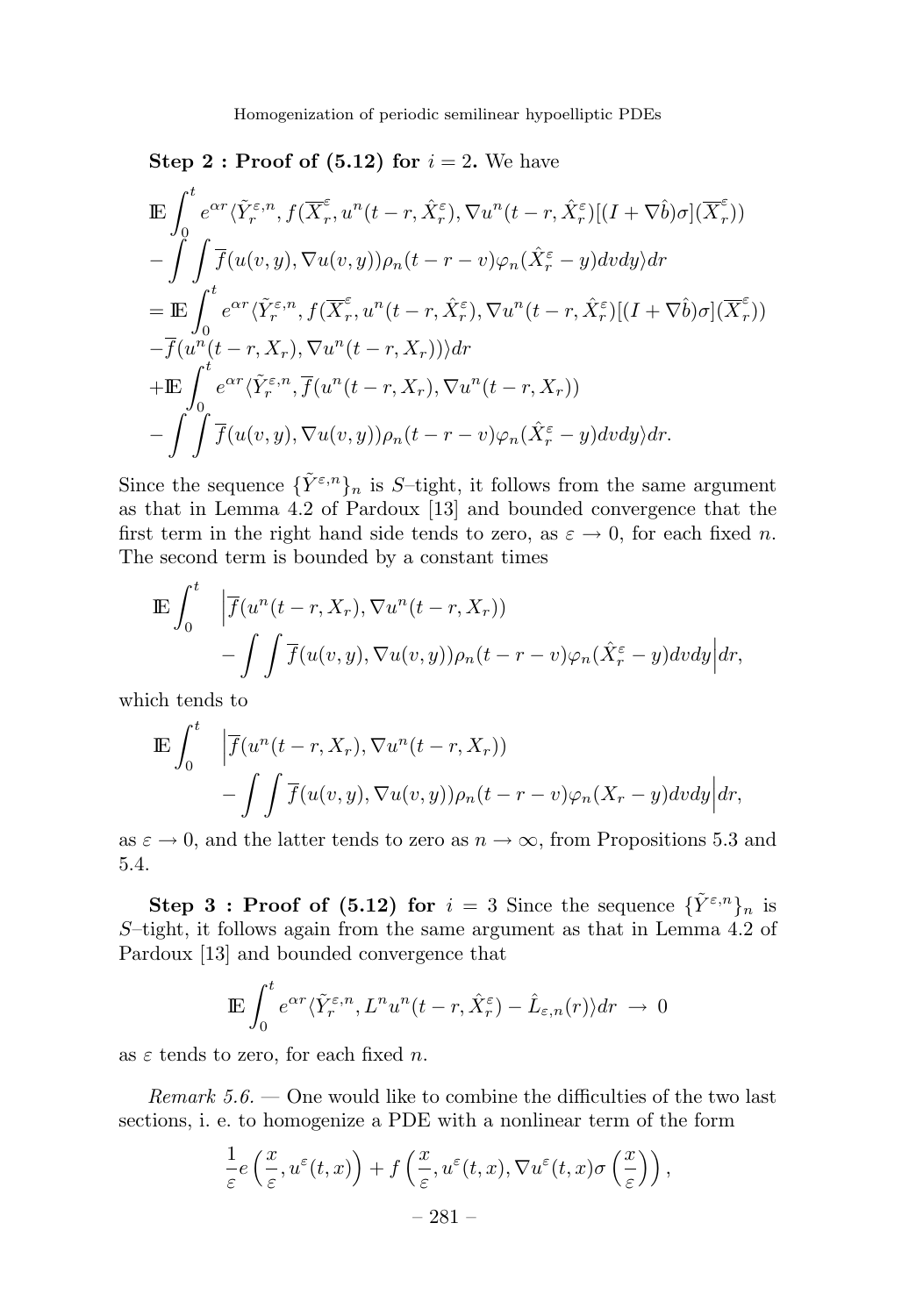#### **Step 2 : Proof of (5.12) for**  $i = 2$ . We have

$$
\begin{split} &\mathbb{E}\int_{0}^{t}e^{\alpha r}\langle\tilde{Y}_{r}^{\varepsilon,n},f(\overline{X}_{r}^{\varepsilon},u^{n}(t-r,\hat{X}_{r}^{\varepsilon}),\nabla u^{n}(t-r,\hat{X}_{r}^{\varepsilon})](I+\nabla\hat{b})\sigma](\overline{X}_{r}^{\varepsilon}))\\ &- \int\int\overline{f}(u(v,y),\nabla u(v,y))\rho_{n}(t-r-v)\varphi_{n}(\hat{X}_{r}^{\varepsilon}-y)dvdy\rangle dr\\ &=\mathbb{E}\int_{0}^{t}e^{\alpha r}\langle\tilde{Y}_{r}^{\varepsilon,n},f(\overline{X}_{r}^{\varepsilon},u^{n}(t-r,\hat{X}_{r}^{\varepsilon}),\nabla u^{n}(t-r,\hat{X}_{r}^{\varepsilon})[(I+\nabla\hat{b})\sigma](\overline{X}_{r}^{\varepsilon}))\\ &- \overline{f}(u^{n}(t-r,X_{r}),\nabla u^{n}(t-r,X_{r}))\rangle dr\\ &+\mathbb{E}\int_{0}^{t}e^{\alpha r}\langle\tilde{Y}_{r}^{\varepsilon,n},\overline{f}(u^{n}(t-r,X_{r}),\nabla u^{n}(t-r,X_{r}))\\ &- \int\int\overline{f}(u(v,y),\nabla u(v,y))\rho_{n}(t-r-v)\varphi_{n}(\hat{X}_{r}^{\varepsilon}-y)dvdy\rangle dr.\end{split}
$$

Since the sequence  ${\{\tilde{Y}^{\varepsilon,n}\}}_n$  is *S*-tight, it follows from the same argument as that in Lemma 4.2 of Pardoux [13] and bounded convergence that the first term in the right hand side tends to zero, as  $\varepsilon \to 0$ , for each fixed *n*. The second term is bounded by a constant times

$$
\mathbb{E} \int_0^t \left| \overline{f}(u^n(t-r, X_r), \nabla u^n(t-r, X_r)) - \int \int \overline{f}(u(v, y), \nabla u(v, y)) \rho_n(t-r-v) \varphi_n(\hat{X}_r^{\varepsilon} - y) dv dy \right| dr,
$$

which tends to

$$
\mathbb{E} \int_0^t \left| \overline{f}(u^n(t-r, X_r), \nabla u^n(t-r, X_r)) - \int \int \overline{f}(u(v, y), \nabla u(v, y)) \rho_n(t-r-v) \varphi_n(X_r-y) dv dy \right| dr,
$$

as  $\varepsilon \to 0$ , and the latter tends to zero as  $n \to \infty$ , from Propositions 5.3 and 5.4.

**Step 3 : Proof of (5.12) for**  $i = 3$  Since the sequence  $\{\tilde{Y}^{\varepsilon,n}\}_n$  is *S*–tight, it follows again from the same argument as that in Lemma 4.2 of Pardoux [13] and bounded convergence that

$$
\mathbb{E}\int_0^t e^{\alpha r} \langle \tilde{Y}_r^{\varepsilon,n}, L^n u^n(t-r, \hat{X}_r^{\varepsilon}) - \hat{L}_{\varepsilon,n}(r) \rangle dr \to 0
$$

as *ε* tends to zero, for each fixed *n*.

Remark  $5.6.$  — One would like to combine the difficulties of the two last sections, i. e. to homogenize a PDE with a nonlinear term of the form

$$
\frac{1}{\varepsilon} e\left(\frac{x}{\varepsilon}, u^{\varepsilon}(t,x)\right) + f\left(\frac{x}{\varepsilon}, u^{\varepsilon}(t,x), \nabla u^{\varepsilon}(t,x)\sigma\left(\frac{x}{\varepsilon}\right)\right),- 281 -
$$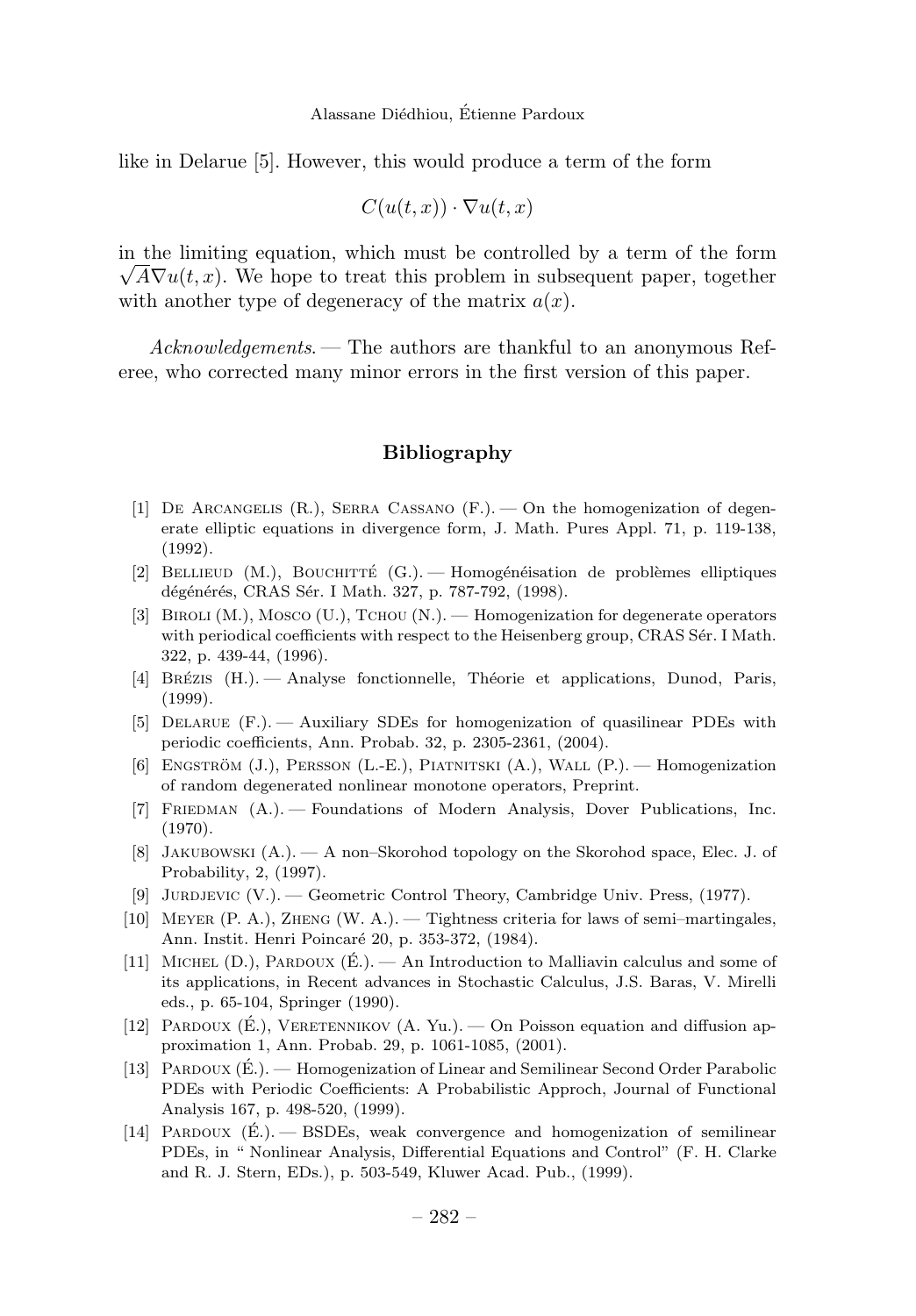like in Delarue [5]. However, this would produce a term of the form

$$
C(u(t,x)) \cdot \nabla u(t,x)
$$

in the limiting equation, which must be controlled by a term of the form  $\sqrt{A}\nabla u(t, x)$ . We hope to treat this problem in subsequent paper, together with another type of degeneracy of the matrix  $a(x)$ .

Acknowledgements. — The authors are thankful to an anonymous Referee, who corrected many minor errors in the first version of this paper.

#### **Bibliography**

- [1] De Arcangelis (R.), Serra Cassano (F.). On the homogenization of degenerate elliptic equations in divergence form, J. Math. Pures Appl. 71, p. 119-138, (1992).
- [2] BELLIEUD  $(M.)$ , BOUCHITTÉ  $(G.)$ . Homogénéisation de problèmes elliptiques dégénérés, CRAS Sér. I Math. 327, p. 787-792, (1998).
- [3] Biroli (M.), Mosco (U.), Tchou (N.). Homogenization for degenerate operators with periodical coefficients with respect to the Heisenberg group, CRAS Ser. I Math. 322, p. 439-44, (1996).
- [4] BRÉZIS (H.). Analyse fonctionnelle, Théorie et applications, Dunod, Paris, (1999).
- [5] Delarue (F.). Auxiliary SDEs for homogenization of quasilinear PDEs with periodic coefficients, Ann. Probab. 32, p. 2305-2361, (2004).
- [6] Engstrom¨ (J.), Persson (L.-E.), Piatnitski (A.), Wall (P.). Homogenization of random degenerated nonlinear monotone operators, Preprint.
- [7] FRIEDMAN (A.). Foundations of Modern Analysis, Dover Publications, Inc. (1970).
- [8] JAKUBOWSKI (A.). A non-Skorohod topology on the Skorohod space, Elec. J. of Probability, 2, (1997).
- [9] JURDJEVIC (V.). Geometric Control Theory, Cambridge Univ. Press, (1977).
- [10] Meyer (P. A.), Zheng (W. A.). Tightness criteria for laws of semi–martingales, Ann. Instit. Henri Poincar´e 20, p. 353-372, (1984).
- [11] MICHEL (D.), PARDOUX  $(\dot{E})$ . An Introduction to Malliavin calculus and some of its applications, in Recent advances in Stochastic Calculus, J.S. Baras, V. Mirelli eds., p. 65-104, Springer (1990).
- [12] PARDOUX  $(\dot{E})$ , VERETENNIKOV  $(A, Yu)$ .  $\rightarrow$  On Poisson equation and diffusion approximation 1, Ann. Probab. 29, p. 1061-1085, (2001).
- [13] Pardoux (E.). Homogenization of Linear and Semilinear Second Order Parabolic ´ PDEs with Periodic Coefficients: A Probabilistic Approch, Journal of Functional Analysis 167, p. 498-520, (1999).
- [14] PARDOUX  $(\hat{E})$ . BSDEs, weak convergence and homogenization of semilinear PDEs, in " Nonlinear Analysis, Differential Equations and Control" (F. H. Clarke and R. J. Stern, EDs.), p. 503-549, Kluwer Acad. Pub., (1999).